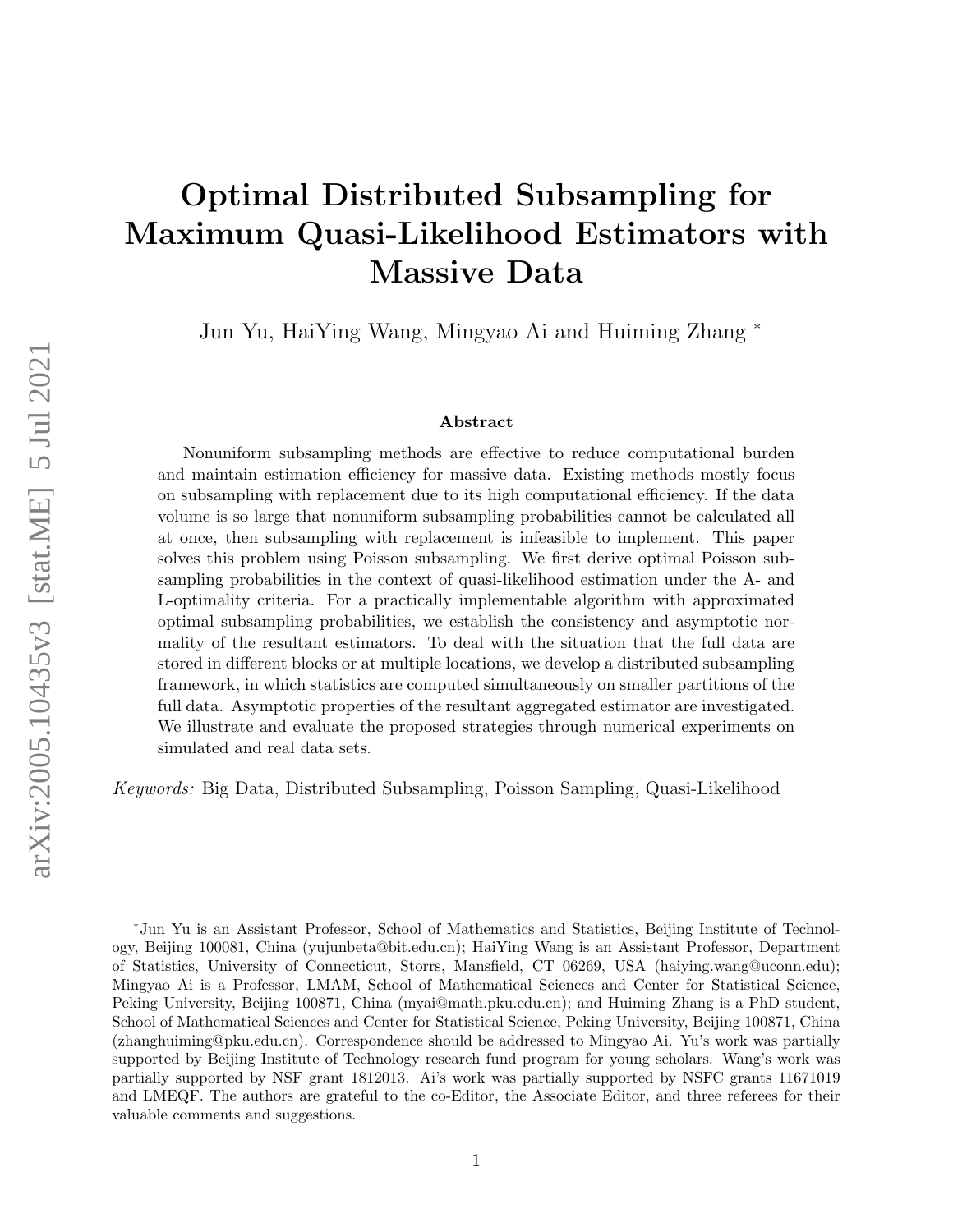# Optimal Distributed Subsampling for Maximum Quasi-Likelihood Estimators with Massive Data

Jun Yu, HaiYing Wang, Mingyao Ai and Huiming Zhang <sup>∗</sup>

#### Abstract

Nonuniform subsampling methods are effective to reduce computational burden and maintain estimation efficiency for massive data. Existing methods mostly focus on subsampling with replacement due to its high computational efficiency. If the data volume is so large that nonuniform subsampling probabilities cannot be calculated all at once, then subsampling with replacement is infeasible to implement. This paper solves this problem using Poisson subsampling. We first derive optimal Poisson subsampling probabilities in the context of quasi-likelihood estimation under the A- and L-optimality criteria. For a practically implementable algorithm with approximated optimal subsampling probabilities, we establish the consistency and asymptotic normality of the resultant estimators. To deal with the situation that the full data are stored in different blocks or at multiple locations, we develop a distributed subsampling framework, in which statistics are computed simultaneously on smaller partitions of the full data. Asymptotic properties of the resultant aggregated estimator are investigated. We illustrate and evaluate the proposed strategies through numerical experiments on simulated and real data sets.

Keywords: Big Data, Distributed Subsampling, Poisson Sampling, Quasi-Likelihood

<sup>∗</sup>Jun Yu is an Assistant Professor, School of Mathematics and Statistics, Beijing Institute of Technology, Beijing 100081, China (yujunbeta@bit.edu.cn); HaiYing Wang is an Assistant Professor, Department of Statistics, University of Connecticut, Storrs, Mansfield, CT 06269, USA (haiying.wang@uconn.edu); Mingyao Ai is a Professor, LMAM, School of Mathematical Sciences and Center for Statistical Science, Peking University, Beijing 100871, China (myai@math.pku.edu.cn); and Huiming Zhang is a PhD student, School of Mathematical Sciences and Center for Statistical Science, Peking University, Beijing 100871, China (zhanghuiming@pku.edu.cn). Correspondence should be addressed to Mingyao Ai. Yu's work was partially supported by Beijing Institute of Technology research fund program for young scholars. Wang's work was partially supported by NSF grant 1812013. Ai's work was partially supported by NSFC grants 11671019 and LMEQF. The authors are grateful to the co-Editor, the Associate Editor, and three referees for their valuable comments and suggestions.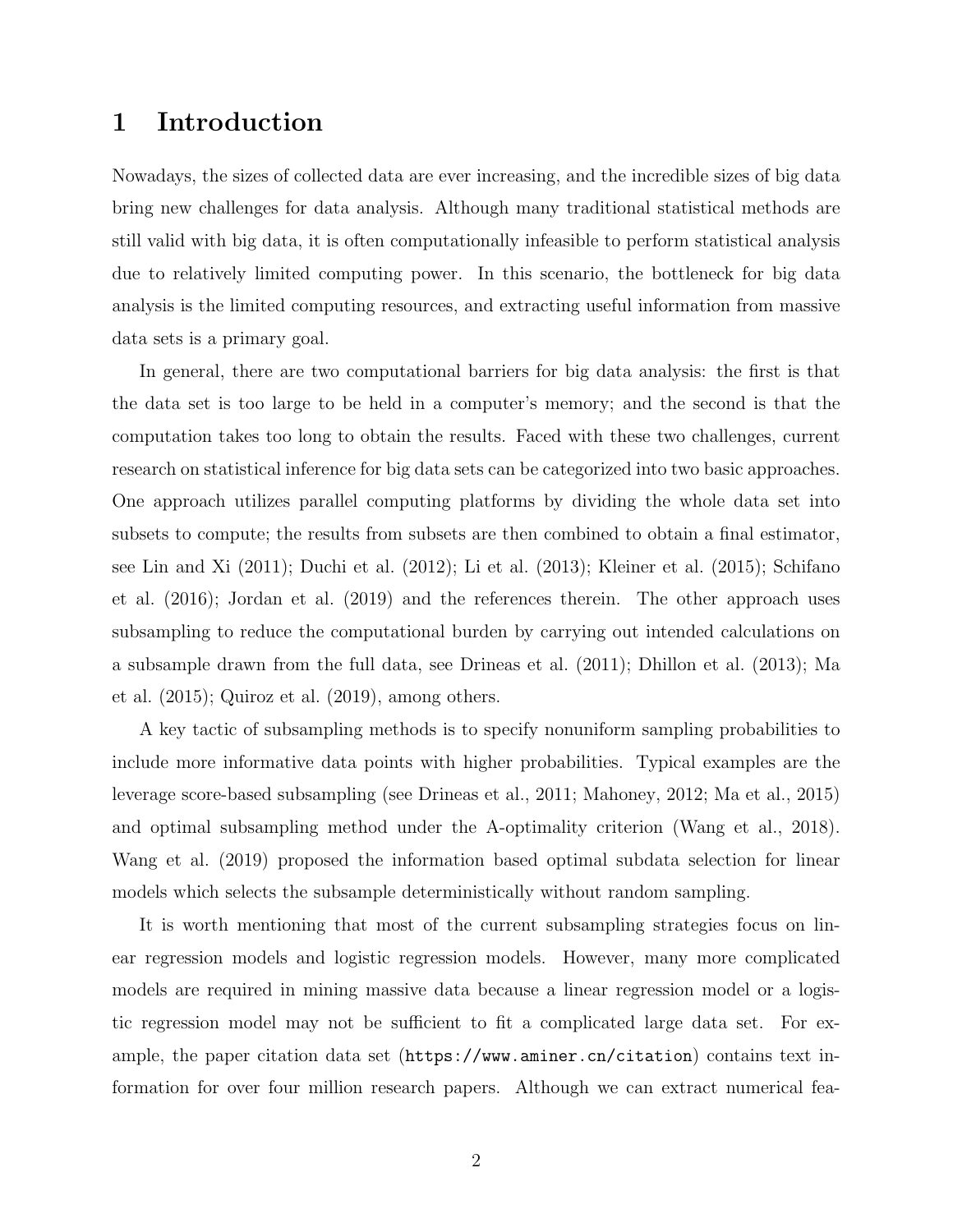## 1 Introduction

Nowadays, the sizes of collected data are ever increasing, and the incredible sizes of big data bring new challenges for data analysis. Although many traditional statistical methods are still valid with big data, it is often computationally infeasible to perform statistical analysis due to relatively limited computing power. In this scenario, the bottleneck for big data analysis is the limited computing resources, and extracting useful information from massive data sets is a primary goal.

In general, there are two computational barriers for big data analysis: the first is that the data set is too large to be held in a computer's memory; and the second is that the computation takes too long to obtain the results. Faced with these two challenges, current research on statistical inference for big data sets can be categorized into two basic approaches. One approach utilizes parallel computing platforms by dividing the whole data set into subsets to compute; the results from subsets are then combined to obtain a final estimator, see [Lin and Xi](#page-56-0) [\(2011\)](#page-56-0); [Duchi et al.](#page-56-1) [\(2012\)](#page-56-1); [Li et al.](#page-56-2) [\(2013\)](#page-56-2); [Kleiner et al.](#page-56-3) [\(2015\)](#page-56-3); [Schifano](#page-57-0) [et al.](#page-57-0) [\(2016\)](#page-57-0); [Jordan et al.](#page-56-4) [\(2019\)](#page-56-4) and the references therein. The other approach uses subsampling to reduce the computational burden by carrying out intended calculations on a subsample drawn from the full data, see [Drineas et al.](#page-56-5) [\(2011\)](#page-56-5); [Dhillon et al.](#page-55-0) [\(2013\)](#page-55-0); [Ma](#page-56-6) [et al.](#page-56-6) [\(2015\)](#page-56-6); [Quiroz et al.](#page-57-1) [\(2019\)](#page-57-1), among others.

A key tactic of subsampling methods is to specify nonuniform sampling probabilities to include more informative data points with higher probabilities. Typical examples are the leverage score-based subsampling (see [Drineas et al., 2011;](#page-56-5) [Mahoney, 2012;](#page-56-7) [Ma et al., 2015\)](#page-56-6) and optimal subsampling method under the A-optimality criterion [\(Wang et al., 2018\)](#page-58-0). [Wang et al.](#page-57-2) [\(2019\)](#page-57-2) proposed the information based optimal subdata selection for linear models which selects the subsample deterministically without random sampling.

It is worth mentioning that most of the current subsampling strategies focus on linear regression models and logistic regression models. However, many more complicated models are required in mining massive data because a linear regression model or a logistic regression model may not be sufficient to fit a complicated large data set. For example, the paper citation data set (<https://www.aminer.cn/citation>) contains text information for over four million research papers. Although we can extract numerical fea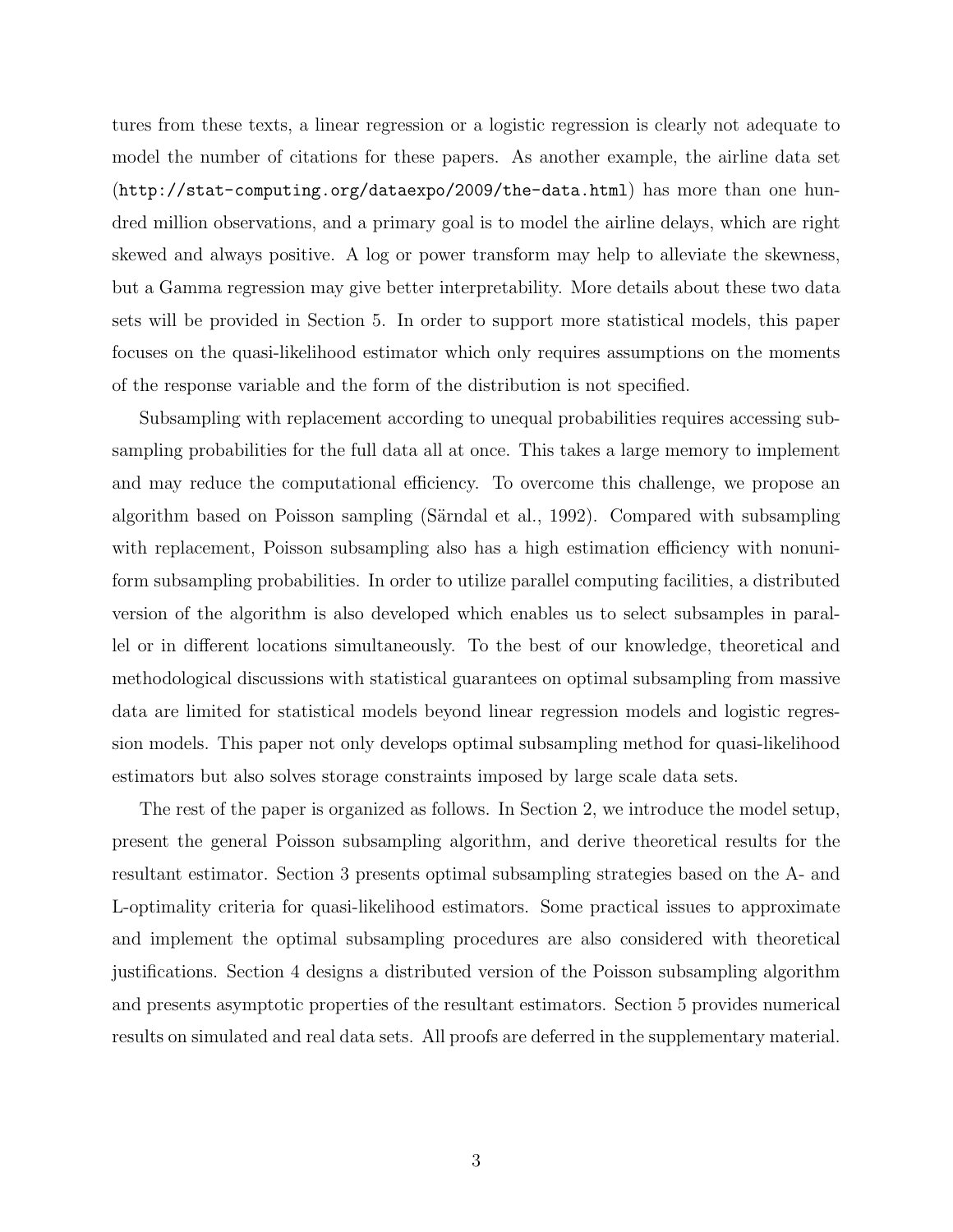tures from these texts, a linear regression or a logistic regression is clearly not adequate to model the number of citations for these papers. As another example, the airline data set (<http://stat-computing.org/dataexpo/2009/the-data.html>) has more than one hundred million observations, and a primary goal is to model the airline delays, which are right skewed and always positive. A log or power transform may help to alleviate the skewness, but a Gamma regression may give better interpretability. More details about these two data sets will be provided in Section [5.](#page-15-0) In order to support more statistical models, this paper focuses on the quasi-likelihood estimator which only requires assumptions on the moments of the response variable and the form of the distribution is not specified.

Subsampling with replacement according to unequal probabilities requires accessing subsampling probabilities for the full data all at once. This takes a large memory to implement and may reduce the computational efficiency. To overcome this challenge, we propose an algorithm based on Poisson sampling (Särndal et al., 1992). Compared with subsampling with replacement, Poisson subsampling also has a high estimation efficiency with nonuniform subsampling probabilities. In order to utilize parallel computing facilities, a distributed version of the algorithm is also developed which enables us to select subsamples in parallel or in different locations simultaneously. To the best of our knowledge, theoretical and methodological discussions with statistical guarantees on optimal subsampling from massive data are limited for statistical models beyond linear regression models and logistic regression models. This paper not only develops optimal subsampling method for quasi-likelihood estimators but also solves storage constraints imposed by large scale data sets.

The rest of the paper is organized as follows. In Section [2,](#page-3-0) we introduce the model setup, present the general Poisson subsampling algorithm, and derive theoretical results for the resultant estimator. Section [3](#page-6-0) presents optimal subsampling strategies based on the A- and L-optimality criteria for quasi-likelihood estimators. Some practical issues to approximate and implement the optimal subsampling procedures are also considered with theoretical justifications. Section [4](#page-12-0) designs a distributed version of the Poisson subsampling algorithm and presents asymptotic properties of the resultant estimators. Section [5](#page-15-0) provides numerical results on simulated and real data sets. All proofs are deferred in the supplementary material.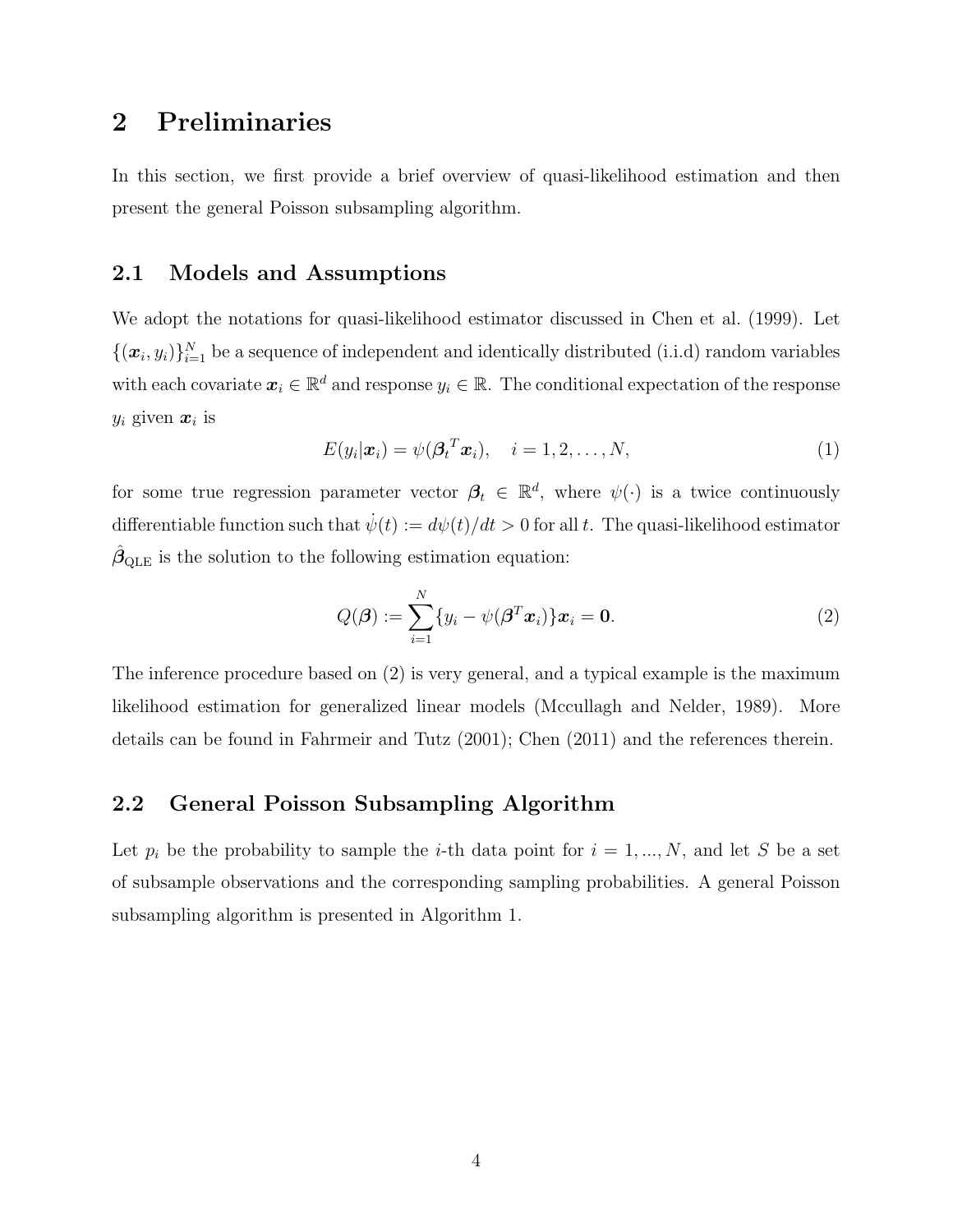## <span id="page-3-0"></span>2 Preliminaries

In this section, we first provide a brief overview of quasi-likelihood estimation and then present the general Poisson subsampling algorithm.

### 2.1 Models and Assumptions

We adopt the notations for quasi-likelihood estimator discussed in [Chen et al.](#page-55-1) [\(1999\)](#page-55-1). Let  $\{(\boldsymbol{x}_i, y_i)\}_{i=1}^N$  be a sequence of independent and identically distributed (i.i.d) random variables with each covariate  $x_i \in \mathbb{R}^d$  and response  $y_i \in \mathbb{R}$ . The conditional expectation of the response  $y_i$  given  $\boldsymbol{x}_i$  is

$$
E(y_i|\boldsymbol{x}_i) = \psi(\boldsymbol{\beta}_t^T \boldsymbol{x}_i), \quad i = 1, 2, \dots, N,
$$
\n(1)

for some true regression parameter vector  $\beta_t \in \mathbb{R}^d$ , where  $\psi(\cdot)$  is a twice continuously differentiable function such that  $\dot{\psi}(t) := d\psi(t)/dt > 0$  for all t. The quasi-likelihood estimator  $\hat{\beta}_{\text{QLE}}$  is the solution to the following estimation equation:

<span id="page-3-1"></span>
$$
Q(\boldsymbol{\beta}) := \sum_{i=1}^{N} \{y_i - \psi(\boldsymbol{\beta}^T \boldsymbol{x}_i)\} \boldsymbol{x}_i = \mathbf{0}.
$$
 (2)

The inference procedure based on [\(2\)](#page-3-1) is very general, and a typical example is the maximum likelihood estimation for generalized linear models [\(Mccullagh and Nelder, 1989\)](#page-56-8). More details can be found in [Fahrmeir and Tutz](#page-56-9) [\(2001\)](#page-56-9); [Chen](#page-55-2) [\(2011\)](#page-55-2) and the references therein.

### 2.2 General Poisson Subsampling Algorithm

Let  $p_i$  be the probability to sample the *i*-th data point for  $i = 1, ..., N$ , and let S be a set of subsample observations and the corresponding sampling probabilities. A general Poisson subsampling algorithm is presented in Algorithm [1.](#page-4-0)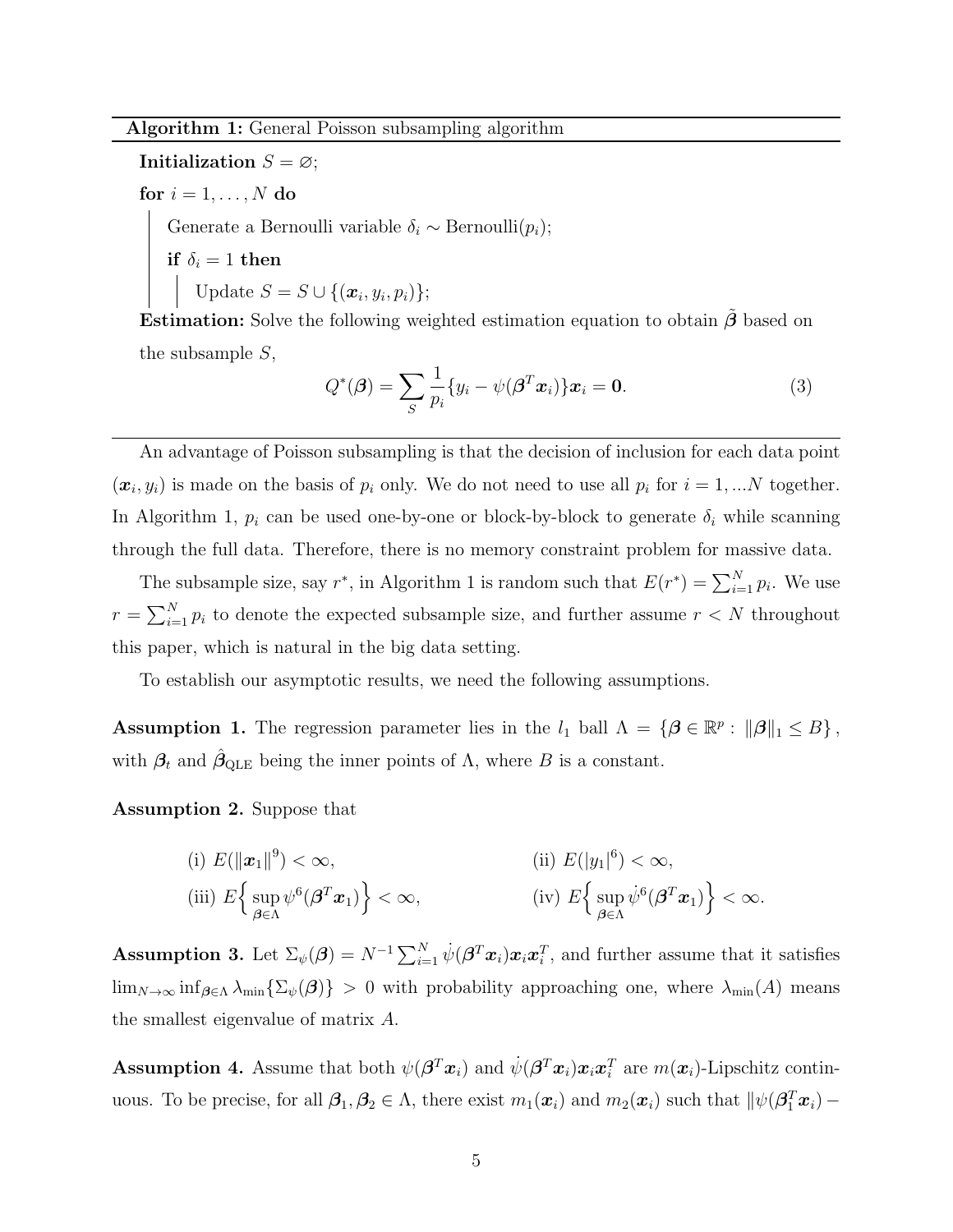Initialization  $S = \emptyset$ ;

for  $i = 1, \ldots, N$  do

Generate a Bernoulli variable  $\delta_i \sim \text{Bernoulli}(p_i);$ 

if  $\delta_i=1$  then

Update  $S = S \cup \{(\boldsymbol{x}_i, y_i, p_i)\};$ 

**Estimation:** Solve the following weighted estimation equation to obtain  $\tilde{\beta}$  based on the subsample S,

<span id="page-4-5"></span>
$$
Q^*(\boldsymbol{\beta}) = \sum_{S} \frac{1}{p_i} \{ y_i - \psi(\boldsymbol{\beta}^T \boldsymbol{x}_i) \} \boldsymbol{x}_i = \mathbf{0}.
$$
 (3)

<span id="page-4-0"></span>An advantage of Poisson subsampling is that the decision of inclusion for each data point  $(x_i, y_i)$  is made on the basis of  $p_i$  only. We do not need to use all  $p_i$  for  $i = 1, ...N$  together. In Algorithm [1,](#page-4-0)  $p_i$  can be used one-by-one or block-by-block to generate  $\delta_i$  while scanning through the full data. Therefore, there is no memory constraint problem for massive data.

The subsample size, say  $r^*$ , in Algorithm [1](#page-4-0) is random such that  $E(r^*) = \sum_{i=1}^{N} p_i$ . We use  $r = \sum_{i=1}^{N} p_i$  to denote the expected subsample size, and further assume  $r < N$  throughout this paper, which is natural in the big data setting.

To establish our asymptotic results, we need the following assumptions.

<span id="page-4-1"></span>**Assumption 1.** The regression parameter lies in the  $l_1$  ball  $\Lambda = {\mathcal{B} \in \mathbb{R}^p : ||\boldsymbol{\beta}||_1 \leq B}$ , with  $\beta_t$  and  $\hat{\beta}_{\text{QLE}}$  being the inner points of  $\Lambda$ , where B is a constant.

<span id="page-4-2"></span>Assumption 2. Suppose that

(i) 
$$
E(||\mathbf{x}_1||^9) < \infty
$$
,  
\n(ii)  $E(|y_1|^6) < \infty$ ,  
\n(iii)  $E\left\{\sup_{\boldsymbol{\beta} \in \Lambda} \psi^6(\boldsymbol{\beta}^T \mathbf{x}_1)\right\} < \infty$ ,  
\n(iv)  $E\left\{\sup_{\boldsymbol{\beta} \in \Lambda} \psi^6(\boldsymbol{\beta}^T \mathbf{x}_1)\right\} < \infty$ .

<span id="page-4-3"></span>**Assumption 3.** Let  $\Sigma_{\psi}(\boldsymbol{\beta}) = N^{-1} \sum_{i=1}^{N} \dot{\psi}(\boldsymbol{\beta}^{T} \boldsymbol{x}_{i}) \boldsymbol{x}_{i} \boldsymbol{x}_{i}^{T}$ , and further assume that it satisfies  $\lim_{N\to\infty} \inf_{\beta\in\Lambda} \lambda_{\min} \{\Sigma_{\psi}(\beta)\} > 0$  with probability approaching one, where  $\lambda_{\min}(A)$  means the smallest eigenvalue of matrix A.

<span id="page-4-4"></span>Assumption 4. Assume that both  $\psi(\beta^T x_i)$  and  $\dot{\psi}(\beta^T x_i) x_i x_i^T$  are  $m(x_i)$ -Lipschitz continuous. To be precise, for all  $\beta_1, \beta_2 \in \Lambda$ , there exist  $m_1(x_i)$  and  $m_2(x_i)$  such that  $\|\psi(\beta_1^T x_i) -$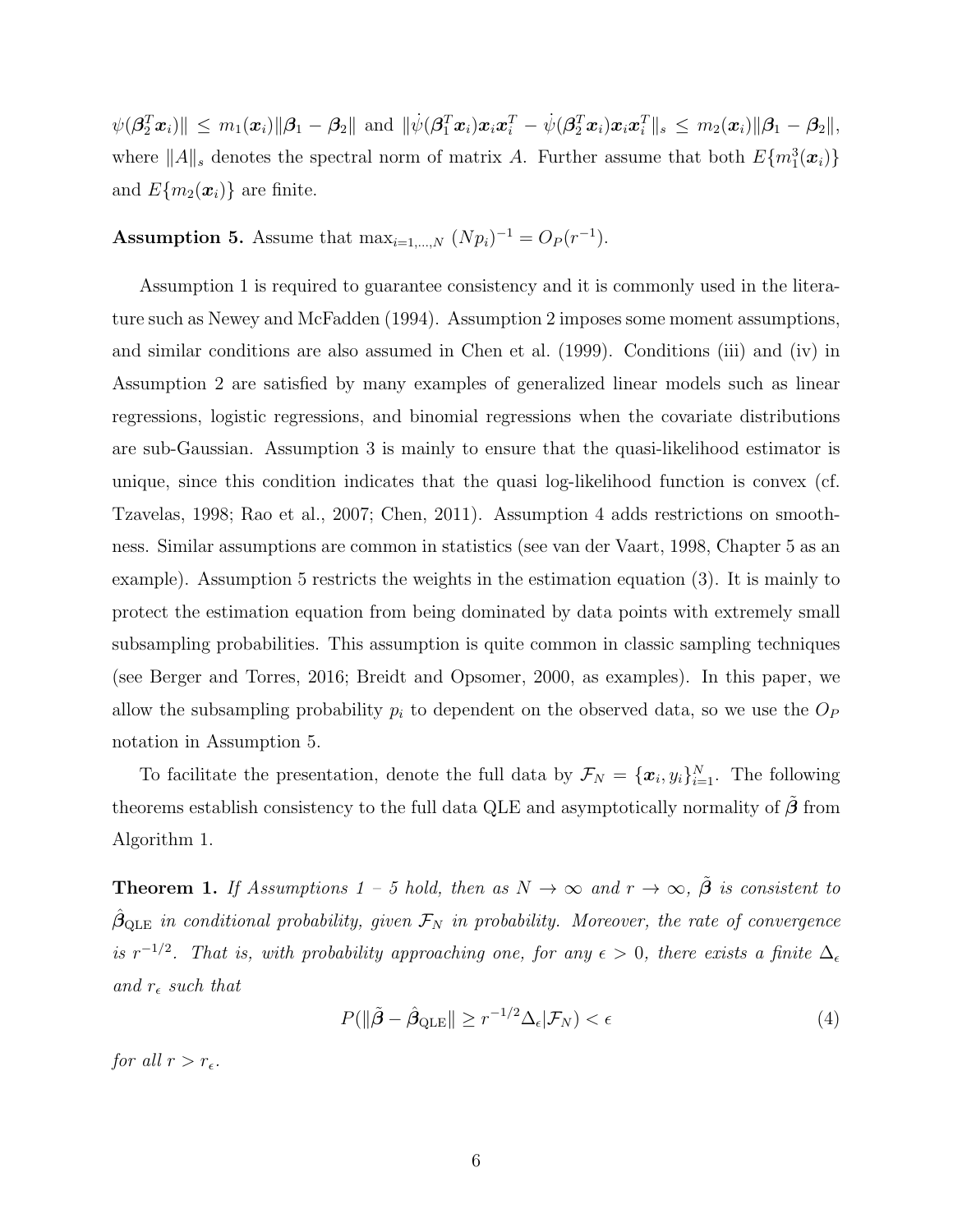$\|\psi(\boldsymbol{\beta}_2^T\boldsymbol{x}_i)\| \leq m_1(\boldsymbol{x}_i) \|\boldsymbol{\beta}_1 - \boldsymbol{\beta}_2\| \text{ and } \|\psi(\boldsymbol{\beta}_1^T\boldsymbol{x}_i)\boldsymbol{x}_i\boldsymbol{x}_i^T - \psi(\boldsymbol{\beta}_2^T\boldsymbol{x}_i)\boldsymbol{x}_i\boldsymbol{x}_i^T\|_s \leq m_2(\boldsymbol{x}_i) \|\boldsymbol{\beta}_1 - \boldsymbol{\beta}_2\|_s,$ where  $||A||_s$  denotes the spectral norm of matrix A. Further assume that both  $E\{m_1^3(\boldsymbol{x}_i)\}\$ and  $E{m_2(\mathbf{x}_i)}$  are finite.

<span id="page-5-0"></span>**Assumption 5.** Assume that  $\max_{i=1,...,N} (Np_i)^{-1} = O_P(r^{-1}).$ 

Assumption [1](#page-4-1) is required to guarantee consistency and it is commonly used in the literature such as [Newey and McFadden](#page-57-4) [\(1994\)](#page-57-4). Assumption [2](#page-4-2) imposes some moment assumptions, and similar conditions are also assumed in [Chen et al.](#page-55-1) [\(1999\)](#page-55-1). Conditions (iii) and (iv) in Assumption [2](#page-4-2) are satisfied by many examples of generalized linear models such as linear regressions, logistic regressions, and binomial regressions when the covariate distributions are sub-Gaussian. Assumption [3](#page-4-3) is mainly to ensure that the quasi-likelihood estimator is unique, since this condition indicates that the quasi log-likelihood function is convex (cf. [Tzavelas, 1998;](#page-57-5) [Rao et al., 2007;](#page-57-6) [Chen, 2011\)](#page-55-2). Assumption [4](#page-4-4) adds restrictions on smoothness. Similar assumptions are common in statistics (see [van der Vaart, 1998,](#page-57-7) Chapter 5 as an example). Assumption [5](#page-5-0) restricts the weights in the estimation equation [\(3\)](#page-4-5). It is mainly to protect the estimation equation from being dominated by data points with extremely small subsampling probabilities. This assumption is quite common in classic sampling techniques (see [Berger and Torres, 2016;](#page-55-3) [Breidt and Opsomer, 2000,](#page-55-4) as examples). In this paper, we allow the subsampling probability  $p_i$  to dependent on the observed data, so we use the  $O_P$ notation in Assumption [5.](#page-5-0)

To facilitate the presentation, denote the full data by  $\mathcal{F}_N = \{\pmb{x}_i, y_i\}_{i=1}^N$ . The following theorems establish consistency to the full data QLE and asymptotically normality of  $\beta$  from Algorithm [1.](#page-4-0)

**Theorem 1.** If Assumptions 1 – 5 hold, then as  $N \to \infty$  and  $r \to \infty$ ,  $\tilde{\beta}$  is consistent to  $\hat{\beta}_{\text{QLE}}$  in conditional probability, given  $\mathcal{F}_N$  in probability. Moreover, the rate of convergence is  $r^{-1/2}$ . That is, with probability approaching one, for any  $\epsilon > 0$ , there exists a finite  $\Delta_{\epsilon}$ and  $r_{\epsilon}$  such that

$$
P(\|\tilde{\boldsymbol{\beta}} - \hat{\boldsymbol{\beta}}_{\text{QLE}}\| \ge r^{-1/2} \Delta_{\epsilon} | \mathcal{F}_N) < \epsilon \tag{4}
$$

for all  $r > r_{\epsilon}$ .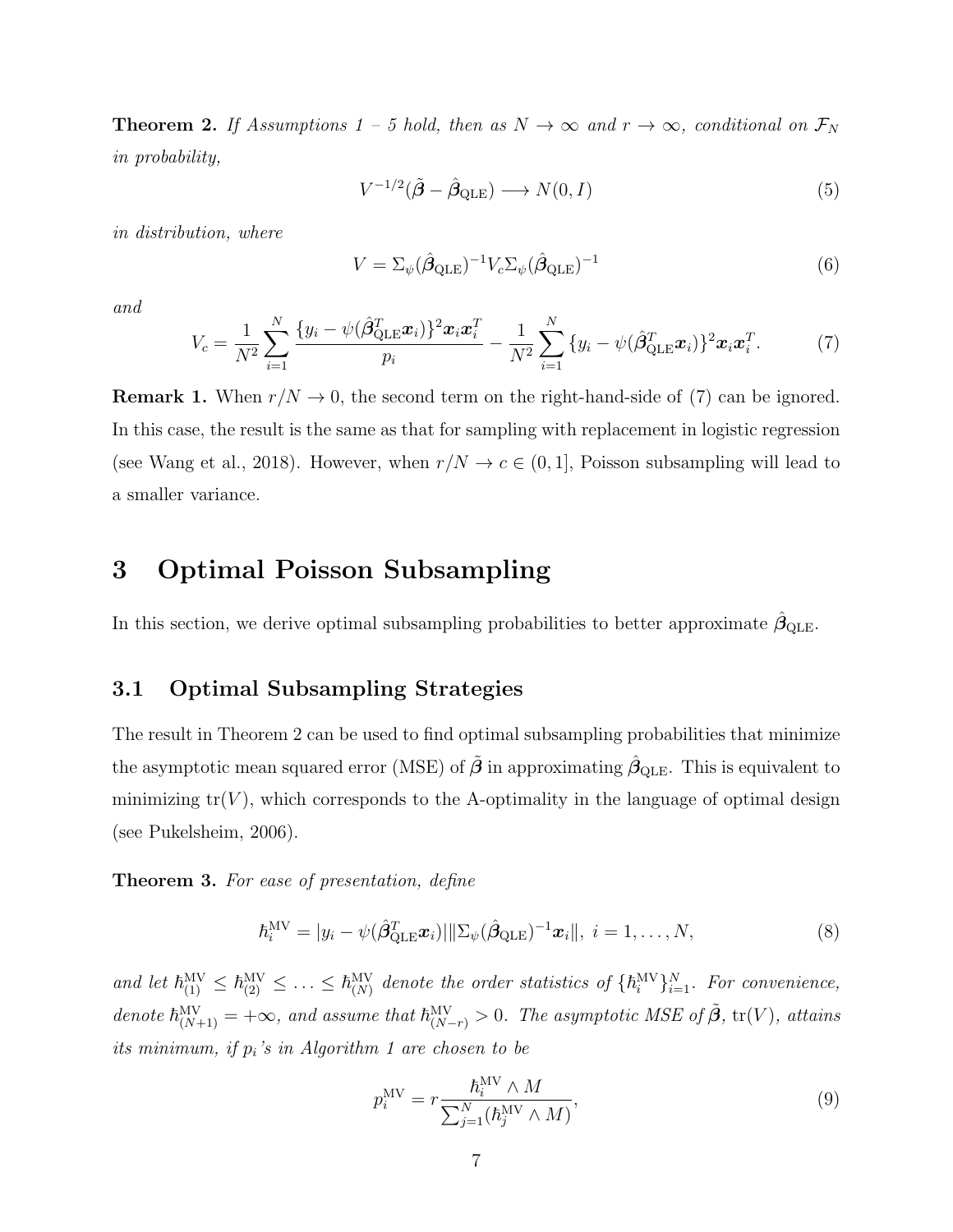<span id="page-6-2"></span>**Theorem 2.** If Assumptions 1 – 5 hold, then as  $N \to \infty$  and  $r \to \infty$ , conditional on  $\mathcal{F}_N$ in probability,

$$
V^{-1/2}(\tilde{\boldsymbol{\beta}} - \hat{\boldsymbol{\beta}}_{\text{QLE}}) \longrightarrow N(0, I) \tag{5}
$$

in distribution, where

$$
V = \Sigma_{\psi} (\hat{\beta}_{\text{QLE}})^{-1} V_c \Sigma_{\psi} (\hat{\beta}_{\text{QLE}})^{-1}
$$
(6)

and

<span id="page-6-1"></span>
$$
V_c = \frac{1}{N^2} \sum_{i=1}^{N} \frac{\{y_i - \psi(\hat{\beta}_{\text{QLE}}^T \boldsymbol{x}_i)\}^2 \boldsymbol{x}_i \boldsymbol{x}_i^T}{p_i} - \frac{1}{N^2} \sum_{i=1}^{N} \{y_i - \psi(\hat{\beta}_{\text{QLE}}^T \boldsymbol{x}_i)\}^2 \boldsymbol{x}_i \boldsymbol{x}_i^T.
$$
 (7)

**Remark 1.** When  $r/N \to 0$ , the second term on the right-hand-side of [\(7\)](#page-6-1) can be ignored. In this case, the result is the same as that for sampling with replacement in logistic regression (see [Wang et al., 2018\)](#page-58-0). However, when  $r/N \to c \in (0,1]$ , Poisson subsampling will lead to a smaller variance.

## <span id="page-6-0"></span>3 Optimal Poisson Subsampling

In this section, we derive optimal subsampling probabilities to better approximate  $\hat{\beta}_{\text{QLE}}$ .

### 3.1 Optimal Subsampling Strategies

The result in Theorem [2](#page-6-2) can be used to find optimal subsampling probabilities that minimize the asymptotic mean squared error (MSE) of  $\tilde{\boldsymbol{\beta}}$  in approximating  $\hat{\beta}_{\text{QLE}}$ . This is equivalent to minimizing  $tr(V)$ , which corresponds to the A-optimality in the language of optimal design (see [Pukelsheim, 2006\)](#page-57-8).

<span id="page-6-5"></span>Theorem 3. For ease of presentation, define

<span id="page-6-4"></span>
$$
\hbar_i^{\text{MV}} = |y_i - \psi(\hat{\boldsymbol{\beta}}_{\text{QLE}}^T \boldsymbol{x}_i)|||\Sigma_{\psi}(\hat{\boldsymbol{\beta}}_{\text{QLE}})^{-1} \boldsymbol{x}_i||, \ i = 1, \dots, N,
$$
\n(8)

and let  $\hbar_{(1)}^{\text{MV}} \leq \hbar_{(2)}^{\text{MV}} \leq \ldots \leq \hbar_{(N)}^{\text{MV}}$  denote the order statistics of  $\{\hbar_i^{\text{MV}}\}_{i=1}^N$ . For convenience, denote  $\hbar^{\text{MV}}_{(N+1)} = +\infty$ , and assume that  $\hbar^{\text{MV}}_{(N-r)} > 0$ . The asymptotic MSE of  $\tilde{\beta}$ , tr(V), attains its minimum, if  $p_i$ 's in Algorithm [1](#page-4-0) are chosen to be

<span id="page-6-3"></span>
$$
p_i^{\text{MV}} = r \frac{\hbar_i^{\text{MV}} \wedge M}{\sum_{j=1}^N (\hbar_j^{\text{MV}} \wedge M)},\tag{9}
$$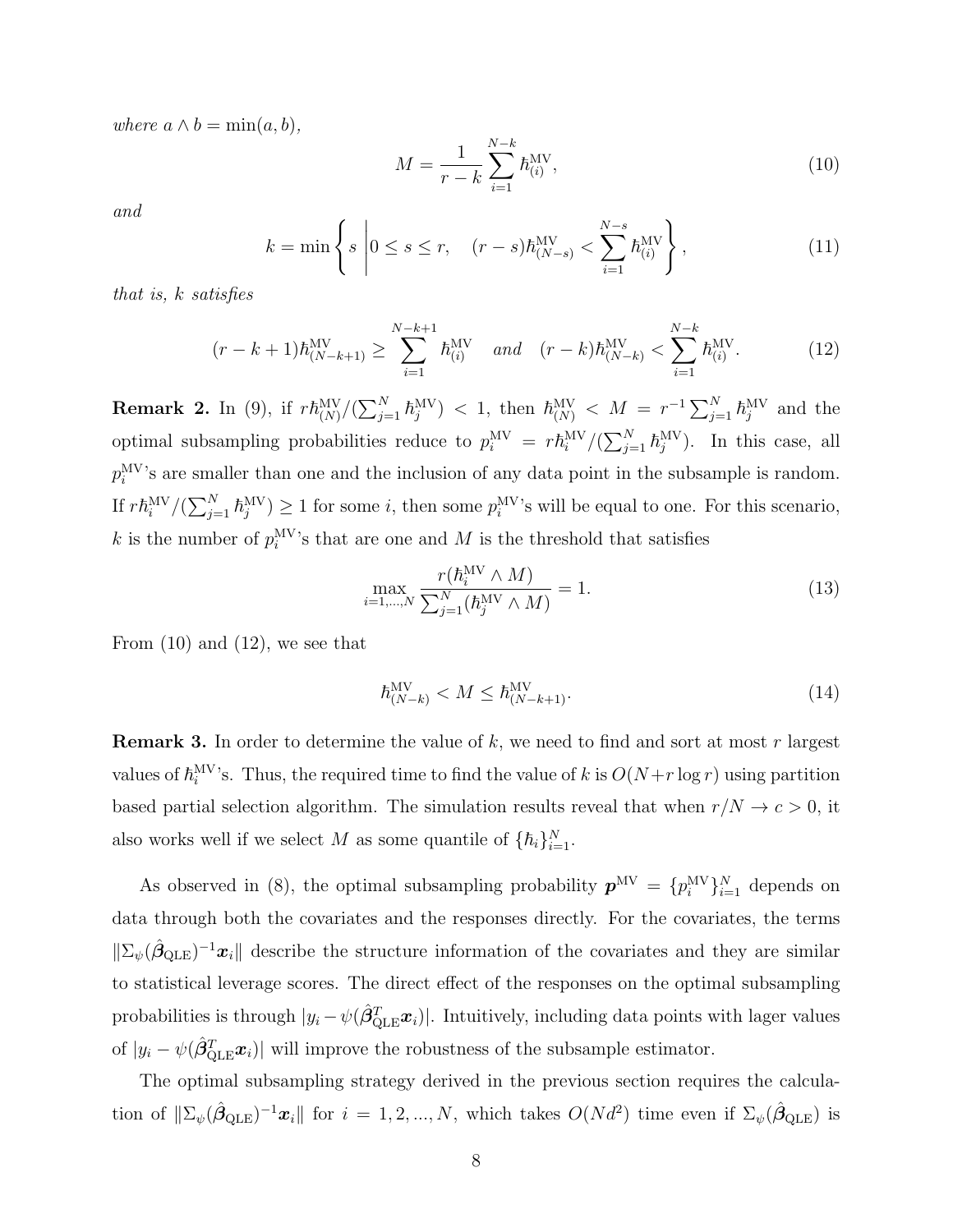where  $a \wedge b = \min(a, b)$ ,

<span id="page-7-0"></span>
$$
M = \frac{1}{r - k} \sum_{i=1}^{N-k} \hbar_{(i)}^{\text{MV}},
$$
\n(10)

and

$$
k = \min\left\{ s \middle| 0 \le s \le r, \quad (r - s)\hbar^{\text{MV}}_{(N - s)} < \sum_{i = 1}^{N - s} \hbar^{\text{MV}}_{(i)} \right\},\tag{11}
$$

that is, k satisfies

<span id="page-7-1"></span>
$$
(r-k+1)\hbar_{(N-k+1)}^{\text{MV}} \ge \sum_{i=1}^{N-k+1} \hbar_{(i)}^{\text{MV}} \quad \text{and} \quad (r-k)\hbar_{(N-k)}^{\text{MV}} < \sum_{i=1}^{N-k} \hbar_{(i)}^{\text{MV}}.
$$
 (12)

**Remark 2.** In [\(9\)](#page-6-3), if  $r\hbar_{(N)}^{MV}/(\sum_{j=1}^{N} \hbar_{j}^{MV}) < 1$ , then  $\hbar_{(N)}^{MV} < M = r^{-1} \sum_{j=1}^{N} \hbar_{j}^{MV}$  and the optimal subsampling probabilities reduce to  $p_i^{\text{MV}} = r \hbar_i^{\text{MV}} / (\sum_{j=1}^N \hbar_j^{\text{MV}})$ . In this case, all  $p_i^{\text{MV}}$ 's are smaller than one and the inclusion of any data point in the subsample is random. If  $r\hbar_i^{MV}/(\sum_{j=1}^N \hbar_j^{MV}) \ge 1$  for some i, then some  $p_i^{MV}$ 's will be equal to one. For this scenario, k is the number of  $p_i^{\text{MV}}$ 's that are one and M is the threshold that satisfies

$$
\max_{i=1,\dots,N} \frac{r(h_i^{\text{MV}} \wedge M)}{\sum_{j=1}^N (h_j^{\text{MV}} \wedge M)} = 1. \tag{13}
$$

From  $(10)$  and  $(12)$ , we see that

$$
\hbar_{(N-k)}^{\text{MV}} < M \le \hbar_{(N-k+1)}^{\text{MV}}.\tag{14}
$$

**Remark 3.** In order to determine the value of  $k$ , we need to find and sort at most r largest values of  $\hbar_i^{\text{MV}}$ 's. Thus, the required time to find the value of k is  $O(N+r \log r)$  using partition based partial selection algorithm. The simulation results reveal that when  $r/N \to c > 0$ , it also works well if we select M as some quantile of  $\{\hbar_i\}_{i=1}^N$ .

As observed in [\(8\)](#page-6-4), the optimal subsampling probability  $p^{MV} = \{p_i^{MV}\}_{i=1}^N$  depends on data through both the covariates and the responses directly. For the covariates, the terms  $||\Sigma_{\psi}(\hat{\beta}_{\text{QLE}})^{-1}x_i||$  describe the structure information of the covariates and they are similar to statistical leverage scores. The direct effect of the responses on the optimal subsampling probabilities is through  $|y_i - \psi(\hat{\beta}_{\text{QLE}}^T \boldsymbol{x}_i)|$ . Intuitively, including data points with lager values of  $|y_i - \psi(\hat{\beta}_{\text{QLE}}^T \boldsymbol{x}_i)|$  will improve the robustness of the subsample estimator.

The optimal subsampling strategy derived in the previous section requires the calculation of  $\|\Sigma_{\psi}(\hat{\beta}_{\text{QLE}})^{-1}x_i\|$  for  $i=1,2,...,N$ , which takes  $O(N d^2)$  time even if  $\Sigma_{\psi}(\hat{\beta}_{\text{QLE}})$  is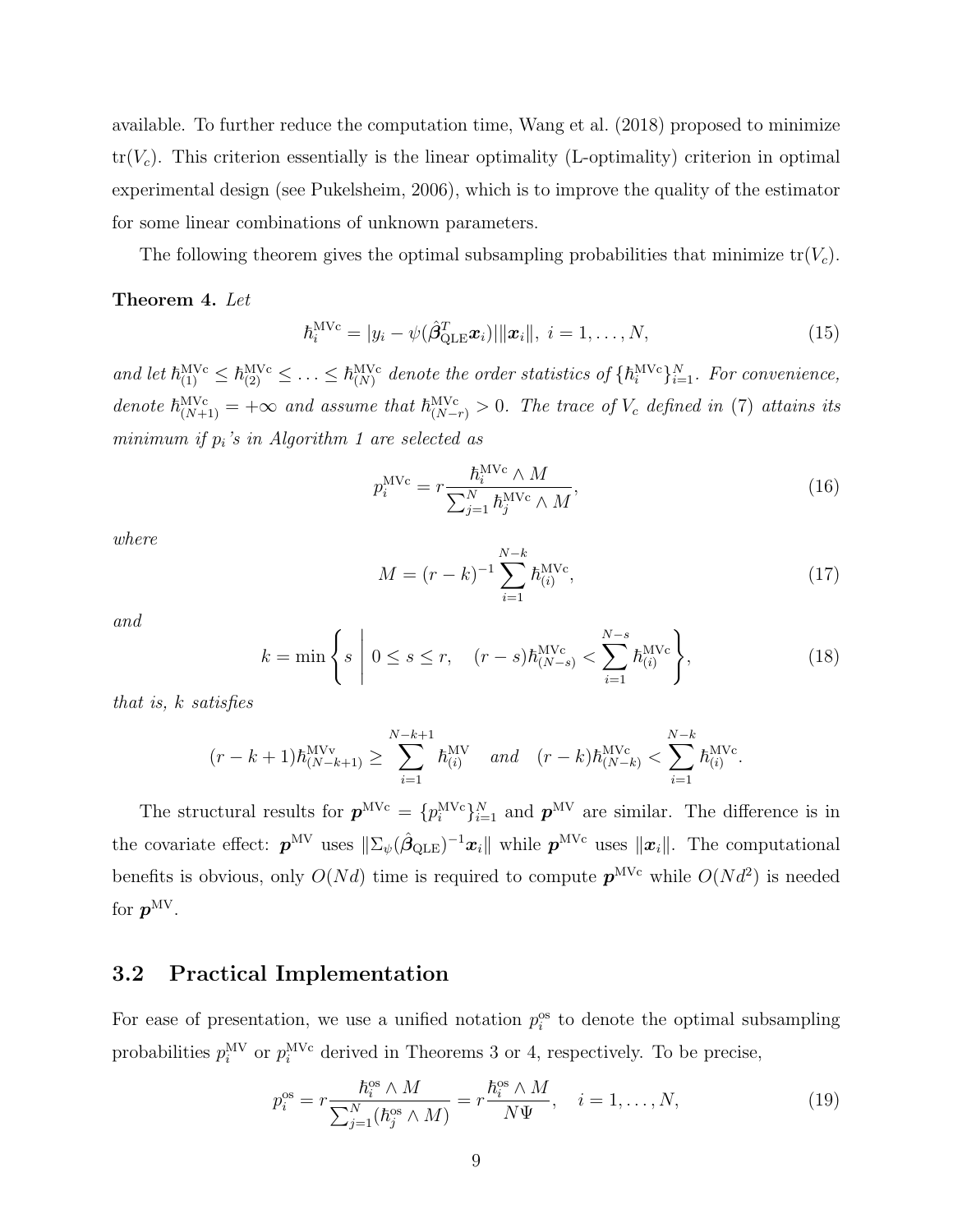available. To further reduce the computation time, [Wang et al.](#page-58-0) [\(2018\)](#page-58-0) proposed to minimize  $tr(V_c)$ . This criterion essentially is the linear optimality (L-optimality) criterion in optimal experimental design (see [Pukelsheim, 2006\)](#page-57-8), which is to improve the quality of the estimator for some linear combinations of unknown parameters.

The following theorem gives the optimal subsampling probabilities that minimize  $tr(V_c)$ .

#### <span id="page-8-0"></span>Theorem 4. Let

$$
\hbar_i^{\text{MVc}} = |y_i - \psi(\hat{\boldsymbol{\beta}}_{\text{QLE}}^T \boldsymbol{x}_i)||\boldsymbol{x}_i||, \ i = 1, \dots, N,
$$
\n(15)

and let  $\hbar_{(1)}^{MVC} \leq \hbar_{(2)}^{MVC} \leq \ldots \leq \hbar_{(N)}^{MVC}$  denote the order statistics of  $\{\hbar_i^{MVC}\}_{i=1}^N$ . For convenience, denote  $\hbar_{(N+1)}^{\text{MVC}} = +\infty$  and assume that  $\hbar_{(N-r)}^{\text{MVC}} > 0$ . The trace of  $V_c$  defined in [\(7\)](#page-6-1) attains its minimum if  $p_i$ 's in Algorithm [1](#page-4-0) are selected as

$$
p_i^{\text{MVc}} = r \frac{\hbar_i^{\text{MVc}} \wedge M}{\sum_{j=1}^N \hbar_j^{\text{MVc}} \wedge M},\tag{16}
$$

where

$$
M = (r - k)^{-1} \sum_{i=1}^{N-k} \hbar_{(i)}^{\text{MVc}}, \tag{17}
$$

and

$$
k = \min\left\{ s \mid 0 \le s \le r, \quad (r - s)\hbar_{(N - s)}^{\text{MVC}} < \sum_{i = 1}^{N - s} \hbar_{(i)}^{\text{MVC}} \right\},\tag{18}
$$

that is, k satisfies

$$
(r-k+1)\hbar_{(N-k+1)}^{\text{MVV}} \ge \sum_{i=1}^{N-k+1} \hbar_{(i)}^{\text{MV}} \quad \text{and} \quad (r-k)\hbar_{(N-k)}^{\text{MVC}} < \sum_{i=1}^{N-k} \hbar_{(i)}^{\text{MVC}}.
$$

The structural results for  $p^{MVC} = \{p_i^{MVC}\}_{i=1}^N$  and  $p^{MV}$  are similar. The difference is in the covariate effect:  $p^{MV}$  uses  $\|\Sigma_{\psi}(\hat{\beta}_{\text{QLE}})^{-1}x_i\|$  while  $p^{MVc}$  uses  $\|x_i\|$ . The computational benefits is obvious, only  $O(Nd)$  time is required to compute  $p^{MVC}$  while  $O(Nd^2)$  is needed for  $\boldsymbol{p}^{\rm MV}.$ 

### 3.2 Practical Implementation

For ease of presentation, we use a unified notation  $p_i^{\text{os}}$  to denote the optimal subsampling probabilities  $p_i^{\text{MV}}$  or  $p_i^{\text{MVC}}$  derived in Theorems [3](#page-6-5) or [4,](#page-8-0) respectively. To be precise,

<span id="page-8-1"></span>
$$
p_i^{\text{os}} = r \frac{\hbar_i^{\text{os}} \wedge M}{\sum_{j=1}^N (\hbar_j^{\text{os}} \wedge M)} = r \frac{\hbar_i^{\text{os}} \wedge M}{N\Psi}, \quad i = 1, \dots, N,
$$
\n(19)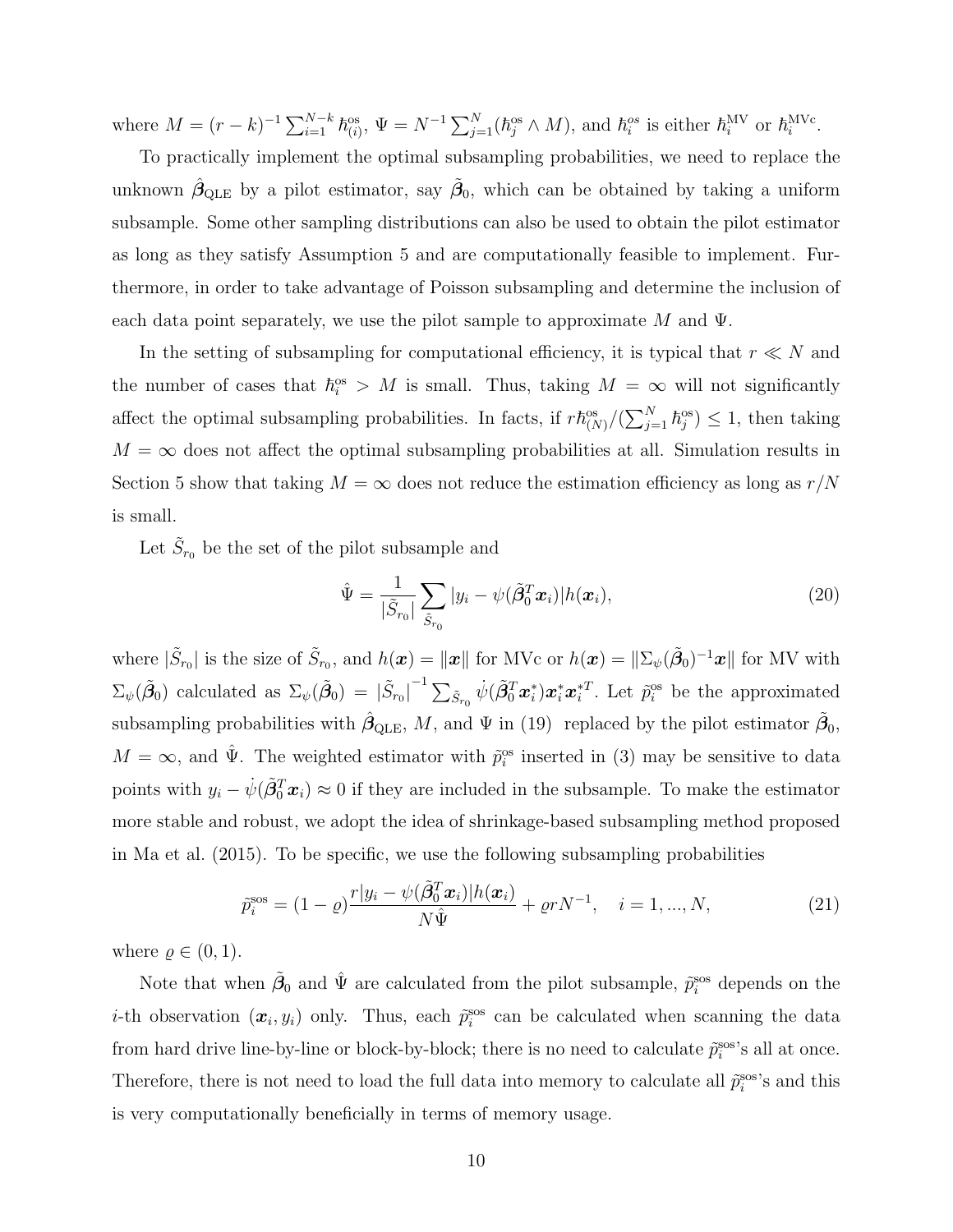where  $M = (r - k)^{-1} \sum_{i=1}^{N-k} \hbar_{(i)}^{\text{os}}, \Psi = N^{-1} \sum_{j=1}^{N} (\hbar_j^{\text{os}} \wedge M)$ , and  $\hbar_i^{\text{os}}$  is either  $\hbar_i^{\text{MV}}$  or  $\hbar_i^{\text{MVC}}$ .

To practically implement the optimal subsampling probabilities, we need to replace the unknown  $\hat{\beta}_{\text{QLE}}$  by a pilot estimator, say  $\tilde{\beta}_0$ , which can be obtained by taking a uniform subsample. Some other sampling distributions can also be used to obtain the pilot estimator as long as they satisfy Assumption [5](#page-5-0) and are computationally feasible to implement. Furthermore, in order to take advantage of Poisson subsampling and determine the inclusion of each data point separately, we use the pilot sample to approximate M and  $\Psi$ .

In the setting of subsampling for computational efficiency, it is typical that  $r \ll N$  and the number of cases that  $\hbar_i^{\text{os}} > M$  is small. Thus, taking  $M = \infty$  will not significantly affect the optimal subsampling probabilities. In facts, if  $r\hbar_{(N)}^{\text{os}}/(\sum_{j=1}^{N} \hbar_j^{\text{os}}) \leq 1$ , then taking  $M = \infty$  does not affect the optimal subsampling probabilities at all. Simulation results in Section [5](#page-15-0) show that taking  $M = \infty$  does not reduce the estimation efficiency as long as  $r/N$ is small.

Let  $\tilde{S}_{r_0}$  be the set of the pilot subsample and

<span id="page-9-1"></span>
$$
\hat{\Psi} = \frac{1}{|\tilde{S}_{r_0}|} \sum_{\tilde{S}_{r_0}} |y_i - \psi(\tilde{\beta}_0^T \boldsymbol{x}_i)| h(\boldsymbol{x}_i), \tag{20}
$$

where  $|\tilde{S}_{r_0}|$  is the size of  $\tilde{S}_{r_0}$ , and  $h(\boldsymbol{x}) = ||\boldsymbol{x}||$  for MVc or  $h(\boldsymbol{x}) = ||\Sigma_{\psi}(\tilde{\beta}_0)^{-1}\boldsymbol{x}||$  for MV with  $\Sigma_{\psi}(\tilde{\beta}_0)$  calculated as  $\Sigma_{\psi}(\tilde{\beta}_0) = |\tilde{S}_{r_0}|^{-1} \sum_{\tilde{S}_{r_0}} \dot{\psi}(\tilde{\beta}_0^T \boldsymbol{x}_i^*) \boldsymbol{x}_i^* \boldsymbol{x}_i^{*T}$ . Let  $\tilde{p}_i^{\text{os}}$  be the approximated subsampling probabilities with  $\hat{\beta}_{\text{QLE}}$ , M, and  $\Psi$  in [\(19\)](#page-8-1) replaced by the pilot estimator  $\tilde{\beta}_0$ ,  $M = \infty$ , and  $\hat{\Psi}$ . The weighted estimator with  $\tilde{p}_i^{\text{os}}$  inserted in [\(3\)](#page-4-5) may be sensitive to data points with  $y_i - \dot{\psi}(\tilde{\beta}_0^T \boldsymbol{x}_i) \approx 0$  if they are included in the subsample. To make the estimator more stable and robust, we adopt the idea of shrinkage-based subsampling method proposed in [Ma et al.](#page-56-6) [\(2015\)](#page-56-6). To be specific, we use the following subsampling probabilities

<span id="page-9-0"></span>
$$
\tilde{p}_i^{\text{sos}} = (1 - \varrho) \frac{r|y_i - \psi(\tilde{\beta}_0^T \boldsymbol{x}_i)|h(\boldsymbol{x}_i)}{N\hat{\Psi}} + \varrho r N^{-1}, \quad i = 1, ..., N,
$$
\n(21)

where  $\rho \in (0, 1)$ .

Note that when  $\tilde{\beta}_0$  and  $\hat{\Psi}$  are calculated from the pilot subsample,  $\tilde{p}_i^{\text{sos}}$  depends on the *i*-th observation  $(x_i, y_i)$  only. Thus, each  $\tilde{p}_i^{\text{sos}}$  can be calculated when scanning the data from hard drive line-by-line or block-by-block; there is no need to calculate  $\tilde{p}_i^{\text{sos}}$ 's all at once. Therefore, there is not need to load the full data into memory to calculate all  $\tilde{p}_i^{\text{sos}}$ 's and this is very computationally beneficially in terms of memory usage.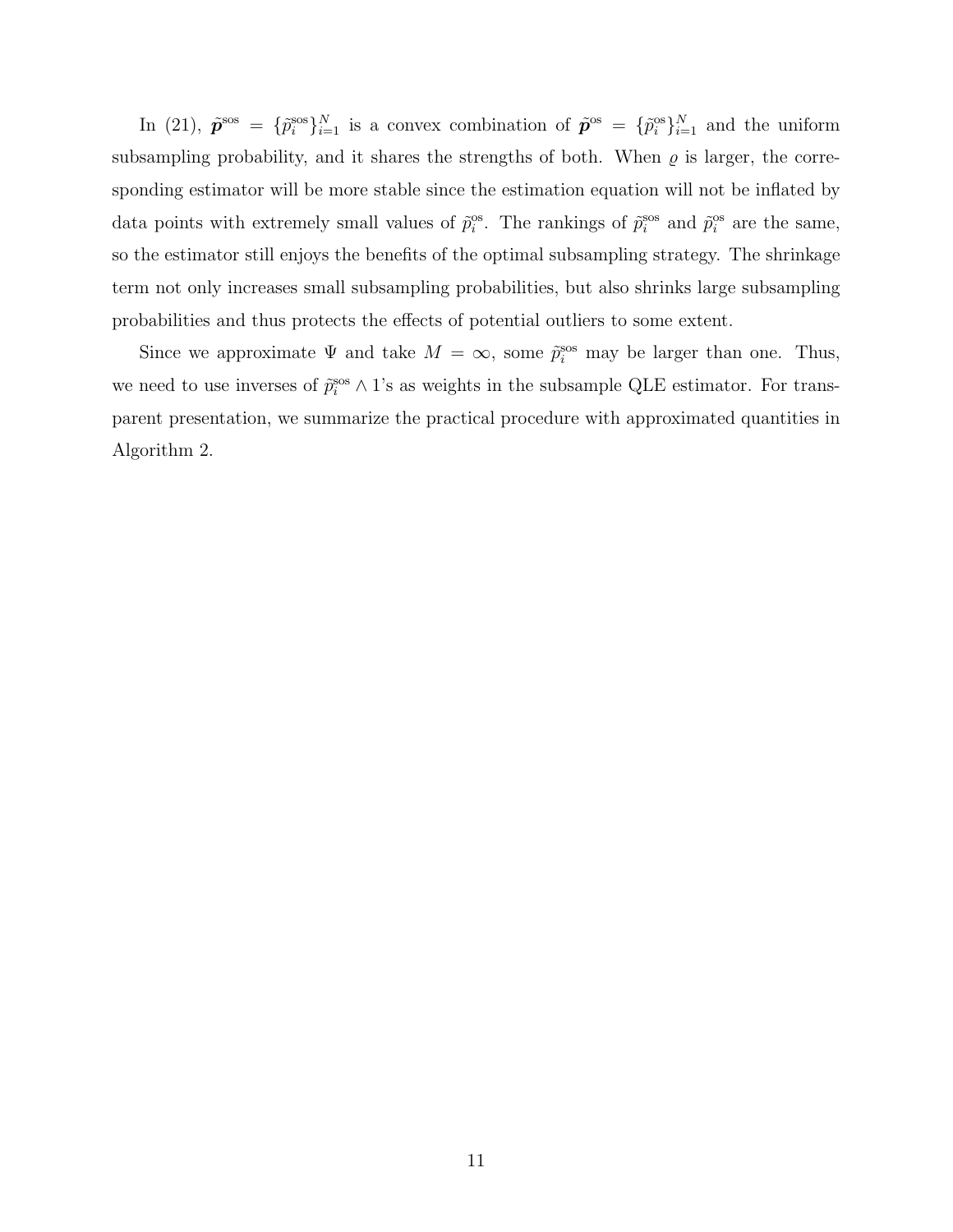In [\(21\)](#page-9-0),  $\tilde{\mathbf{p}}^{\text{ss}} = {\tilde{p}}_i^{\text{ss}}\}_{i=1}^N$  is a convex combination of  $\tilde{\mathbf{p}}^{\text{os}} = {\tilde{p}}_i^{\text{os}}\}_{i=1}^N$  and the uniform subsampling probability, and it shares the strengths of both. When  $\varrho$  is larger, the corresponding estimator will be more stable since the estimation equation will not be inflated by data points with extremely small values of  $\tilde{p}_i^{\text{os}}$ . The rankings of  $\tilde{p}_i^{\text{sos}}$  and  $\tilde{p}_i^{\text{os}}$  are the same, so the estimator still enjoys the benefits of the optimal subsampling strategy. The shrinkage term not only increases small subsampling probabilities, but also shrinks large subsampling probabilities and thus protects the effects of potential outliers to some extent.

Since we approximate  $\Psi$  and take  $M = \infty$ , some  $\tilde{p}_i^{\text{sos}}$  may be larger than one. Thus, we need to use inverses of  $\tilde{p}_i^{\rm sos} \wedge 1$ 's as weights in the subsample QLE estimator. For transparent presentation, we summarize the practical procedure with approximated quantities in Algorithm [2.](#page-11-0)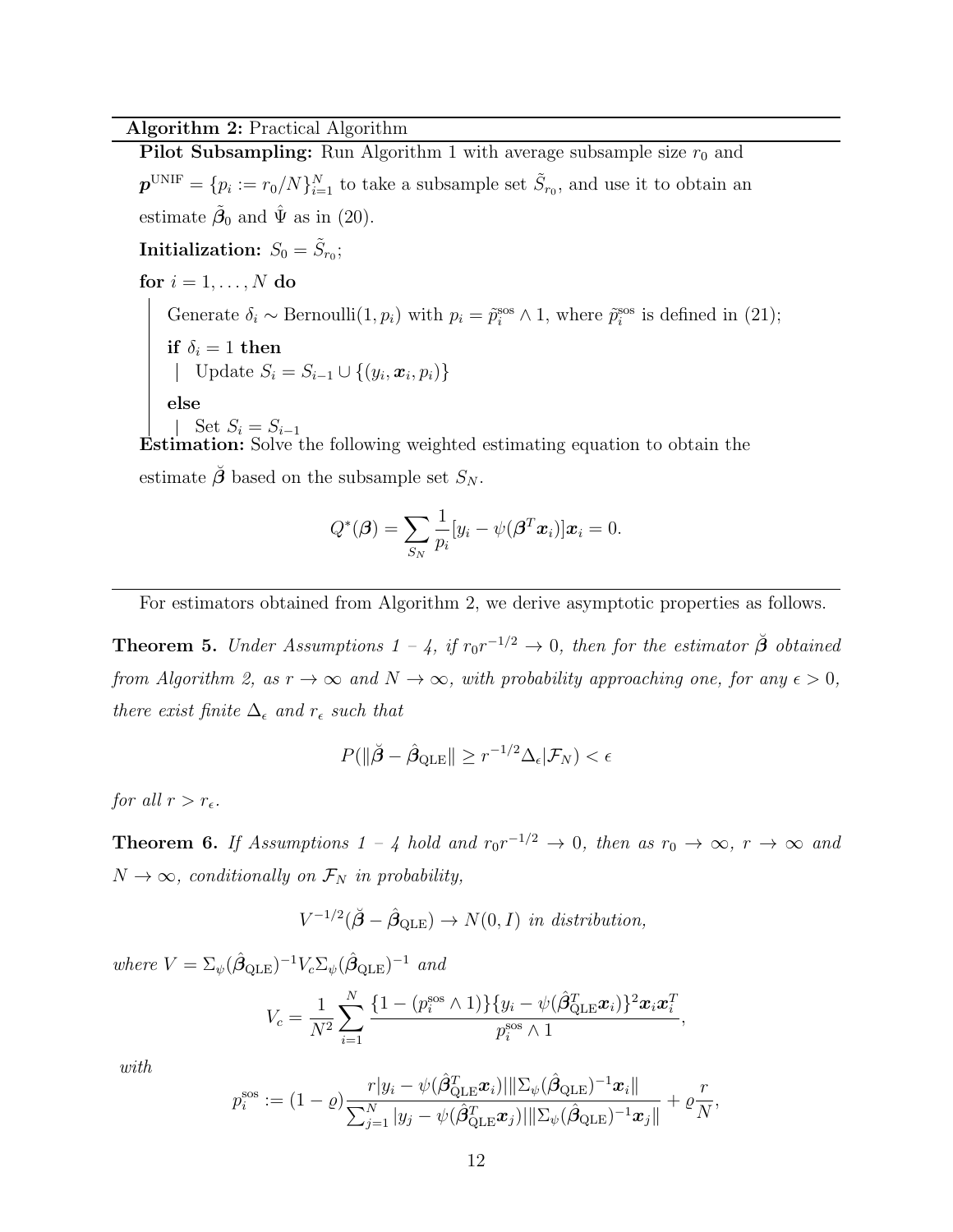#### Algorithm 2: Practical Algorithm

Pilot Subsampling: Run Algorithm [1](#page-4-0) with average subsample size  $r_0$  and  $\boldsymbol{p}^{\text{UNIF}} = \{p_i := r_0/N\}_{i=1}^N$  to take a subsample set  $\tilde{S}_{r_0}$ , and use it to obtain an estimate  $\tilde{\beta}_0$  and  $\hat{\Psi}$  as in [\(20\)](#page-9-1).

Initialization:  $S_0 = \tilde{S}_{r_0}$ ; for  $i = 1, \ldots, N$  do Generate  $\delta_i \sim \text{Bernoulli}(1, p_i)$  with  $p_i = \tilde{p}_i^{\text{sos}} \wedge 1$ , where  $\tilde{p}_i^{\text{sos}}$  is defined in [\(21\)](#page-9-0); if  $\delta_i = 1$  then Update  $S_i = S_{i-1} \cup \{(y_i, x_i, p_i)\}\$ else Set  $S_i = S_{i-1}$ 

Estimation: Solve the following weighted estimating equation to obtain the estimate  $\beta$  based on the subsample set  $S_N$ .

$$
Q^*(\boldsymbol{\beta}) = \sum_{S_N} \frac{1}{p_i} [y_i - \psi(\boldsymbol{\beta}^T \boldsymbol{x}_i)] \boldsymbol{x}_i = 0.
$$

<span id="page-11-0"></span>For estimators obtained from Algorithm [2,](#page-11-0) we derive asymptotic properties as follows.

**Theorem 5.** Under Assumptions  $1 - 4$ , if  $r_0r^{-1/2} \rightarrow 0$ , then for the estimator  $\check{\beta}$  obtained from Algorithm [2,](#page-11-0) as  $r \to \infty$  and  $N \to \infty$ , with probability approaching one, for any  $\epsilon > 0$ , there exist finite  $\Delta_{\epsilon}$  and  $r_{\epsilon}$  such that

$$
P(||\check{\boldsymbol{\beta}} - \hat{\boldsymbol{\beta}}_{\text{QLE}}|| \geq r^{-1/2} \Delta_{\epsilon} | \mathcal{F}_N) < \epsilon
$$

for all  $r > r_{\epsilon}$ .

<span id="page-11-1"></span>**Theorem 6.** If Assumptions 1 – 4 hold and  $r_0r^{-1/2} \rightarrow 0$ , then as  $r_0 \rightarrow \infty$ ,  $r \rightarrow \infty$  and  $N \to \infty$ , conditionally on  $\mathcal{F}_N$  in probability,

$$
V^{-1/2}(\check{\beta} - \hat{\beta}_{\text{QLE}}) \to N(0, I) \text{ in distribution,}
$$

where  $V = \Sigma_{\psi} (\hat{\beta}_{\text{QLE}})^{-1} V_c \Sigma_{\psi} (\hat{\beta}_{\text{QLE}})^{-1}$  and

$$
V_c = \frac{1}{N^2} \sum_{i=1}^{N} \frac{\{1 - (p_i^{\text{ss}} \wedge 1)\} \{y_i - \psi(\hat{\beta}_{\text{QLE}}^T \boldsymbol{x}_i)\}^2 \boldsymbol{x}_i \boldsymbol{x}_i^T}{p_i^{\text{ss}} \wedge 1},
$$

with

$$
p_i^{\text{sos}} := (1 - \varrho) \frac{r|y_i - \psi(\hat{\boldsymbol{\beta}}_{\text{QLE}}^T \boldsymbol{x}_i)||\Sigma_{\psi}(\hat{\boldsymbol{\beta}}_{\text{QLE}})^{-1} \boldsymbol{x}_i||}{\sum_{j=1}^N |y_j - \psi(\hat{\boldsymbol{\beta}}_{\text{QLE}}^T \boldsymbol{x}_j)||\Sigma_{\psi}(\hat{\boldsymbol{\beta}}_{\text{QLE}})^{-1} \boldsymbol{x}_j||} + \varrho \frac{r}{N}
$$

,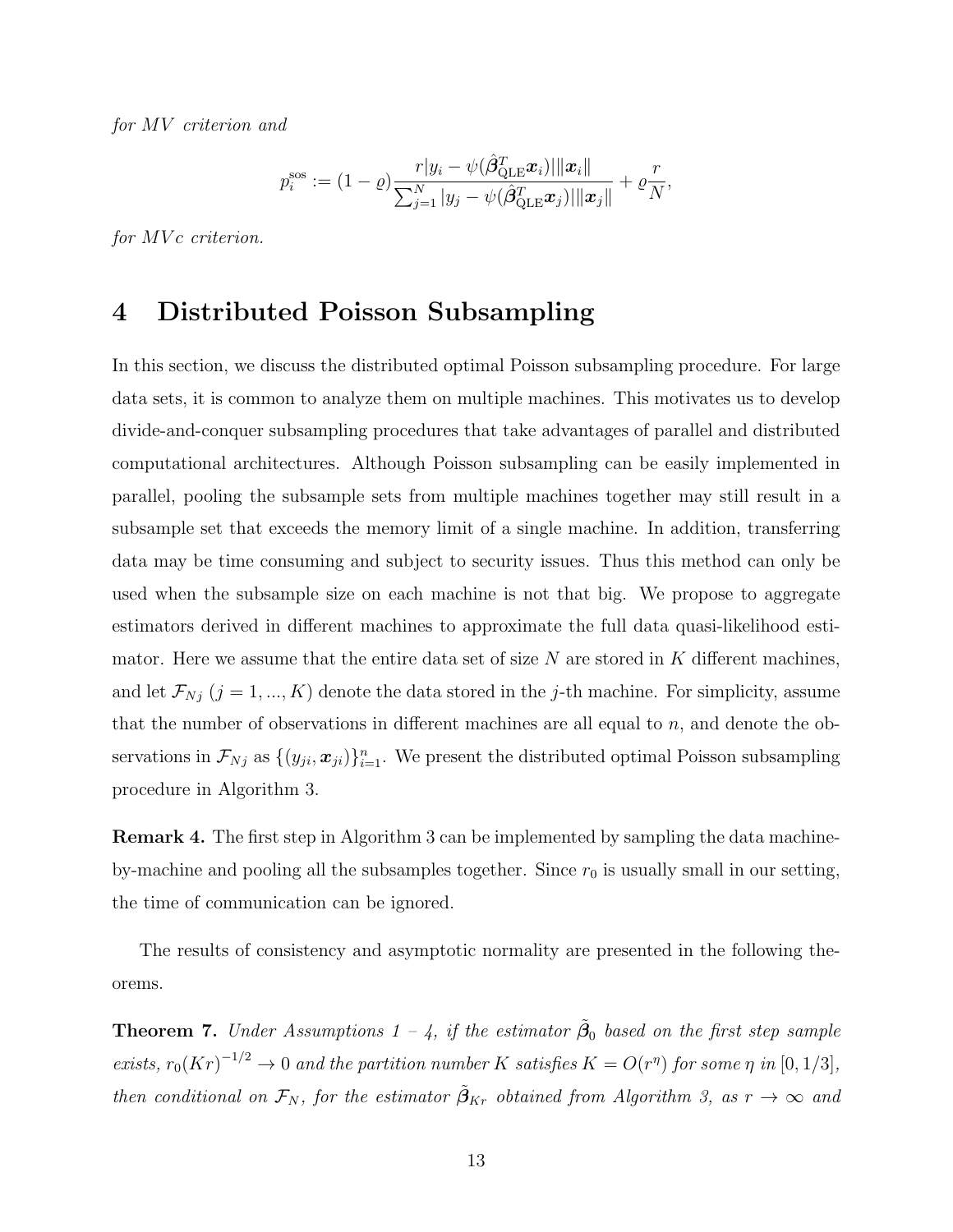for MV criterion and

$$
p_i^{\mathrm{sos}} := (1 - \varrho) \frac{r|y_i - \psi(\hat{\beta}_{\mathrm{QLE}}^T \boldsymbol{x}_i)||\|\boldsymbol{x}_i\|}{\sum_{j=1}^N |y_j - \psi(\hat{\beta}_{\mathrm{QLE}}^T \boldsymbol{x}_j)||\|\boldsymbol{x}_j\|} + \varrho \frac{r}{N},
$$

for MVc criterion.

## <span id="page-12-0"></span>4 Distributed Poisson Subsampling

In this section, we discuss the distributed optimal Poisson subsampling procedure. For large data sets, it is common to analyze them on multiple machines. This motivates us to develop divide-and-conquer subsampling procedures that take advantages of parallel and distributed computational architectures. Although Poisson subsampling can be easily implemented in parallel, pooling the subsample sets from multiple machines together may still result in a subsample set that exceeds the memory limit of a single machine. In addition, transferring data may be time consuming and subject to security issues. Thus this method can only be used when the subsample size on each machine is not that big. We propose to aggregate estimators derived in different machines to approximate the full data quasi-likelihood estimator. Here we assume that the entire data set of size  $N$  are stored in  $K$  different machines, and let  $\mathcal{F}_{Nj}$  ( $j = 1, ..., K$ ) denote the data stored in the j-th machine. For simplicity, assume that the number of observations in different machines are all equal to n, and denote the observations in  $\mathcal{F}_{Nj}$  as  $\{(y_{ji}, x_{ji})\}_{i=1}^n$ . We present the distributed optimal Poisson subsampling procedure in Algorithm [3.](#page-13-0)

Remark 4. The first step in Algorithm [3](#page-13-0) can be implemented by sampling the data machineby-machine and pooling all the subsamples together. Since  $r_0$  is usually small in our setting, the time of communication can be ignored.

The results of consistency and asymptotic normality are presented in the following theorems.

**Theorem 7.** Under Assumptions  $1 - 4$ , if the estimator  $\tilde{\beta}_0$  based on the first step sample exists,  $r_0(Kr)^{-1/2} \to 0$  and the partition number K satisfies  $K = O(r^{\eta})$  for some  $\eta$  in  $[0, 1/3]$ , then conditional on  $\mathcal{F}_N$ , for the estimator  $\tilde{\beta}_{Kr}$  obtained from Algorithm [3,](#page-13-0) as  $r \to \infty$  and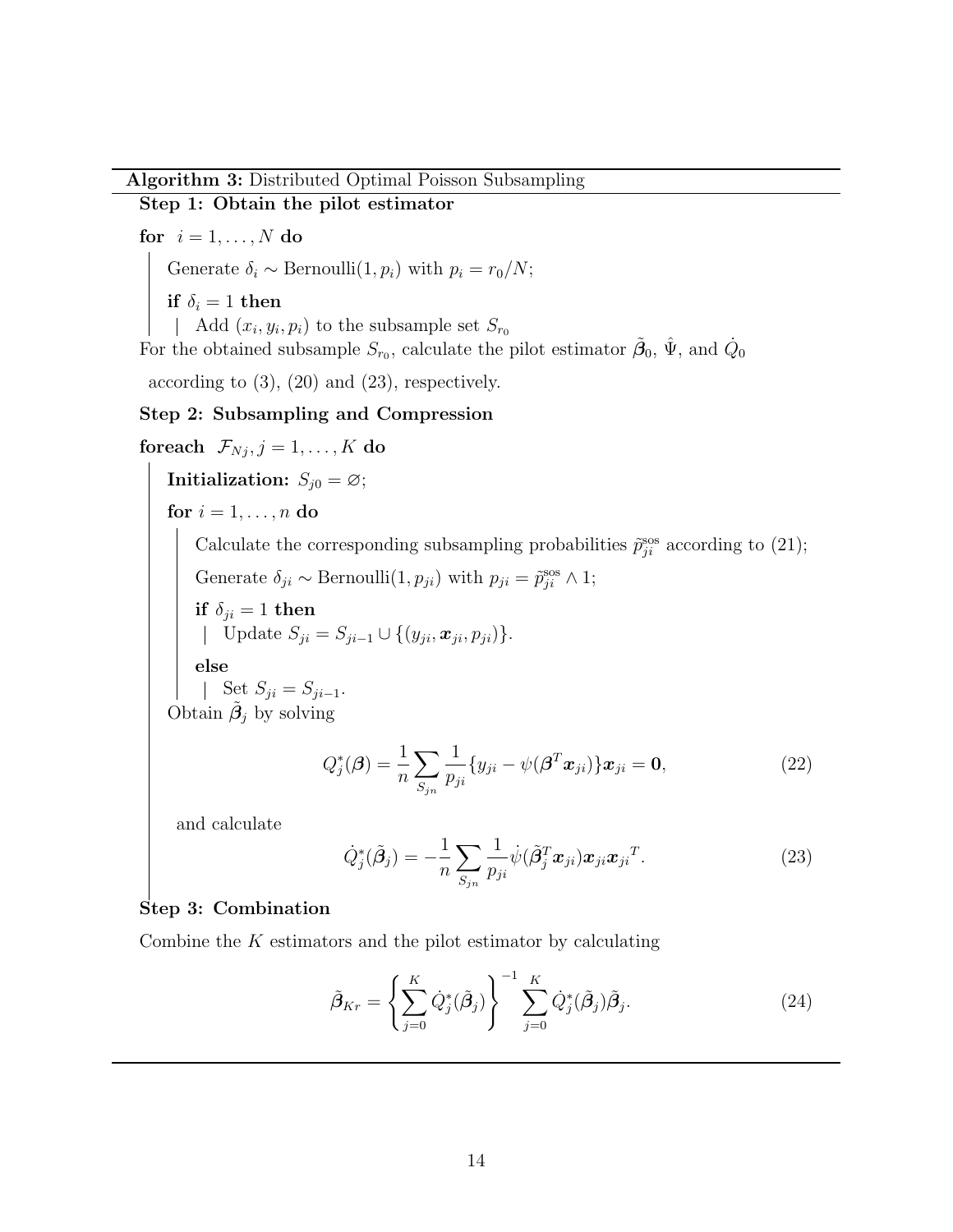#### Algorithm 3: Distributed Optimal Poisson Subsampling

#### Step 1: Obtain the pilot estimator

for  $i = 1, \ldots, N$  do

Generate  $\delta_i \sim \text{Bernoulli}(1, p_i)$  with  $p_i = r_0/N$ ;

if  $\delta_i = 1$  then

Add  $(x_i, y_i, p_i)$  to the subsample set  $S_{r_0}$ 

For the obtained subsample  $S_{r_0}$ , calculate the pilot estimator  $\tilde{\beta}_0$ ,  $\hat{\Psi}$ , and  $\dot{Q}_0$ 

according to [\(3\)](#page-4-5), [\(20\)](#page-9-1) and [\(23\)](#page-13-1), respectively.

#### Step 2: Subsampling and Compression

foreach  $\mathcal{F}_{Nj}, j=1,\ldots,K$  do Initialization:  $S_{j0} = \emptyset$ ; for  $i = 1, \ldots, n$  do Calculate the corresponding subsampling probabilities  $\tilde{p}_{ji}^{\text{sos}}$  according to [\(21\)](#page-9-0); Generate  $\delta_{ji} \sim \text{Bernoulli}(1, p_{ji})$  with  $p_{ji} = \tilde{p}_{ji}^{\text{sos}} \wedge 1$ ; if  $\delta_{ji} = 1$  then Update  $S_{ji} = S_{ji-1} \cup \{(y_{ji}, x_{ji}, p_{ji})\}.$ else Set  $S_{ji} = S_{ji-1}$ . Obtain  $\tilde{\beta}_j$  by solving

$$
Q_j^*(\boldsymbol{\beta}) = \frac{1}{n} \sum_{S_{jn}} \frac{1}{p_{ji}} \{ y_{ji} - \psi(\boldsymbol{\beta}^T \boldsymbol{x}_{ji}) \} \boldsymbol{x}_{ji} = \mathbf{0},
$$
\n(22)

and calculate

<span id="page-13-1"></span>
$$
\dot{Q}_j^*(\tilde{\boldsymbol{\beta}}_j) = -\frac{1}{n} \sum_{S_{jn}} \frac{1}{p_{ji}} \dot{\psi}(\tilde{\boldsymbol{\beta}}_j^T \boldsymbol{x}_{ji}) \boldsymbol{x}_{ji} \boldsymbol{x}_{ji}^T. \tag{23}
$$

#### Step 3: Combination

<span id="page-13-0"></span>Combine the  $K$  estimators and the pilot estimator by calculating

$$
\tilde{\boldsymbol{\beta}}_{Kr} = \left\{ \sum_{j=0}^{K} \dot{Q}_j^*(\tilde{\boldsymbol{\beta}}_j) \right\}^{-1} \sum_{j=0}^{K} \dot{Q}_j^*(\tilde{\boldsymbol{\beta}}_j) \tilde{\boldsymbol{\beta}}_j. \tag{24}
$$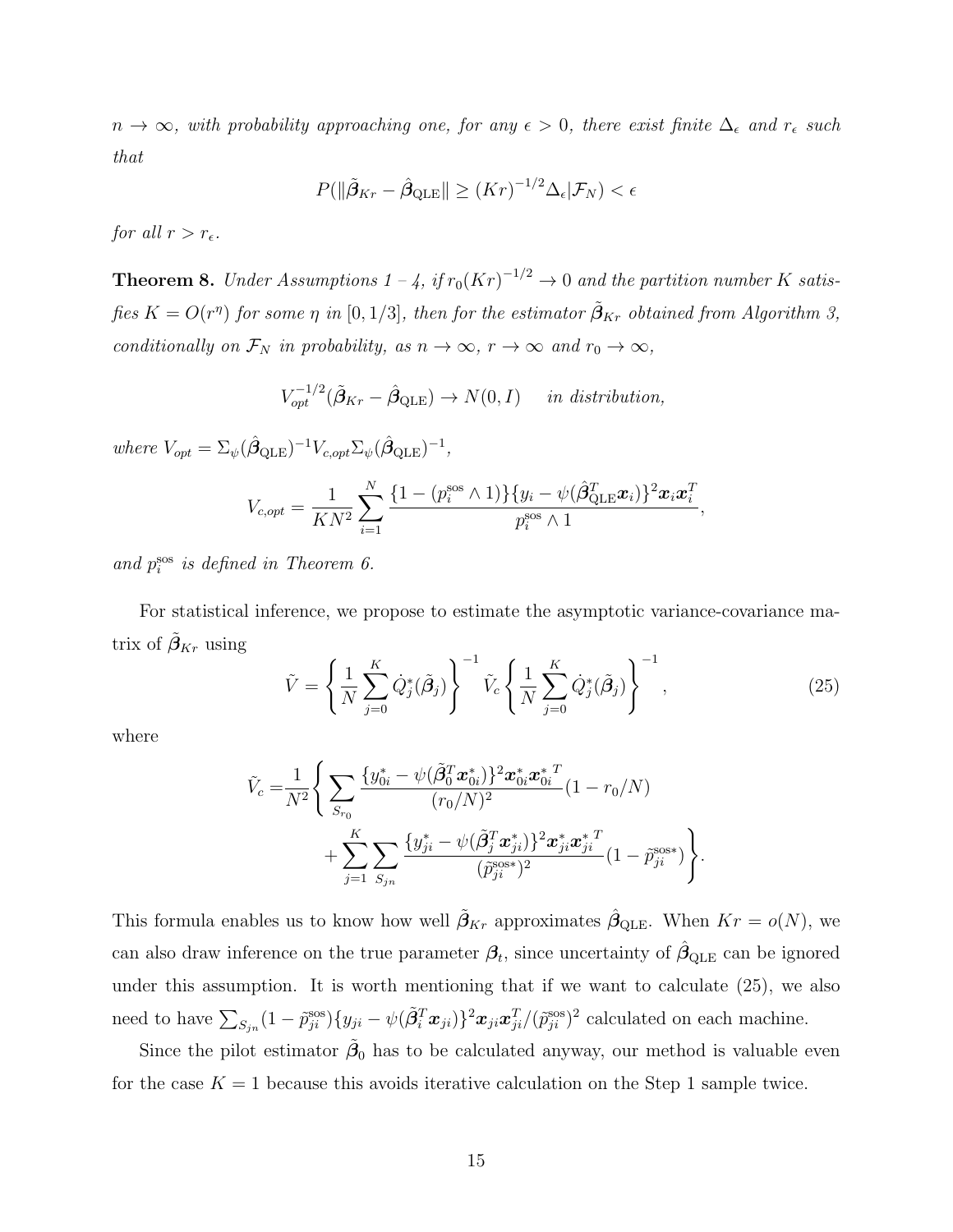$n \to \infty$ , with probability approaching one, for any  $\epsilon > 0$ , there exist finite  $\Delta_{\epsilon}$  and  $r_{\epsilon}$  such that

$$
P(||\tilde{\beta}_{Kr} - \hat{\beta}_{\text{QLE}}|| \geq (Kr)^{-1/2} \Delta_{\epsilon}|\mathcal{F}_N) < \epsilon
$$

for all  $r > r_{\epsilon}$ .

**Theorem 8.** Under Assumptions  $1 - 4$ , if  $r_0(Kr)^{-1/2} \to 0$  and the partition number K satisfies  $K = O(r^{\eta})$  for some  $\eta$  in  $[0,1/3]$ , then for the estimator  $\tilde{\boldsymbol{\beta}}_{Kr}$  obtained from Algorithm [3,](#page-13-0) conditionally on  $\mathcal{F}_N$  in probability, as  $n \to \infty$ ,  $r \to \infty$  and  $r_0 \to \infty$ ,

$$
V_{opt}^{-1/2}(\tilde{\beta}_{Kr} - \hat{\beta}_{\text{QLE}}) \to N(0, I) \quad in \ distribution,
$$

where  $V_{opt} = \Sigma_{\psi} (\hat{\beta}_{\text{QLE}})^{-1} V_{c, opt} \Sigma_{\psi} (\hat{\beta}_{\text{QLE}})^{-1},$ 

$$
V_{c, opt} = \frac{1}{KN^2} \sum_{i=1}^{N} \frac{\{1 - (p_i^{\text{sos}} \wedge 1)\} \{y_i - \psi(\hat{\boldsymbol{\beta}}_{\text{QLE}}^T \boldsymbol{x}_i)\}^2 \boldsymbol{x}_i \boldsymbol{x}_i^T}{p_i^{\text{sos}} \wedge 1},
$$

and  $p_i^{\text{sos}}$  is defined in Theorem [6.](#page-11-1)

For statistical inference, we propose to estimate the asymptotic variance-covariance matrix of  $\tilde{\beta}_{Kr}$  using

<span id="page-14-0"></span>
$$
\tilde{V} = \left\{ \frac{1}{N} \sum_{j=0}^{K} \dot{Q}_{j}^{*}(\tilde{\beta}_{j}) \right\}^{-1} \tilde{V}_{c} \left\{ \frac{1}{N} \sum_{j=0}^{K} \dot{Q}_{j}^{*}(\tilde{\beta}_{j}) \right\}^{-1},
$$
\n(25)

where

$$
\tilde{V}_c = \frac{1}{N^2} \Bigg\{ \sum_{S_{r_0}} \frac{\{y_{0i}^* - \psi(\tilde{\beta}_0^T \boldsymbol{x}_{0i}^*)\}^2 \boldsymbol{x}_{0i}^* \boldsymbol{x}_{0i}^{* \ T}}{(r_0/N)^2} (1 - r_0/N) + \sum_{j=1}^K \sum_{S_{jn}} \frac{\{y_{ji}^* - \psi(\tilde{\beta}_j^T \boldsymbol{x}_{ji}^*)\}^2 \boldsymbol{x}_{ji}^* \boldsymbol{x}_{ji}^{* \ T}}{(\tilde{p}_{ji}^{\mathrm{sos}*})^2} (1 - \tilde{p}_{ji}^{\mathrm{sos}*}) \Bigg\}.
$$

This formula enables us to know how well  $\tilde{\beta}_{Kr}$  approximates  $\hat{\beta}_{QLE}$ . When  $Kr = o(N)$ , we can also draw inference on the true parameter  $\beta_t$ , since uncertainty of  $\hat{\beta}_{\text{QLE}}$  can be ignored under this assumption. It is worth mentioning that if we want to calculate [\(25\)](#page-14-0), we also need to have  $\sum_{S_{jn}} (1 - \tilde{p}_{ji}^{\text{ss}}) \{y_{ji} - \psi(\tilde{\beta}_i^T \boldsymbol{x}_{ji})\}^2 \boldsymbol{x}_{ji} \boldsymbol{x}_{ji}^T / (\tilde{p}_{ji}^{\text{ssos}})^2$  calculated on each machine.

Since the pilot estimator  $\tilde{\beta}_0$  has to be calculated anyway, our method is valuable even for the case  $K = 1$  because this avoids iterative calculation on the Step 1 sample twice.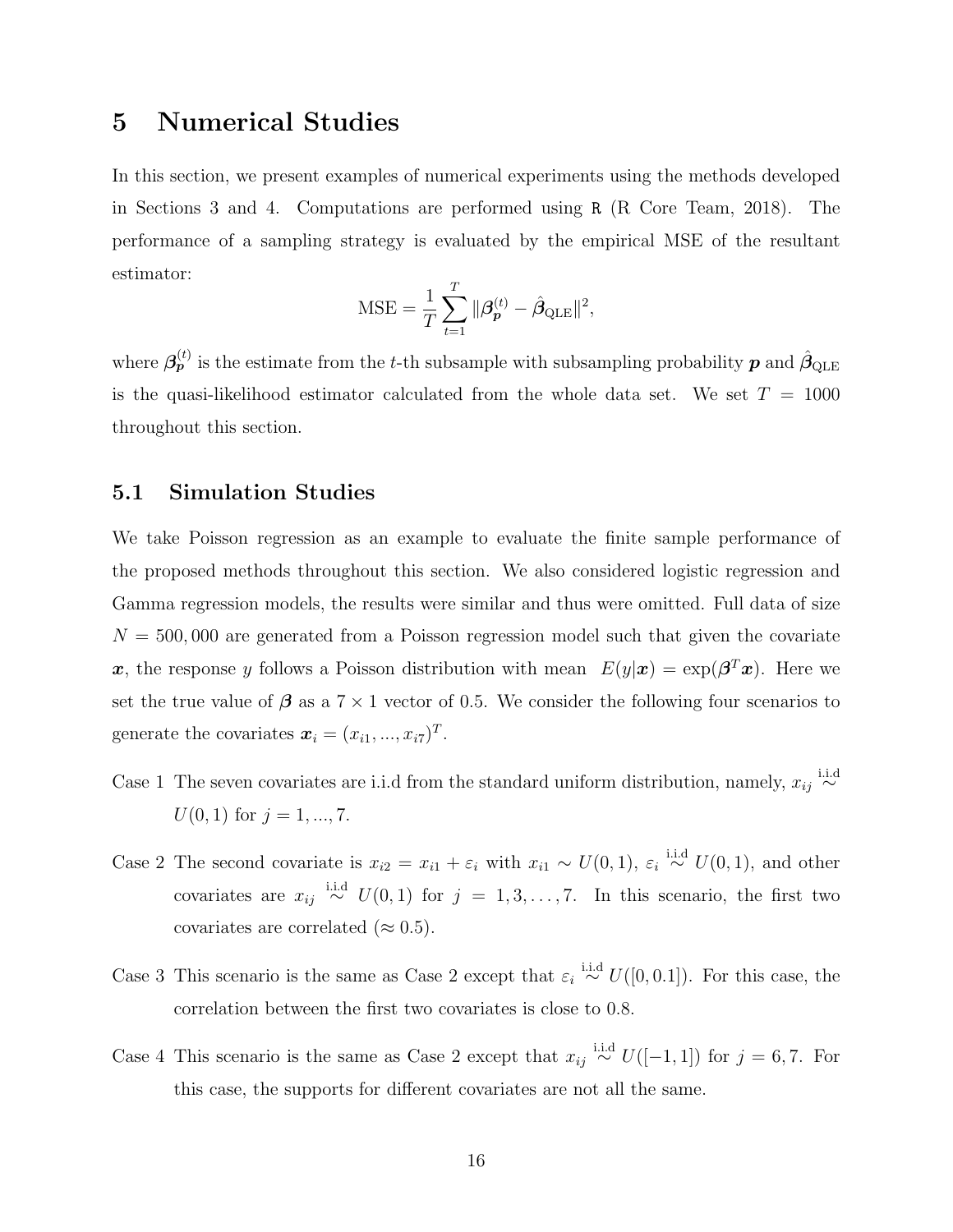## <span id="page-15-0"></span>5 Numerical Studies

In this section, we present examples of numerical experiments using the methods developed in Sections [3](#page-6-0) and [4.](#page-12-0) Computations are performed using R [\(R Core Team, 2018\)](#page-57-9). The performance of a sampling strategy is evaluated by the empirical MSE of the resultant estimator:

$$
\text{MSE} = \frac{1}{T} \sum_{t=1}^{T} ||\boldsymbol{\beta}_{\boldsymbol{p}}^{(t)} - \hat{\boldsymbol{\beta}}_{\text{QLE}}||^2,
$$

where  $\beta_{p}^{(t)}$  is the estimate from the t-th subsample with subsampling probability  $p$  and  $\hat{\beta}_{\text{QLE}}$ is the quasi-likelihood estimator calculated from the whole data set. We set  $T = 1000$ throughout this section.

### 5.1 Simulation Studies

We take Poisson regression as an example to evaluate the finite sample performance of the proposed methods throughout this section. We also considered logistic regression and Gamma regression models, the results were similar and thus were omitted. Full data of size  $N = 500,000$  are generated from a Poisson regression model such that given the covariate x, the response y follows a Poisson distribution with mean  $E(y|\mathbf{x}) = \exp(\boldsymbol{\beta}^T\mathbf{x})$ . Here we set the true value of  $\beta$  as a  $7 \times 1$  vector of 0.5. We consider the following four scenarios to generate the covariates  $\boldsymbol{x}_i = (x_{i1},...,x_{i7})^T$ .

- Case 1 The seven covariates are i.i.d from the standard uniform distribution, namely,  $x_{ij} \stackrel{\text{i.i.d}}{\sim}$  $U(0, 1)$  for  $j = 1, ..., 7$ .
- Case 2 The second covariate is  $x_{i2} = x_{i1} + \varepsilon_i$  with  $x_{i1} \sim U(0, 1)$ ,  $\varepsilon_i \stackrel{\text{i.i.d}}{\sim} U(0, 1)$ , and other covariates are  $x_{ij} \stackrel{\text{i.i.d}}{\sim} U(0,1)$  for  $j = 1, 3, \ldots, 7$ . In this scenario, the first two covariates are correlated ( $\approx 0.5$ ).
- Case 3 This scenario is the same as Case 2 except that  $\varepsilon_i \stackrel{\text{i.i.d}}{\sim} U([0,0.1])$ . For this case, the correlation between the first two covariates is close to 0.8.
- Case 4 This scenario is the same as Case 2 except that  $x_{ij} \stackrel{\text{i.i.d}}{\sim} U([-1,1])$  for  $j = 6,7$ . For this case, the supports for different covariates are not all the same.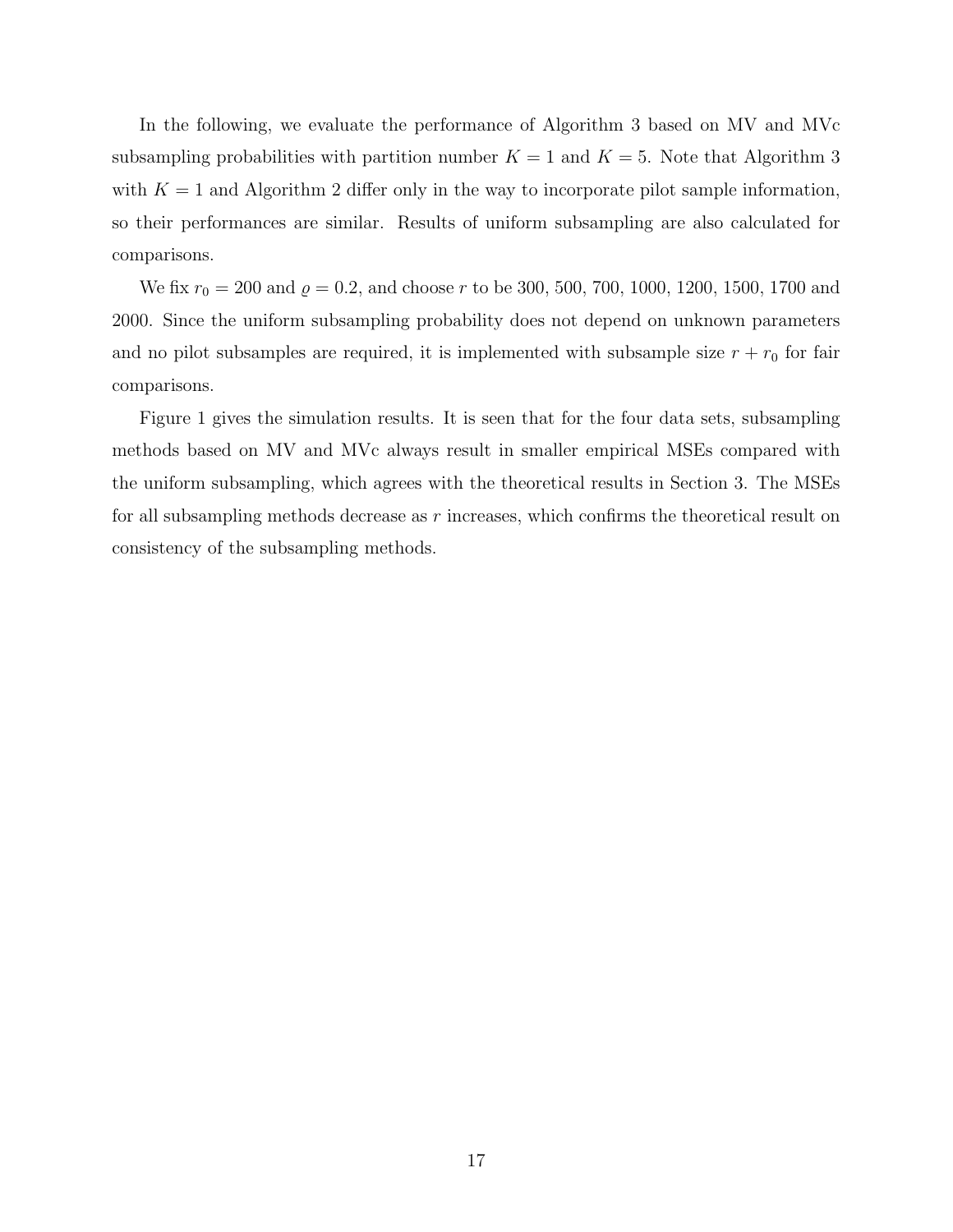In the following, we evaluate the performance of Algorithm [3](#page-13-0) based on MV and MVc subsampling probabilities with partition number  $K = 1$  and  $K = 5$ . Note that Algorithm [3](#page-13-0) with  $K = 1$  and Algorithm [2](#page-11-0) differ only in the way to incorporate pilot sample information, so their performances are similar. Results of uniform subsampling are also calculated for comparisons.

We fix  $r_0 = 200$  and  $\varrho = 0.2$ , and choose r to be 300, 500, 700, 1000, 1200, 1500, 1700 and 2000. Since the uniform subsampling probability does not depend on unknown parameters and no pilot subsamples are required, it is implemented with subsample size  $r + r_0$  for fair comparisons.

Figure [1](#page-17-0) gives the simulation results. It is seen that for the four data sets, subsampling methods based on MV and MVc always result in smaller empirical MSEs compared with the uniform subsampling, which agrees with the theoretical results in Section [3.](#page-6-0) The MSEs for all subsampling methods decrease as  $r$  increases, which confirms the theoretical result on consistency of the subsampling methods.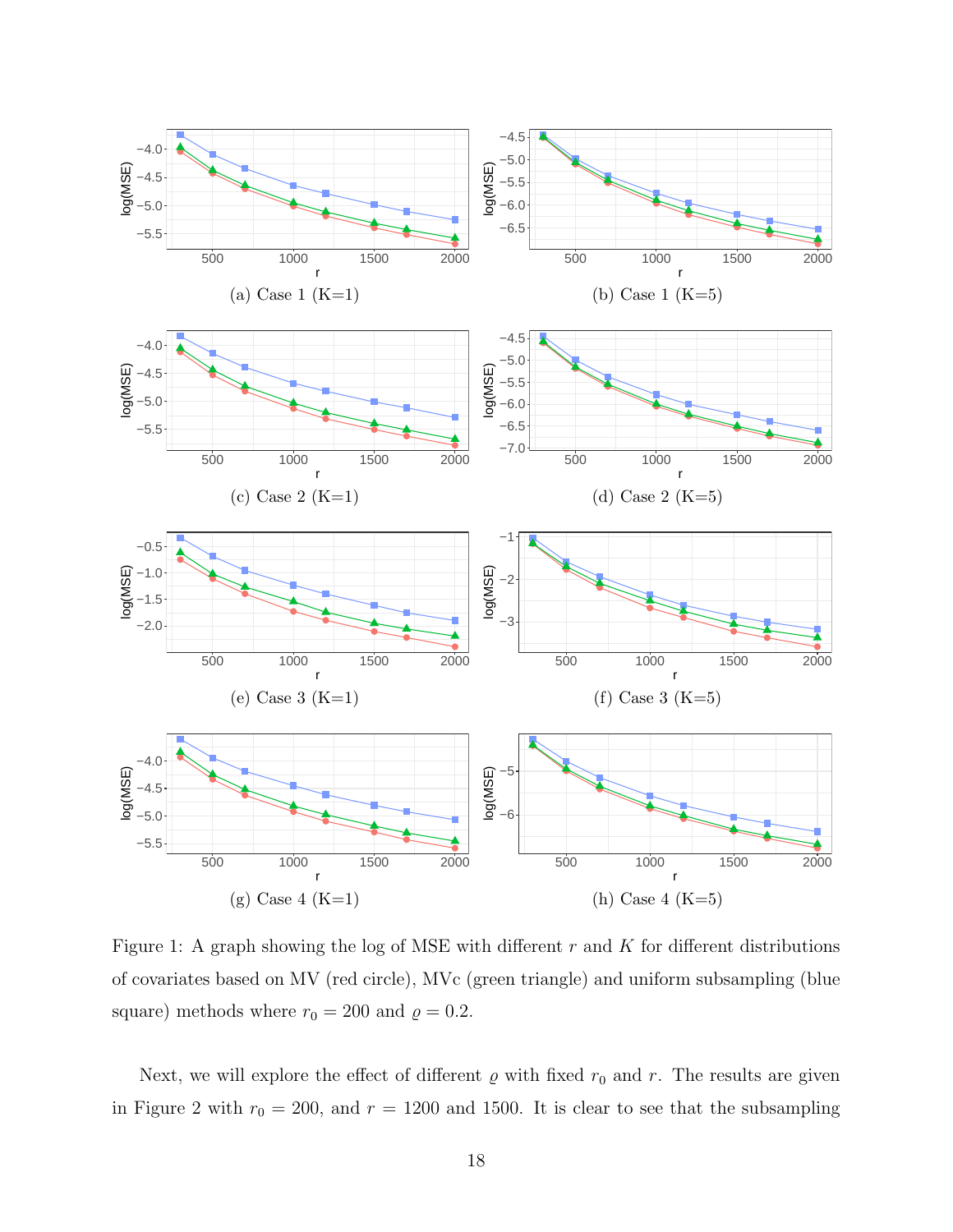<span id="page-17-0"></span>

Figure 1: A graph showing the log of MSE with different  $r$  and  $K$  for different distributions of covariates based on MV (red circle), MVc (green triangle) and uniform subsampling (blue square) methods where  $r_0 = 200$  and  $\varrho = 0.2.$ 

Next, we will explore the effect of different  $\varrho$  with fixed  $r_0$  and r. The results are given in Figure [2](#page-18-0) with  $r_0 = 200$ , and  $r = 1200$  and 1500. It is clear to see that the subsampling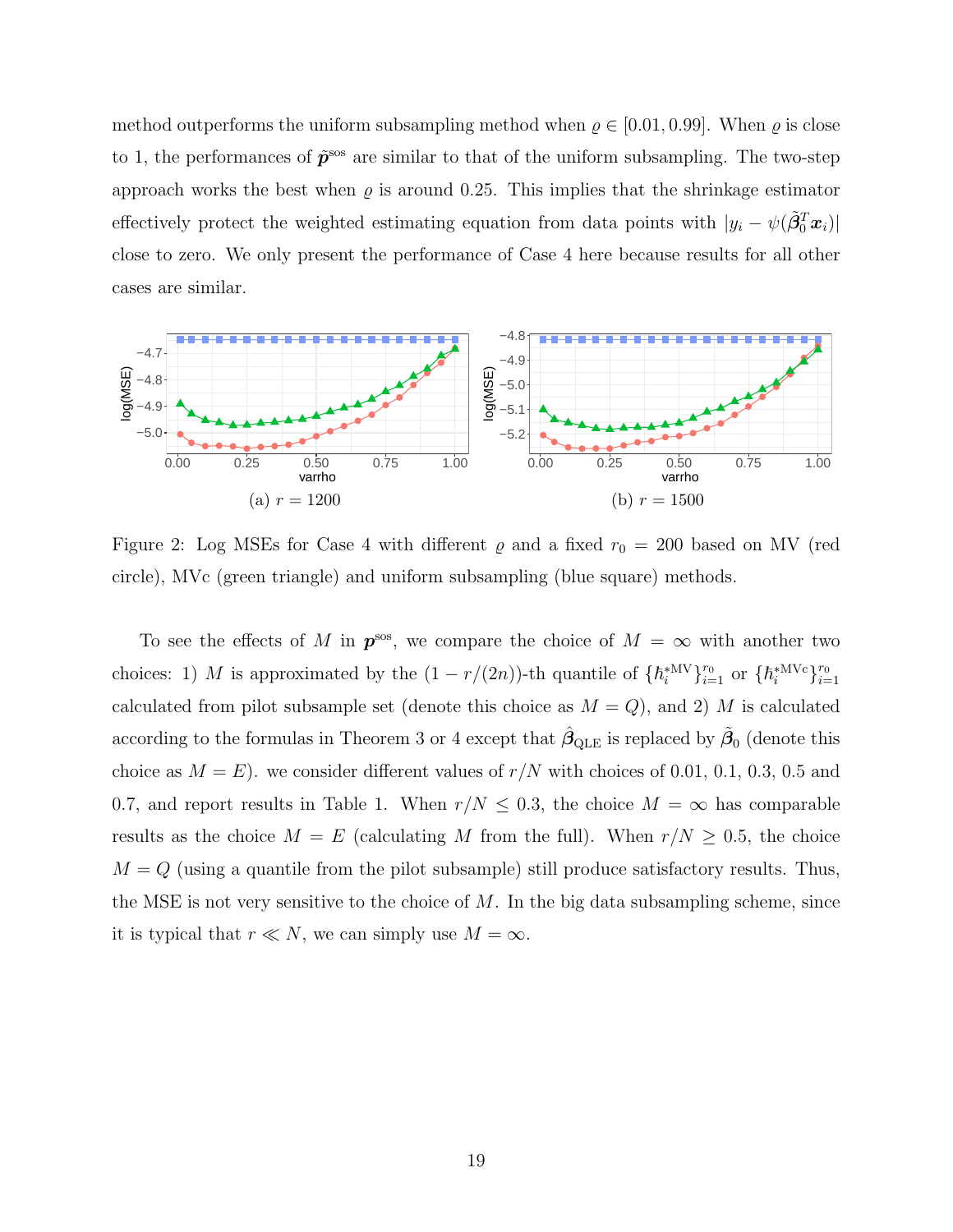method outperforms the uniform subsampling method when  $\rho \in [0.01, 0.99]$ . When  $\rho$  is close to 1, the performances of  $\tilde{p}^{s}$  are similar to that of the uniform subsampling. The two-step approach works the best when  $\rho$  is around 0.25. This implies that the shrinkage estimator effectively protect the weighted estimating equation from data points with  $|y_i - \psi(\tilde{\beta}_0^T x_i)|$ close to zero. We only present the performance of Case 4 here because results for all other cases are similar.

<span id="page-18-0"></span>

Figure 2: Log MSEs for Case 4 with different  $\varrho$  and a fixed  $r_0 = 200$  based on MV (red circle), MVc (green triangle) and uniform subsampling (blue square) methods.

To see the effects of M in  $p^{\rm sos}$ , we compare the choice of  $M = \infty$  with another two choices: 1) M is approximated by the  $(1 - r/(2n))$ -th quantile of  $\{\hbar_i^{*MV}\}_{i=1}^r$  or  $\{\hbar_i^{*MVc}\}_{i=1}^r$ calculated from pilot subsample set (denote this choice as  $M = Q$ ), and 2) M is calculated according to the formulas in Theorem [3](#page-6-5) or [4](#page-8-0) except that  $\hat{\beta}_{\text{QLE}}$  is replaced by  $\tilde{\beta}_0$  (denote this choice as  $M = E$ ). we consider different values of  $r/N$  with choices of 0.01, 0.1, 0.3, 0.5 and 0.7, and report results in Table [1.](#page-19-0) When  $r/N \leq 0.3$ , the choice  $M = \infty$  has comparable results as the choice  $M = E$  (calculating M from the full). When  $r/N \geq 0.5$ , the choice  $M = Q$  (using a quantile from the pilot subsample) still produce satisfactory results. Thus, the MSE is not very sensitive to the choice of  $M$ . In the big data subsampling scheme, since it is typical that  $r \ll N$ , we can simply use  $M = \infty$ .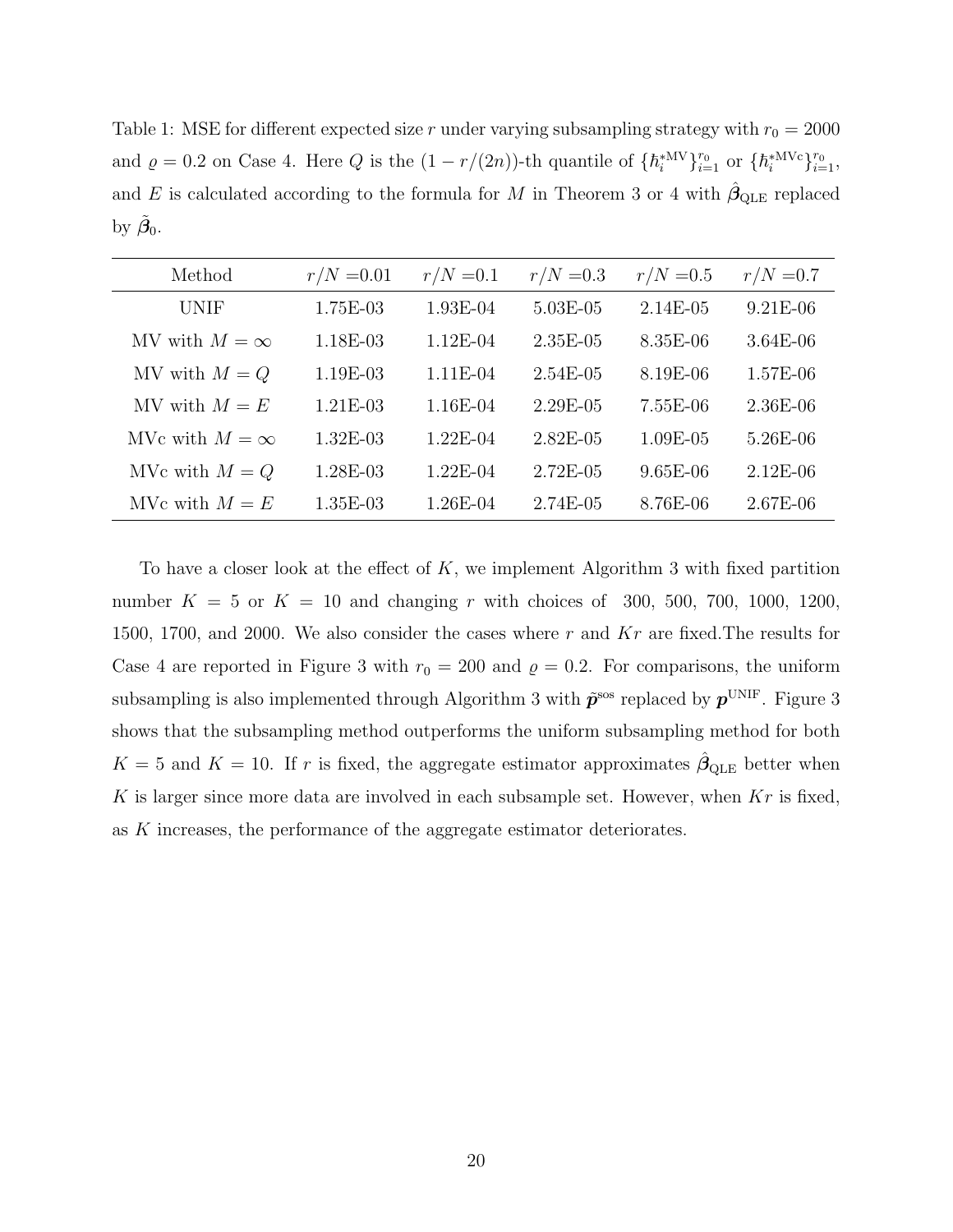<span id="page-19-0"></span>Table 1: MSE for different expected size r under varying subsampling strategy with  $r_0 = 2000$ and  $\rho = 0.2$  on Case 4. Here Q is the  $(1 - r/(2n))$ -th quantile of  $\{h_i^{*MV}\}_{i=1}^{r_0}$  or  $\{h_i^{*MVC}\}_{i=1}^{r_0}$ , and E is calculated according to the formula for M in Theorem [3](#page-6-5) or [4](#page-8-0) with  $\hat{\beta}_{QLE}$  replaced by  $\tilde{\beta}_0$ .

| Method                | $r/N = 0.01$ | $r/N = 0.1$ | $r/N = 0.3$   | $r/N = 0.5$ | $r/N = 0.7$ |
|-----------------------|--------------|-------------|---------------|-------------|-------------|
| UNIF                  | 1.75E-03     | $1.93E-04$  | 5.03E-05      | $2.14E-05$  | $9.21E-06$  |
| MV with $M = \infty$  | 1.18E-03     | $1.12E-04$  | $2.35E-0.5$   | $8.35E-06$  | $3.64E-06$  |
| MV with $M = Q$       | 1.19E-03     | $1.11E-04$  | $2.54E-05$    | 8.19E-06    | 1.57E-06    |
| MV with $M = E$       | $1.21E-03$   | 1.16E-04    | $2.29E - 0.5$ | 7.55E-06    | 2.36E-06    |
| MVc with $M = \infty$ | $1.32E-03$   | $1.22E-04$  | $2.82E - 05$  | $1.09E-05$  | 5.26E-06    |
| MVc with $M = Q$      | $1.28E-03$   | $1.22E-04$  | $2.72E-0.5$   | $9.65E-06$  | $2.12E-06$  |
| MVc with $M = E$      | $1.35E-03$   | 1.26E-04    | 2.74E-05      | 8.76E-06    | $2.67E-06$  |

To have a closer look at the effect of  $K$ , we implement Algorithm [3](#page-13-0) with fixed partition number  $K = 5$  or  $K = 10$  and changing r with choices of 300, 500, 700, 1000, 1200, 1500, 1700, and 2000. We also consider the cases where r and  $Kr$  are fixed. The results for Case 4 are reported in Figure [3](#page-20-0) with  $r_0 = 200$  and  $\rho = 0.2$ . For comparisons, the uniform subsampling is also implemented through Algorithm [3](#page-20-0) with  $\tilde{p}^{\rm sos}$  replaced by  $p^{\text{UNIF}}$  . Figure 3 shows that the subsampling method outperforms the uniform subsampling method for both  $K = 5$  and  $K = 10$ . If r is fixed, the aggregate estimator approximates  $\hat{\beta}_{\text{QLE}}$  better when K is larger since more data are involved in each subsample set. However, when  $Kr$  is fixed, as K increases, the performance of the aggregate estimator deteriorates.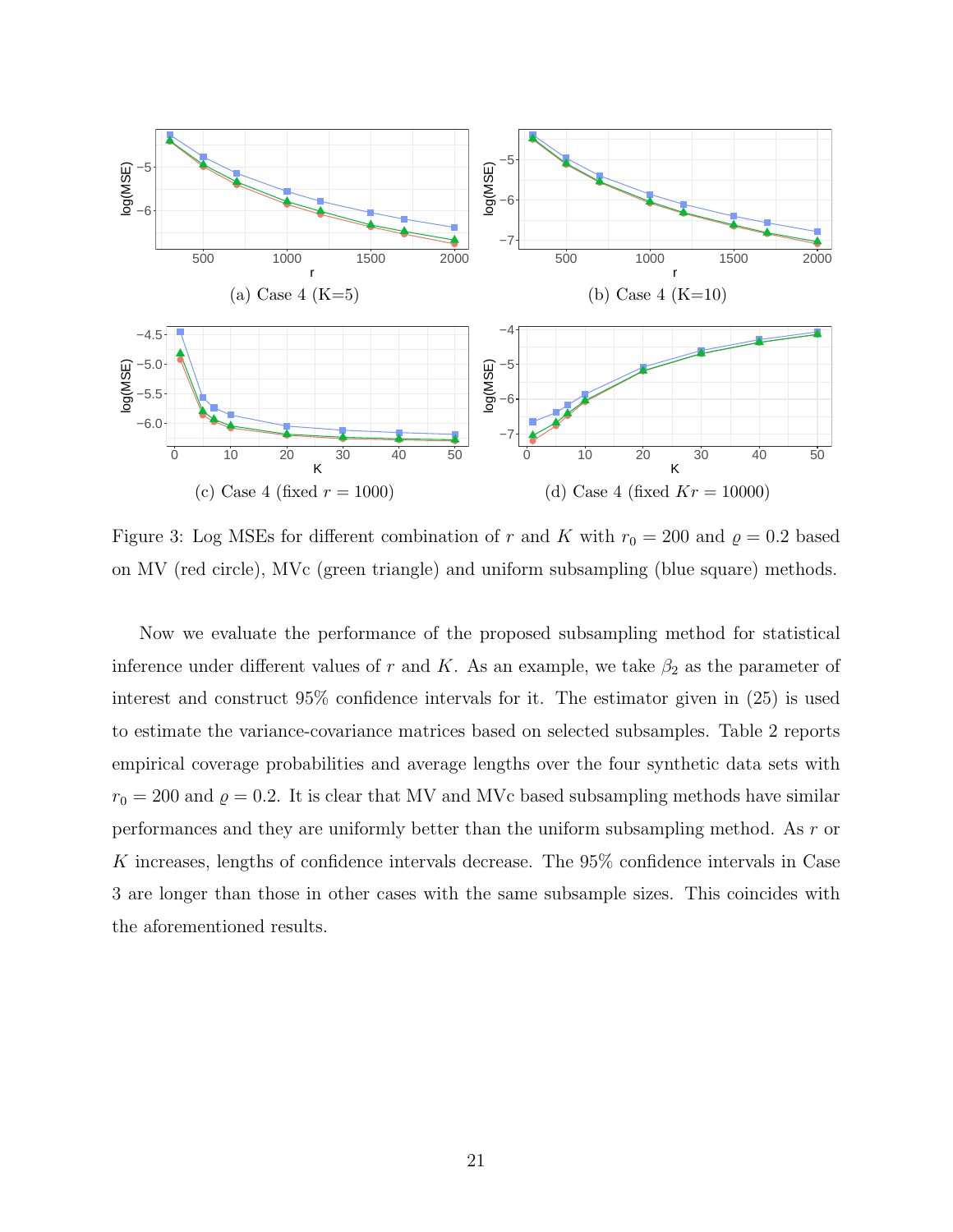<span id="page-20-0"></span>

Figure 3: Log MSEs for different combination of r and K with  $r_0 = 200$  and  $\rho = 0.2$  based on MV (red circle), MVc (green triangle) and uniform subsampling (blue square) methods.

Now we evaluate the performance of the proposed subsampling method for statistical inference under different values of r and K. As an example, we take  $\beta_2$  as the parameter of interest and construct 95% confidence intervals for it. The estimator given in [\(25\)](#page-14-0) is used to estimate the variance-covariance matrices based on selected subsamples. Table [2](#page-21-0) reports empirical coverage probabilities and average lengths over the four synthetic data sets with  $r_0 = 200$  and  $\rho = 0.2$ . It is clear that MV and MVc based subsampling methods have similar performances and they are uniformly better than the uniform subsampling method. As r or  $K$  increases, lengths of confidence intervals decrease. The  $95\%$  confidence intervals in Case 3 are longer than those in other cases with the same subsample sizes. This coincides with the aforementioned results.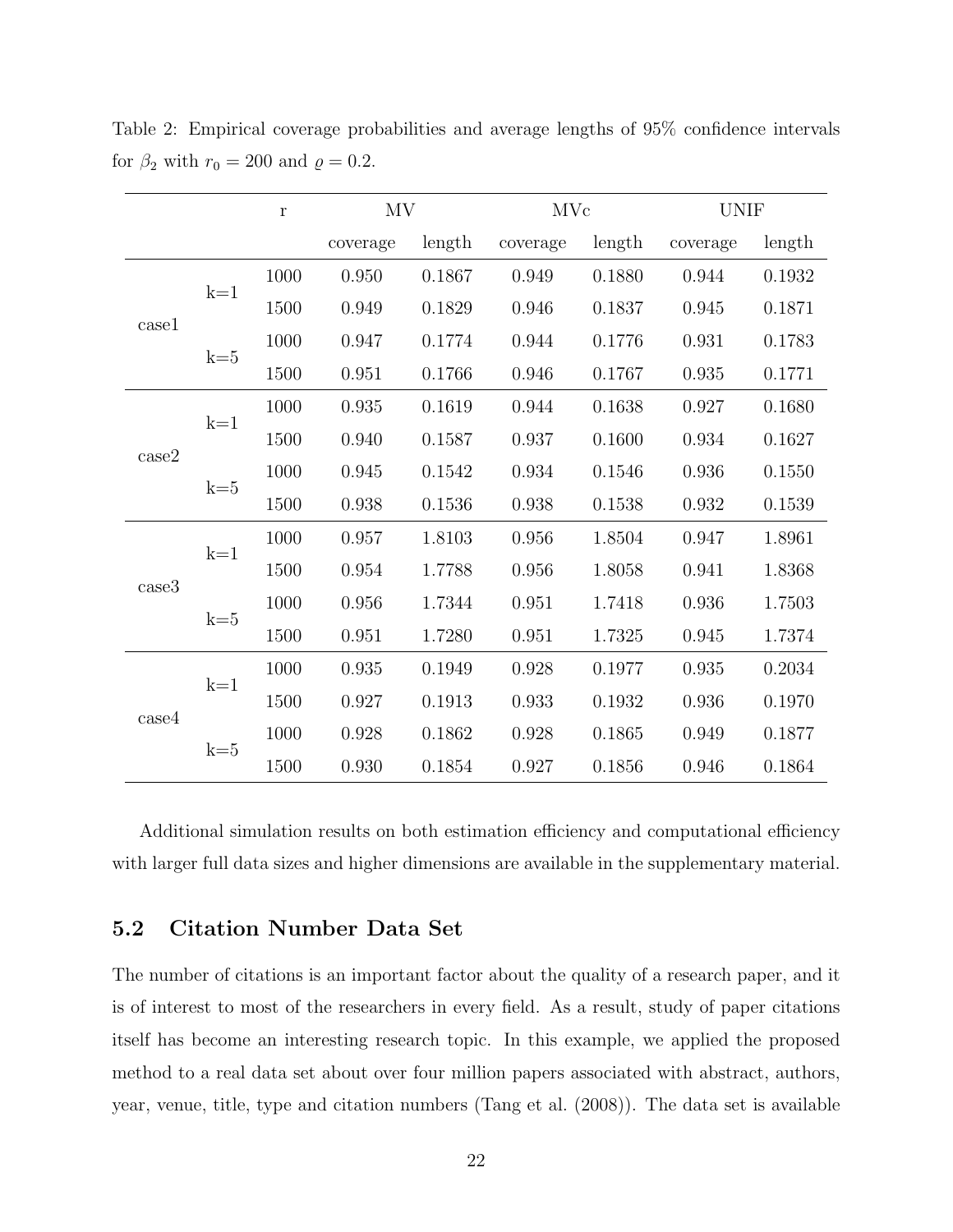|       |       | $\Gamma$ | MV       |        | MVc      |        | <b>UNIF</b> |        |
|-------|-------|----------|----------|--------|----------|--------|-------------|--------|
|       |       |          | coverage | length | coverage | length | coverage    | length |
| case1 | $k=1$ | 1000     | 0.950    | 0.1867 | 0.949    | 0.1880 | 0.944       | 0.1932 |
|       |       | 1500     | 0.949    | 0.1829 | 0.946    | 0.1837 | 0.945       | 0.1871 |
|       | $k=5$ | 1000     | 0.947    | 0.1774 | 0.944    | 0.1776 | 0.931       | 0.1783 |
|       |       | 1500     | 0.951    | 0.1766 | 0.946    | 0.1767 | 0.935       | 0.1771 |
| case2 | $k=1$ | 1000     | 0.935    | 0.1619 | 0.944    | 0.1638 | 0.927       | 0.1680 |
|       |       | 1500     | 0.940    | 0.1587 | 0.937    | 0.1600 | 0.934       | 0.1627 |
|       | $k=5$ | 1000     | 0.945    | 0.1542 | 0.934    | 0.1546 | 0.936       | 0.1550 |
|       |       | 1500     | 0.938    | 0.1536 | 0.938    | 0.1538 | 0.932       | 0.1539 |
| case3 | $k=1$ | 1000     | 0.957    | 1.8103 | 0.956    | 1.8504 | 0.947       | 1.8961 |
|       |       | 1500     | 0.954    | 1.7788 | 0.956    | 1.8058 | 0.941       | 1.8368 |
|       | $k=5$ | 1000     | 0.956    | 1.7344 | 0.951    | 1.7418 | 0.936       | 1.7503 |
|       |       | 1500     | 0.951    | 1.7280 | 0.951    | 1.7325 | 0.945       | 1.7374 |
| case4 | $k=1$ | 1000     | 0.935    | 0.1949 | 0.928    | 0.1977 | 0.935       | 0.2034 |
|       |       | 1500     | 0.927    | 0.1913 | 0.933    | 0.1932 | 0.936       | 0.1970 |
|       | $k=5$ | 1000     | 0.928    | 0.1862 | 0.928    | 0.1865 | 0.949       | 0.1877 |
|       |       | 1500     | 0.930    | 0.1854 | 0.927    | 0.1856 | 0.946       | 0.1864 |

<span id="page-21-0"></span>Table 2: Empirical coverage probabilities and average lengths of 95% confidence intervals for  $\beta_2$  with  $r_0 = 200$  and  $\rho = 0.2$ .

Additional simulation results on both estimation efficiency and computational efficiency with larger full data sizes and higher dimensions are available in the supplementary material.

## 5.2 Citation Number Data Set

The number of citations is an important factor about the quality of a research paper, and it is of interest to most of the researchers in every field. As a result, study of paper citations itself has become an interesting research topic. In this example, we applied the proposed method to a real data set about over four million papers associated with abstract, authors, year, venue, title, type and citation numbers [\(Tang et al.](#page-57-10) [\(2008\)](#page-57-10)). The data set is available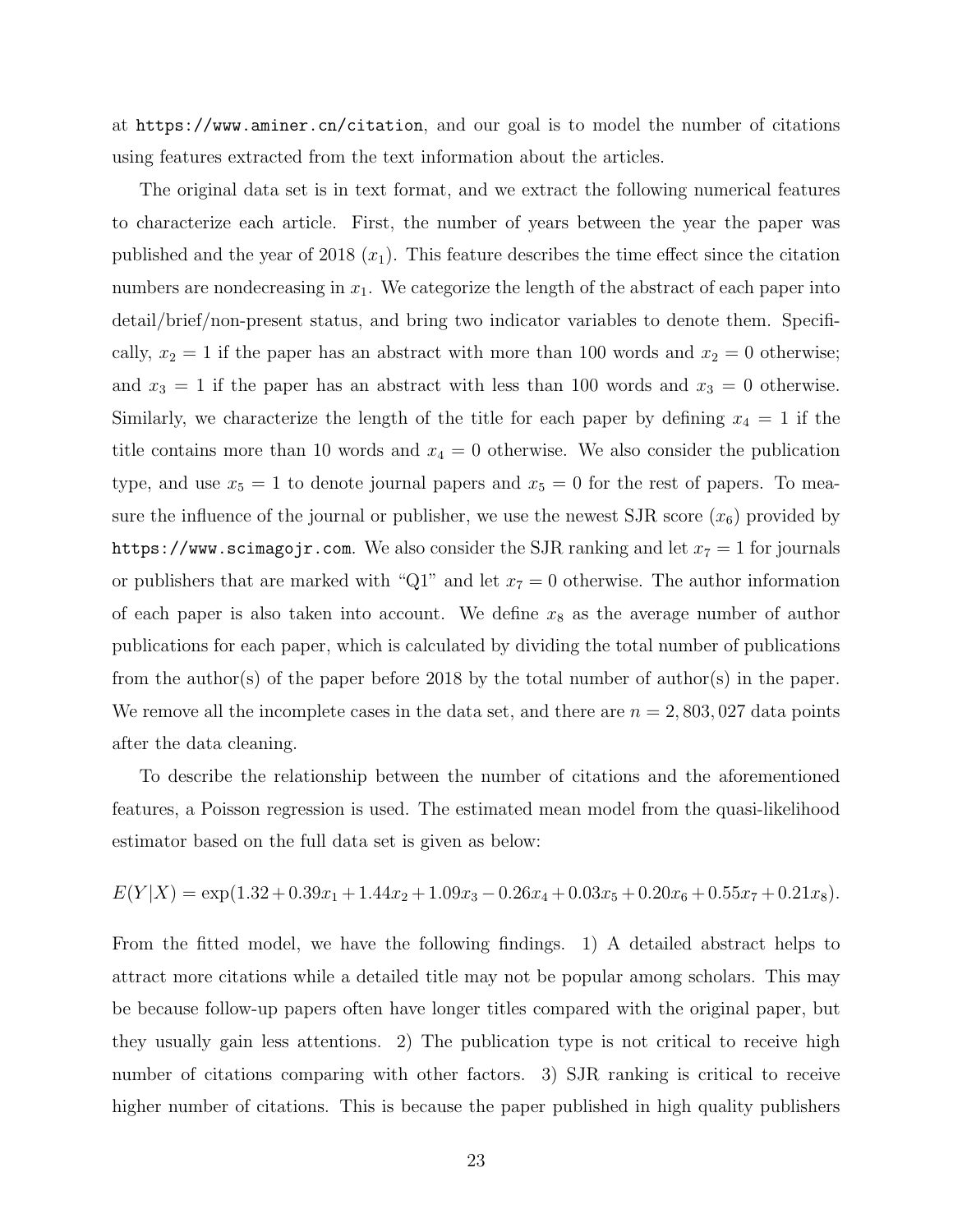at <https://www.aminer.cn/citation>, and our goal is to model the number of citations using features extracted from the text information about the articles.

The original data set is in text format, and we extract the following numerical features to characterize each article. First, the number of years between the year the paper was published and the year of 2018  $(x_1)$ . This feature describes the time effect since the citation numbers are nondecreasing in  $x_1$ . We categorize the length of the abstract of each paper into detail/brief/non-present status, and bring two indicator variables to denote them. Specifically,  $x_2 = 1$  if the paper has an abstract with more than 100 words and  $x_2 = 0$  otherwise; and  $x_3 = 1$  if the paper has an abstract with less than 100 words and  $x_3 = 0$  otherwise. Similarly, we characterize the length of the title for each paper by defining  $x_4 = 1$  if the title contains more than 10 words and  $x_4 = 0$  otherwise. We also consider the publication type, and use  $x_5 = 1$  to denote journal papers and  $x_5 = 0$  for the rest of papers. To measure the influence of the journal or publisher, we use the newest SJR score  $(x_6)$  provided by <https://www.scimagojr.com>. We also consider the SJR ranking and let  $x_7 = 1$  for journals or publishers that are marked with "Q1" and let  $x_7 = 0$  otherwise. The author information of each paper is also taken into account. We define  $x_8$  as the average number of author publications for each paper, which is calculated by dividing the total number of publications from the author(s) of the paper before 2018 by the total number of author(s) in the paper. We remove all the incomplete cases in the data set, and there are  $n = 2,803,027$  data points after the data cleaning.

To describe the relationship between the number of citations and the aforementioned features, a Poisson regression is used. The estimated mean model from the quasi-likelihood estimator based on the full data set is given as below:

$$
E(Y|X) = \exp(1.32 + 0.39x_1 + 1.44x_2 + 1.09x_3 - 0.26x_4 + 0.03x_5 + 0.20x_6 + 0.55x_7 + 0.21x_8).
$$

From the fitted model, we have the following findings. 1) A detailed abstract helps to attract more citations while a detailed title may not be popular among scholars. This may be because follow-up papers often have longer titles compared with the original paper, but they usually gain less attentions. 2) The publication type is not critical to receive high number of citations comparing with other factors. 3) SJR ranking is critical to receive higher number of citations. This is because the paper published in high quality publishers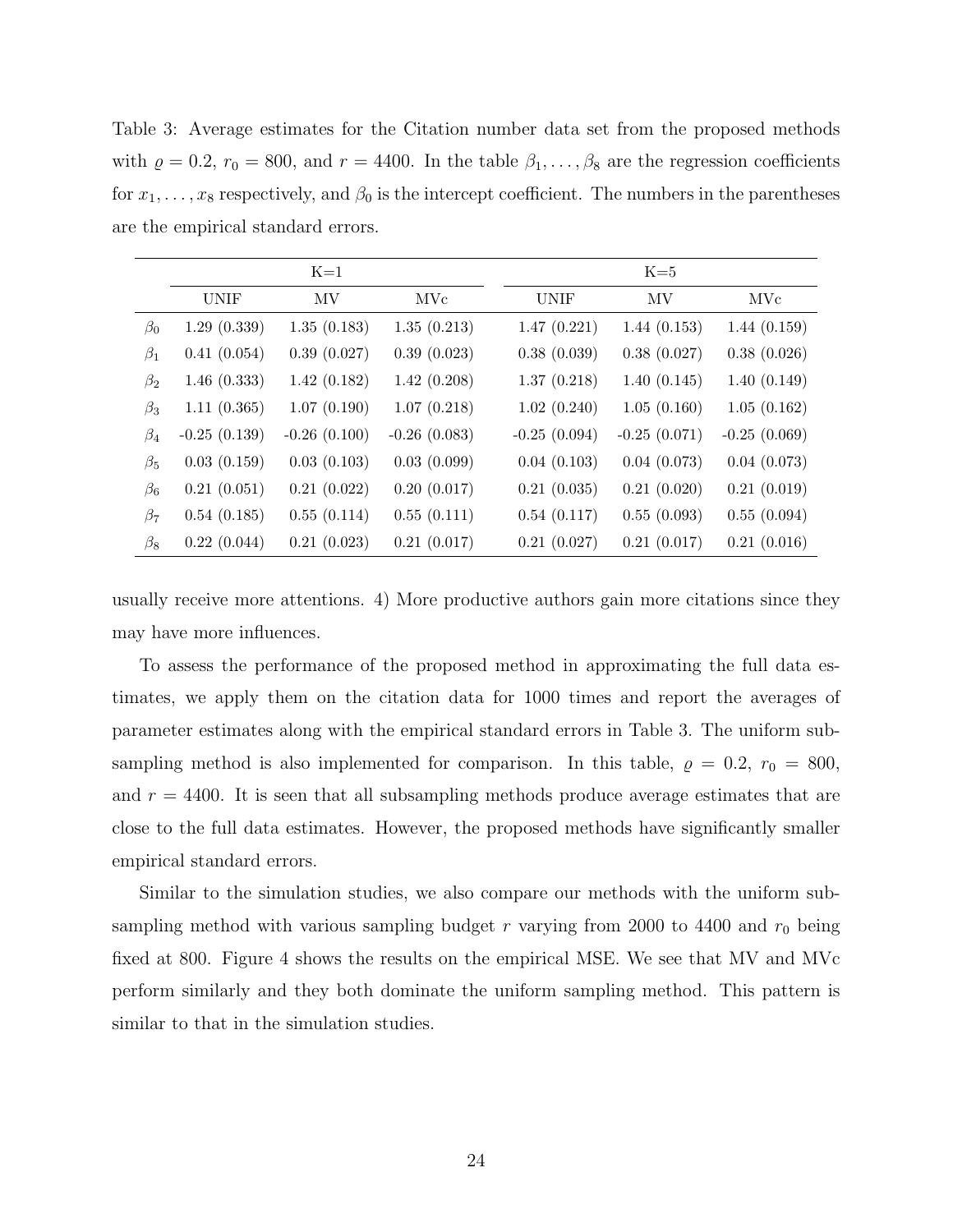<span id="page-23-0"></span>Table 3: Average estimates for the Citation number data set from the proposed methods with  $\rho = 0.2$ ,  $r_0 = 800$ , and  $r = 4400$ . In the table  $\beta_1, \ldots, \beta_8$  are the regression coefficients for  $x_1, \ldots, x_8$  respectively, and  $\beta_0$  is the intercept coefficient. The numbers in the parentheses are the empirical standard errors.

|           |                | $K=1$          |                |                | $K=5$          |                |  |  |
|-----------|----------------|----------------|----------------|----------------|----------------|----------------|--|--|
|           | <b>UNIF</b>    | MV             | MVc            | <b>UNIF</b>    | MV             | MVc            |  |  |
| $\beta_0$ | 1.29(0.339)    | 1.35(0.183)    | 1.35(0.213)    | 1.47(0.221)    | 1.44(0.153)    | 1.44(0.159)    |  |  |
| $\beta_1$ | 0.41(0.054)    | 0.39(0.027)    | 0.39(0.023)    | 0.38(0.039)    | 0.38(0.027)    | 0.38(0.026)    |  |  |
| $\beta_2$ | 1.46(0.333)    | 1.42(0.182)    | 1.42(0.208)    | 1.37(0.218)    | 1.40(0.145)    | 1.40(0.149)    |  |  |
| $\beta_3$ | 1.11(0.365)    | 1.07(0.190)    | 1.07(0.218)    | 1.02(0.240)    | 1.05(0.160)    | 1.05(0.162)    |  |  |
| $\beta_4$ | $-0.25(0.139)$ | $-0.26(0.100)$ | $-0.26(0.083)$ | $-0.25(0.094)$ | $-0.25(0.071)$ | $-0.25(0.069)$ |  |  |
| $\beta_5$ | 0.03(0.159)    | 0.03(0.103)    | 0.03(0.099)    | 0.04(0.103)    | 0.04(0.073)    | 0.04(0.073)    |  |  |
| $\beta_6$ | 0.21(0.051)    | 0.21(0.022)    | 0.20(0.017)    | 0.21(0.035)    | 0.21(0.020)    | 0.21(0.019)    |  |  |
| $\beta_7$ | 0.54(0.185)    | 0.55(0.114)    | 0.55(0.111)    | 0.54(0.117)    | 0.55(0.093)    | 0.55(0.094)    |  |  |
| $\beta_8$ | 0.22(0.044)    | 0.21(0.023)    | 0.21(0.017)    | 0.21(0.027)    | 0.21(0.017)    | 0.21(0.016)    |  |  |

usually receive more attentions. 4) More productive authors gain more citations since they may have more influences.

To assess the performance of the proposed method in approximating the full data estimates, we apply them on the citation data for 1000 times and report the averages of parameter estimates along with the empirical standard errors in Table [3.](#page-23-0) The uniform subsampling method is also implemented for comparison. In this table,  $\rho = 0.2, r_0 = 800$ , and  $r = 4400$ . It is seen that all subsampling methods produce average estimates that are close to the full data estimates. However, the proposed methods have significantly smaller empirical standard errors.

Similar to the simulation studies, we also compare our methods with the uniform subsampling method with various sampling budget r varying from 2000 to 4400 and  $r_0$  being fixed at 800. Figure [4](#page-24-0) shows the results on the empirical MSE. We see that MV and MVc perform similarly and they both dominate the uniform sampling method. This pattern is similar to that in the simulation studies.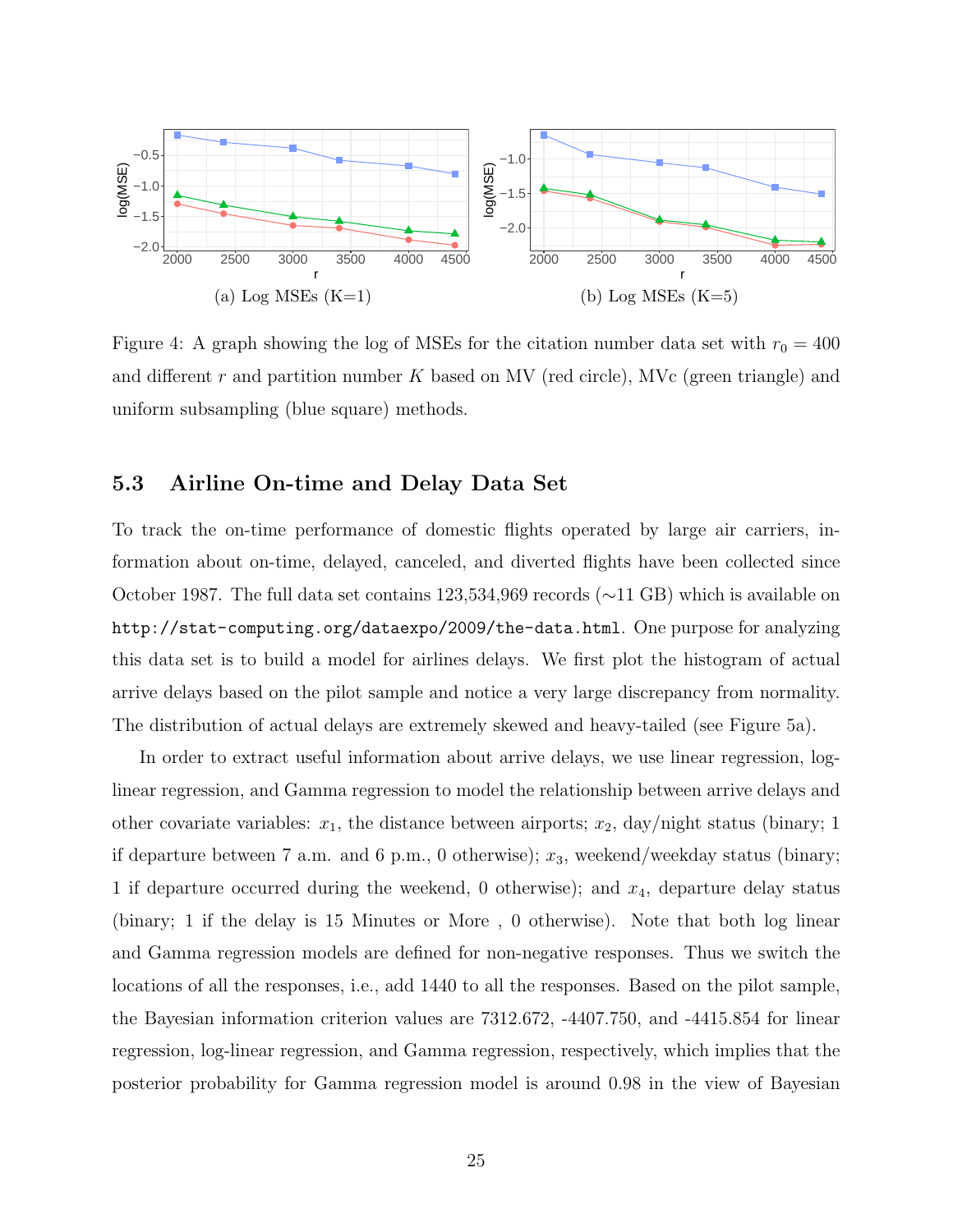<span id="page-24-0"></span>

Figure 4: A graph showing the log of MSEs for the citation number data set with  $r_0 = 400$ and different r and partition number K based on MV (red circle), MVc (green triangle) and uniform subsampling (blue square) methods.

#### 5.3 Airline On-time and Delay Data Set

To track the on-time performance of domestic flights operated by large air carriers, information about on-time, delayed, canceled, and diverted flights have been collected since October 1987. The full data set contains 123,534,969 records (∼11 GB) which is available on <http://stat-computing.org/dataexpo/2009/the-data.html>. One purpose for analyzing this data set is to build a model for airlines delays. We first plot the histogram of actual arrive delays based on the pilot sample and notice a very large discrepancy from normality. The distribution of actual delays are extremely skewed and heavy-tailed (see Figure [5a\)](#page-25-0).

In order to extract useful information about arrive delays, we use linear regression, loglinear regression, and Gamma regression to model the relationship between arrive delays and other covariate variables:  $x_1$ , the distance between airports;  $x_2$ , day/night status (binary; 1) if departure between 7 a.m. and 6 p.m., 0 otherwise);  $x_3$ , weekend/weekday status (binary; 1 if departure occurred during the weekend, 0 otherwise); and  $x_4$ , departure delay status (binary; 1 if the delay is 15 Minutes or More , 0 otherwise). Note that both log linear and Gamma regression models are defined for non-negative responses. Thus we switch the locations of all the responses, i.e., add 1440 to all the responses. Based on the pilot sample, the Bayesian information criterion values are 7312.672, -4407.750, and -4415.854 for linear regression, log-linear regression, and Gamma regression, respectively, which implies that the posterior probability for Gamma regression model is around 0.98 in the view of Bayesian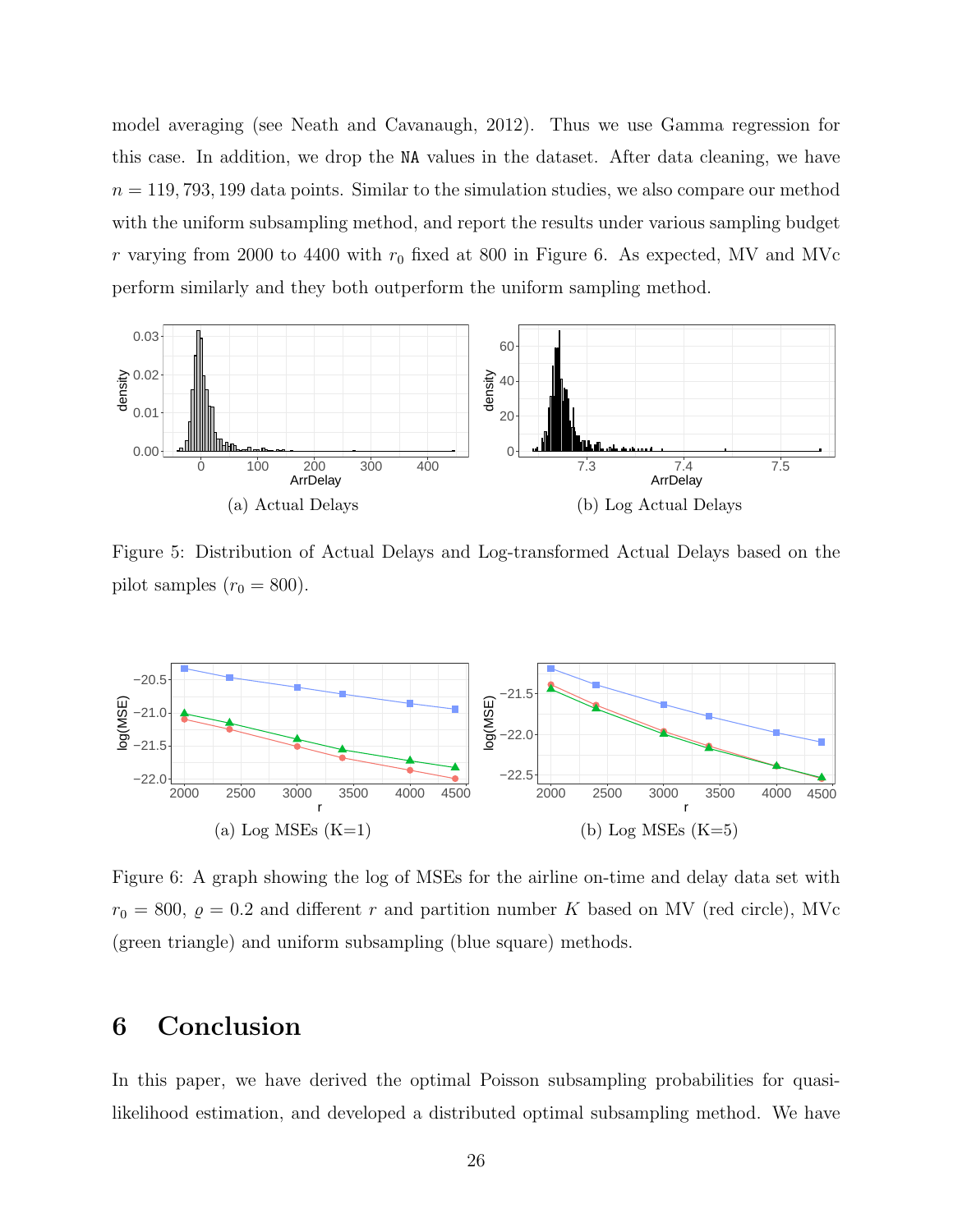model averaging (see [Neath and Cavanaugh, 2012\)](#page-56-10). Thus we use Gamma regression for this case. In addition, we drop the NA values in the dataset. After data cleaning, we have  $n = 119, 793, 199$  data points. Similar to the simulation studies, we also compare our method with the uniform subsampling method, and report the results under various sampling budget r varying from 2000 to 4400 with  $r_0$  fixed at 800 in Figure [6.](#page-25-1) As expected, MV and MVc perform similarly and they both outperform the uniform sampling method.

<span id="page-25-0"></span>

Figure 5: Distribution of Actual Delays and Log-transformed Actual Delays based on the pilot samples  $(r_0 = 800)$ .

<span id="page-25-1"></span>

Figure 6: A graph showing the log of MSEs for the airline on-time and delay data set with  $r_0 = 800, \ \rho = 0.2$  and different r and partition number K based on MV (red circle), MVc (green triangle) and uniform subsampling (blue square) methods.

## 6 Conclusion

In this paper, we have derived the optimal Poisson subsampling probabilities for quasilikelihood estimation, and developed a distributed optimal subsampling method. We have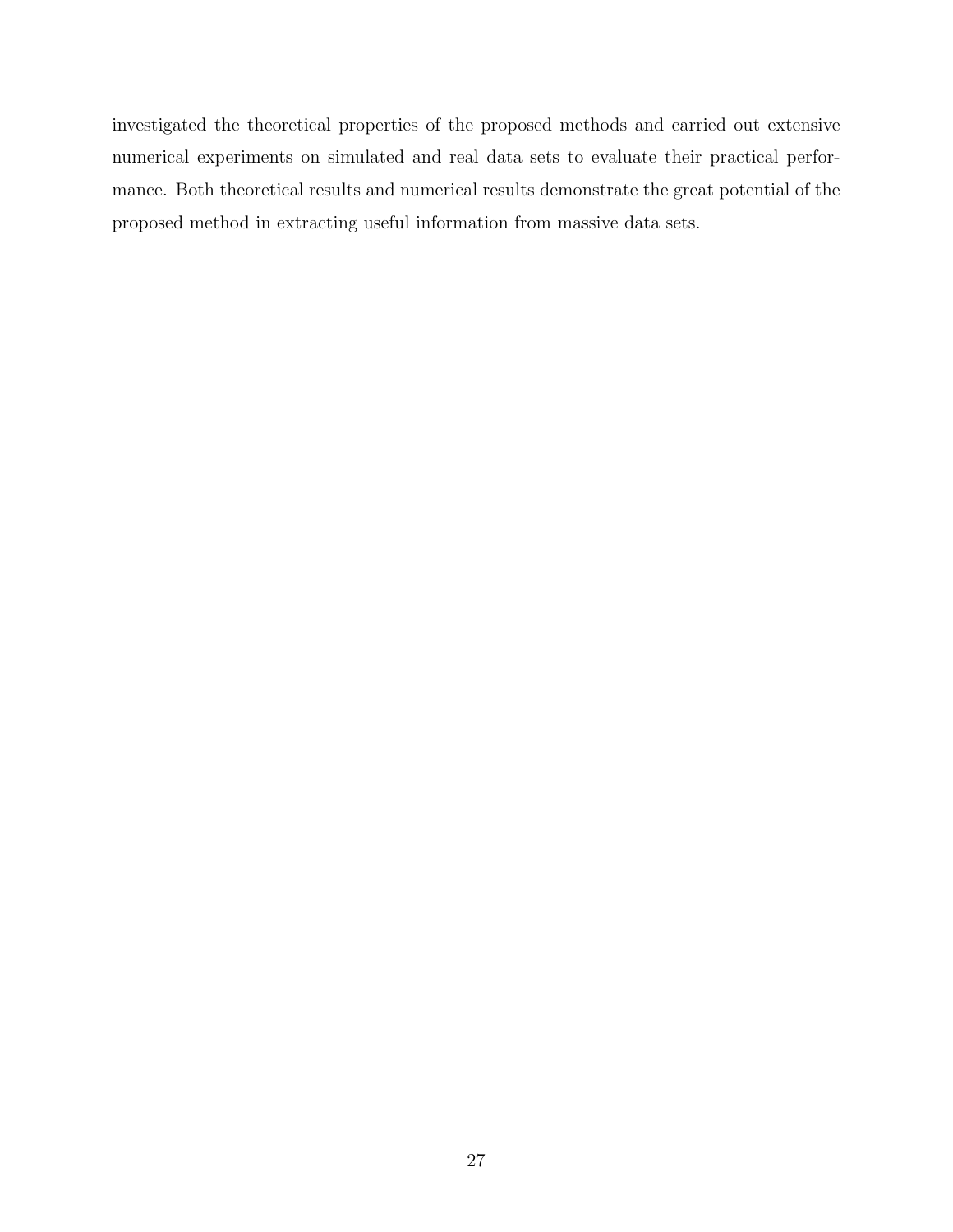investigated the theoretical properties of the proposed methods and carried out extensive numerical experiments on simulated and real data sets to evaluate their practical performance. Both theoretical results and numerical results demonstrate the great potential of the proposed method in extracting useful information from massive data sets.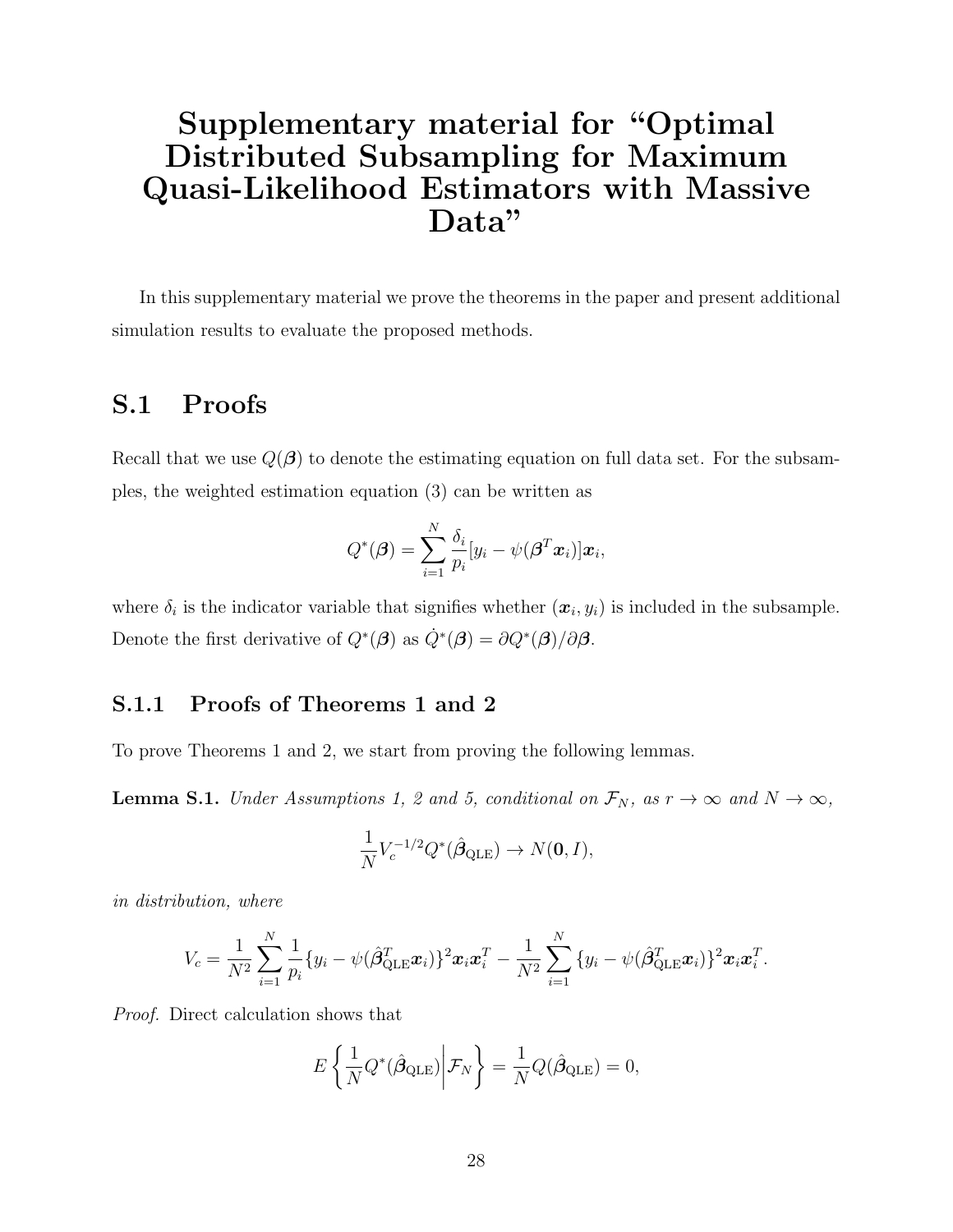# Supplementary material for "Optimal Distributed Subsampling for Maximum Quasi-Likelihood Estimators with Massive Data"

In this supplementary material we prove the theorems in the paper and present additional simulation results to evaluate the proposed methods.

## S.1 Proofs

Recall that we use  $Q(\beta)$  to denote the estimating equation on full data set. For the subsamples, the weighted estimation equation (3) can be written as

$$
Q^*(\boldsymbol{\beta}) = \sum_{i=1}^N \frac{\delta_i}{p_i} [y_i - \psi(\boldsymbol{\beta}^T \boldsymbol{x}_i)] \boldsymbol{x}_i,
$$

where  $\delta_i$  is the indicator variable that signifies whether  $(x_i, y_i)$  is included in the subsample. Denote the first derivative of  $Q^*(\boldsymbol{\beta})$  as  $\dot{Q}^*(\boldsymbol{\beta}) = \partial Q^*(\boldsymbol{\beta})/\partial \boldsymbol{\beta}$ .

### S.1.1 Proofs of Theorems 1 and 2

To prove Theorems 1 and 2, we start from proving the following lemmas.

<span id="page-27-0"></span>**Lemma S.1.** Under Assumptions 1, 2 and 5, conditional on  $\mathcal{F}_N$ , as  $r \to \infty$  and  $N \to \infty$ ,

$$
\frac{1}{N}V_c^{-1/2}Q^*(\hat{\beta}_{\text{QLE}}) \to N(\mathbf{0}, I),
$$

in distribution, where

$$
V_c = \frac{1}{N^2} \sum_{i=1}^N \frac{1}{p_i} \{y_i - \psi(\hat{\beta}_{\text{QLE}}^T \boldsymbol{x}_i)\}^2 \boldsymbol{x}_i \boldsymbol{x}_i^T - \frac{1}{N^2} \sum_{i=1}^N \{y_i - \psi(\hat{\beta}_{\text{QLE}}^T \boldsymbol{x}_i)\}^2 \boldsymbol{x}_i \boldsymbol{x}_i^T.
$$

Proof. Direct calculation shows that

$$
E\left\{\frac{1}{N}Q^*(\hat{\beta}_{\text{QLE}})\bigg|\mathcal{F}_N\right\} = \frac{1}{N}Q(\hat{\beta}_{\text{QLE}}) = 0,
$$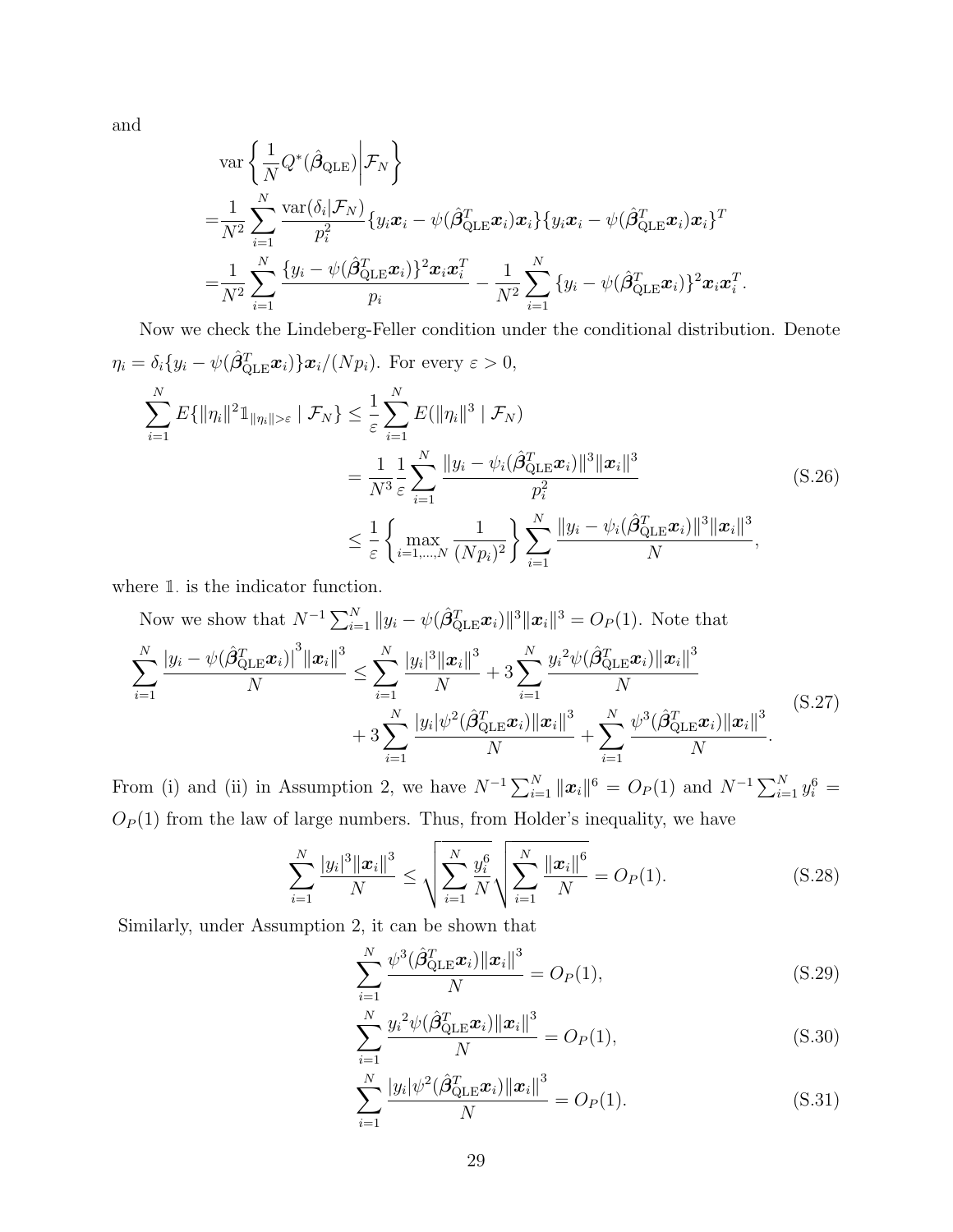and

$$
\operatorname{var}\left\{\frac{1}{N}Q^*(\hat{\beta}_{\text{QLE}})\bigg|\mathcal{F}_N\right\}
$$
\n
$$
=\frac{1}{N^2}\sum_{i=1}^N\frac{\operatorname{var}(\delta_i|\mathcal{F}_N)}{p_i^2}\{y_i\mathbf{x}_i-\psi(\hat{\beta}_{\text{QLE}}^T\mathbf{x}_i)\mathbf{x}_i\}\{y_i\mathbf{x}_i-\psi(\hat{\beta}_{\text{QLE}}^T\mathbf{x}_i)\mathbf{x}_i\}^T
$$
\n
$$
=\frac{1}{N^2}\sum_{i=1}^N\frac{\{y_i-\psi(\hat{\beta}_{\text{QLE}}^T\mathbf{x}_i)\}^2\mathbf{x}_i\mathbf{x}_i^T}{p_i} - \frac{1}{N^2}\sum_{i=1}^N\{y_i-\psi(\hat{\beta}_{\text{QLE}}^T\mathbf{x}_i)\}^2\mathbf{x}_i\mathbf{x}_i^T
$$

Now we check the Lindeberg-Feller condition under the conditional distribution. Denote  $\eta_i = \delta_i \{y_i - \psi(\hat{\boldsymbol{\beta}}_{\text{QLE}}^T \boldsymbol{x}_i) \} \boldsymbol{x}_i / (N p_i)$ . For every  $\varepsilon > 0$ ,  $\sum$ N  $i=1$  $E\{\|\eta_i\|^21\|_{\eta_i\|>\varepsilon} \mid \mathcal{F}_N\} \leq \frac{1}{\varepsilon}$  $\sum$ N  $i=1$  $E(\|\eta_i\|^3\mid\mathcal{F}_N)$ = 1  $N^3$ 1 ε  $\sum$ N  $i=1$  $\|y_i - \psi_i(\hat{\boldsymbol{\beta}}_{\text{QLE}}^T\boldsymbol{x}_i)\|^3\|\boldsymbol{x}_i\|^3$  $p_i^2$ (S.26)

$$
\leq \frac{1}{\varepsilon} \left\{ \max_{i=1,...,N} \frac{1}{(N p_i)^2} \right\} \sum_{i=1}^N \frac{\|y_i - \psi_i(\hat{\beta}_{\text{QLE}}^T \boldsymbol{x}_i)\|^3 \|\boldsymbol{x}_i\|^3}{N},
$$

.

<span id="page-28-3"></span>where  $\mathbbm{1}$  is the indicator function.

<span id="page-28-0"></span>Now we show that 
$$
N^{-1} \sum_{i=1}^{N} ||y_i - \psi(\hat{\beta}_{\text{QLE}}^T \boldsymbol{x}_i)||^3 ||\boldsymbol{x}_i||^3 = O_P(1)
$$
. Note that  
\n
$$
\sum_{i=1}^{N} \frac{|y_i - \psi(\hat{\beta}_{\text{QLE}}^T \boldsymbol{x}_i)|^3 ||\boldsymbol{x}_i||^3}{N} \le \sum_{i=1}^{N} \frac{|y_i|^3 ||\boldsymbol{x}_i||^3}{N} + 3 \sum_{i=1}^{N} \frac{|y_i^2 \psi(\hat{\beta}_{\text{QLE}}^T \boldsymbol{x}_i)||\boldsymbol{x}_i||^3}{N} + 3 \sum_{i=1}^{N} \frac{|y_i|\psi^2(\hat{\beta}_{\text{QLE}}^T \boldsymbol{x}_i)||\boldsymbol{x}_i||^3}{N} + \sum_{i=1}^{N} \frac{\psi^3(\hat{\beta}_{\text{QLE}}^T \boldsymbol{x}_i)||\boldsymbol{x}_i||^3}{N}.
$$
\n(S.27)

From (i) and (ii) in Assumption 2, we have  $N^{-1} \sum_{i=1}^{N} ||x_i||^6 = O_P(1)$  and  $N^{-1} \sum_{i=1}^{N} y_i^6 =$  $O_P(1)$  from the law of large numbers. Thus, from Holder's inequality, we have

$$
\sum_{i=1}^{N} \frac{|y_i|^3 ||x_i||^3}{N} \le \sqrt{\sum_{i=1}^{N} \frac{y_i^6}{N}} \sqrt{\sum_{i=1}^{N} \frac{||x_i||^6}{N}} = O_P(1). \tag{S.28}
$$

Similarly, under Assumption 2, it can be shown that

<span id="page-28-2"></span><span id="page-28-1"></span>
$$
\sum_{i=1}^{N} \frac{\psi^3(\hat{\beta}_{\text{QLE}}^T \boldsymbol{x}_i) ||\boldsymbol{x}_i||^3}{N} = O_P(1),\tag{S.29}
$$

$$
\sum_{i=1}^{N} \frac{y_i^2 \psi(\hat{\beta}_{\text{QLE}}^T \boldsymbol{x}_i) \| \boldsymbol{x}_i \|^3}{N} = O_P(1),
$$
\n(S.30)

$$
\sum_{i=1}^{N} \frac{|y_i| \psi^2(\hat{\beta}_{\text{QLE}}^T \boldsymbol{x}_i) ||\boldsymbol{x}_i||^3}{N} = O_P(1).
$$
 (S.31)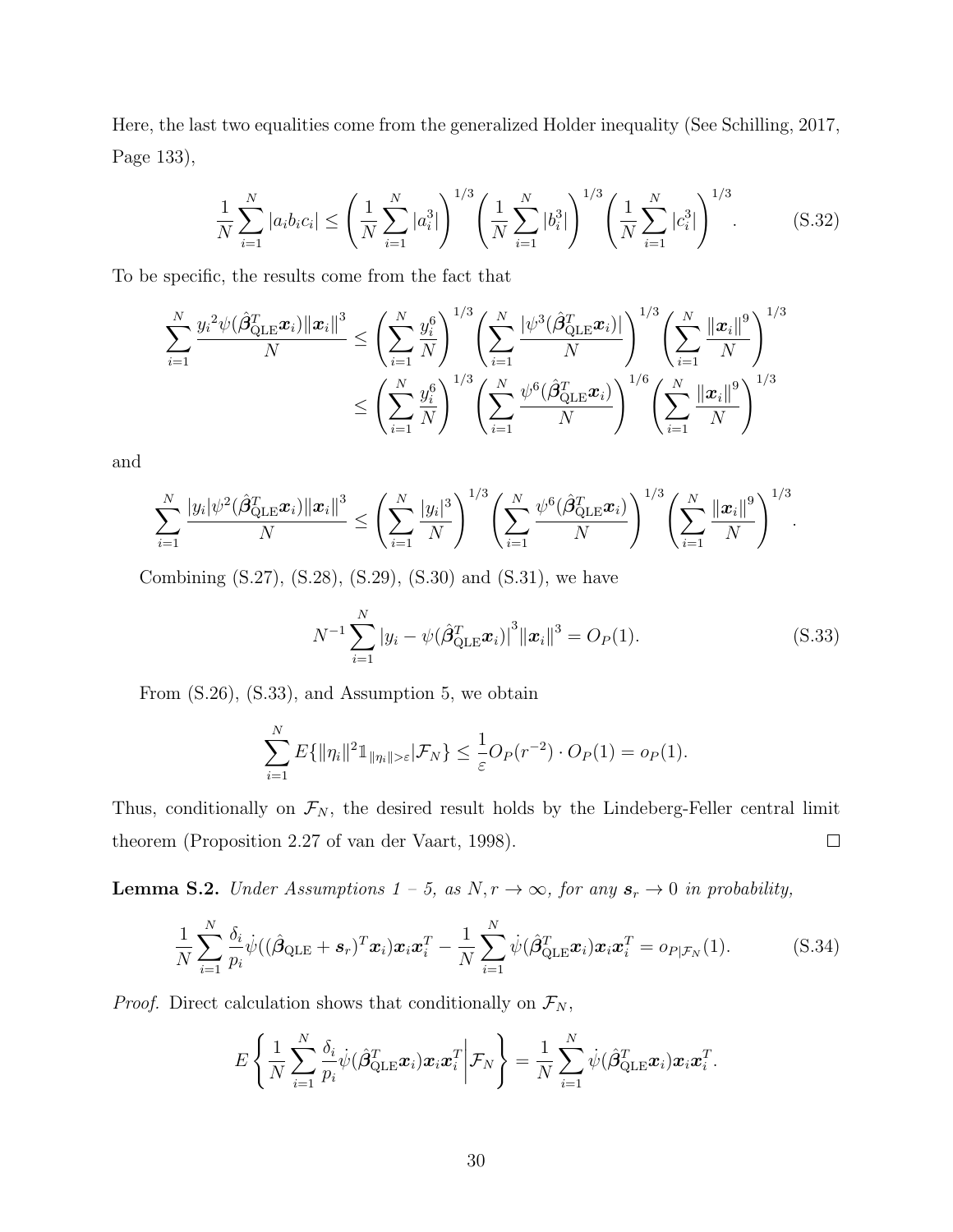Here, the last two equalities come from the generalized Holder inequality (See [Schilling, 2017,](#page-57-11) Page 133),

<span id="page-29-2"></span>
$$
\frac{1}{N} \sum_{i=1}^{N} |a_i b_i c_i| \le \left(\frac{1}{N} \sum_{i=1}^{N} |a_i^3| \right)^{1/3} \left(\frac{1}{N} \sum_{i=1}^{N} |b_i^3| \right)^{1/3} \left(\frac{1}{N} \sum_{i=1}^{N} |c_i^3| \right)^{1/3}.
$$
 (S.32)

To be specific, the results come from the fact that

$$
\sum_{i=1}^{N} \frac{y_i^2 \psi(\hat{\beta}_{\text{QLE}}^T \boldsymbol{x}_i) \|\boldsymbol{x}_i\|^3}{N} \le \left(\sum_{i=1}^{N} \frac{y_i^6}{N}\right)^{1/3} \left(\sum_{i=1}^{N} \frac{|\psi^3(\hat{\beta}_{\text{QLE}}^T \boldsymbol{x}_i)|}{N}\right)^{1/3} \left(\sum_{i=1}^{N} \frac{\|\boldsymbol{x}_i\|^9}{N}\right)^{1/3} \le \left(\sum_{i=1}^{N} \frac{y_i^6}{N}\right)^{1/3} \left(\sum_{i=1}^{N} \frac{\psi^6(\hat{\beta}_{\text{QLE}}^T \boldsymbol{x}_i)}{N}\right)^{1/6} \left(\sum_{i=1}^{N} \frac{\|\boldsymbol{x}_i\|^9}{N}\right)^{1/3}
$$

and

$$
\sum_{i=1}^N \frac{|y_i| \psi^2(\hat{\beta}_{\text{QLE}}^T \bm{x}_i) \|\bm{x}_i\|^3}{N} \leq \left(\sum_{i=1}^N \frac{|y_i|^3}{N}\right)^{1/3} \left(\sum_{i=1}^N \frac{\psi^6(\hat{\beta}_{\text{QLE}}^T \bm{x}_i)}{N}\right)^{1/3} \left(\sum_{i=1}^N \frac{\|\bm{x}_i\|^9}{N}\right)^{1/3}.
$$

Combining [\(S.27\)](#page-28-0), [\(S.28\)](#page-28-1), [\(S.29\)](#page-28-2), [\(S.30\)](#page-28-2) and [\(S.31\)](#page-28-2), we have

<span id="page-29-0"></span>
$$
N^{-1} \sum_{i=1}^{N} |y_i - \psi(\hat{\beta}_{\text{QLE}}^T \boldsymbol{x}_i)|^3 ||\boldsymbol{x}_i||^3 = O_P(1).
$$
 (S.33)

From [\(S.26\)](#page-28-3), [\(S.33\)](#page-29-0), and Assumption 5, we obtain

$$
\sum_{i=1}^N E\{\|\eta_i\|^2 1\_{|\eta_i\|>\varepsilon}|\mathcal{F}_N\} \leq \frac{1}{\varepsilon}O_P(r^{-2})\cdot O_P(1) = o_P(1).
$$

Thus, conditionally on  $\mathcal{F}_N$ , the desired result holds by the Lindeberg-Feller central limit theorem (Proposition 2.27 of [van der Vaart, 1998\)](#page-57-7).  $\Box$ 

<span id="page-29-1"></span>**Lemma S.2.** Under Assumptions  $1 - 5$ , as  $N, r \rightarrow \infty$ , for any  $s_r \rightarrow 0$  in probability,

$$
\frac{1}{N}\sum_{i=1}^N \frac{\delta_i}{p_i}\dot{\psi}((\hat{\boldsymbol{\beta}}_{\text{QLE}} + \boldsymbol{s}_r)^T \boldsymbol{x}_i) \boldsymbol{x}_i \boldsymbol{x}_i^T - \frac{1}{N}\sum_{i=1}^N \dot{\psi}(\hat{\boldsymbol{\beta}}_{\text{QLE}}^T \boldsymbol{x}_i) \boldsymbol{x}_i \boldsymbol{x}_i^T = o_{P|\mathcal{F}_N}(1).
$$
(S.34)

*Proof.* Direct calculation shows that conditionally on  $\mathcal{F}_N$ ,

$$
E\left\{\frac{1}{N}\sum_{i=1}^N\frac{\delta_i}{p_i}\dot{\psi}(\hat{\boldsymbol{\beta}}_{\text{QLE}}^T\boldsymbol{x}_i)\boldsymbol{x}_i\boldsymbol{x}_i^T\bigg|\mathcal{F}_N\right\} = \frac{1}{N}\sum_{i=1}^N\dot{\psi}(\hat{\boldsymbol{\beta}}_{\text{QLE}}^T\boldsymbol{x}_i)\boldsymbol{x}_i\boldsymbol{x}_i^T.
$$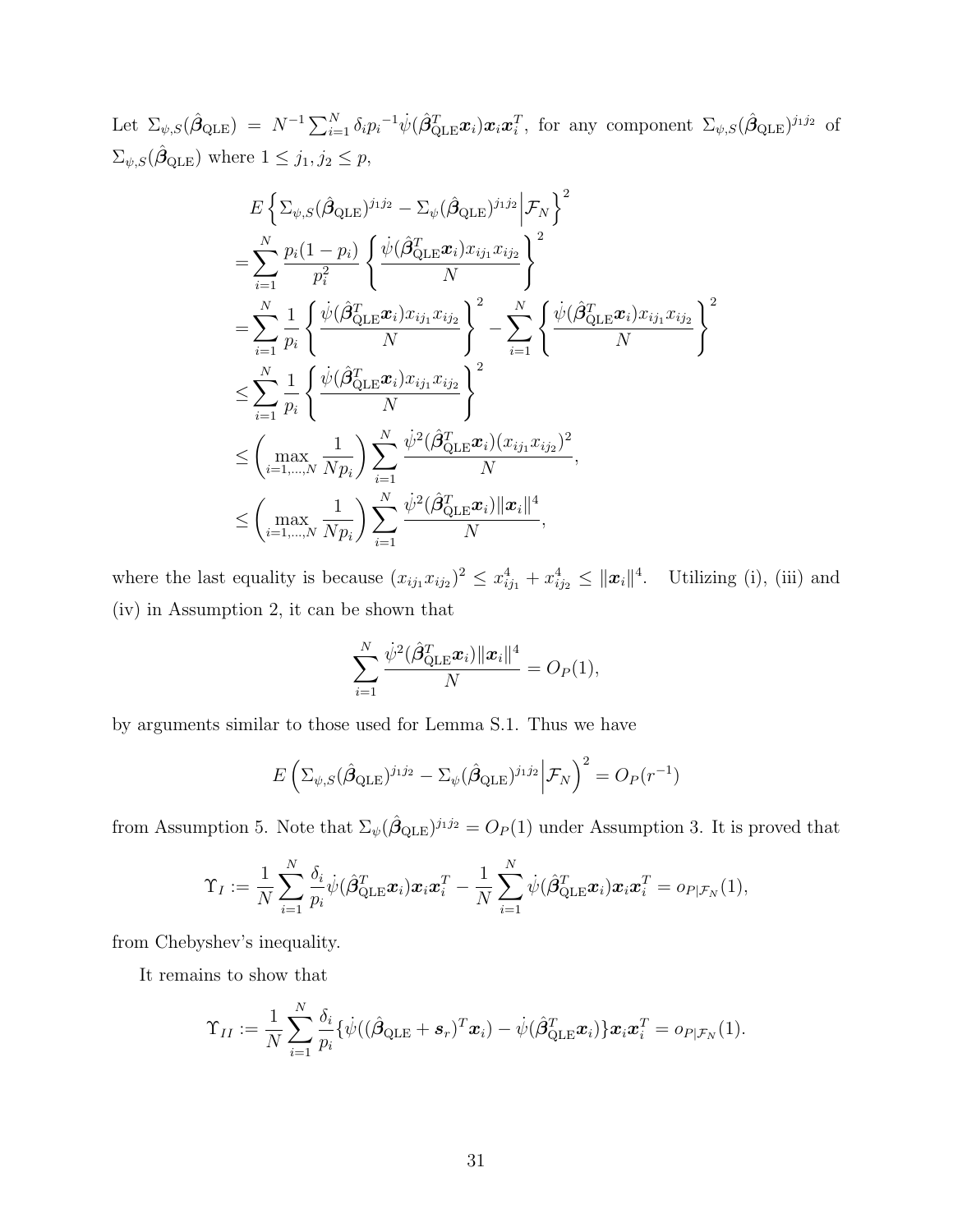Let  $\Sigma_{\psi,S}(\hat{\boldsymbol{\beta}}_{\text{QLE}}) = N^{-1} \sum_{i=1}^N \delta_i p_i^{-1} \dot{\psi} (\hat{\boldsymbol{\beta}}_{\text{QLE}}^T \boldsymbol{x}_i) \boldsymbol{x}_i \boldsymbol{x}_i^T$ , for any component  $\Sigma_{\psi,S}(\hat{\boldsymbol{\beta}}_{\text{QLE}})^{j_1 j_2}$  of  $\Sigma_{\psi,S}(\hat{\beta}_{\text{QLE}})$  where  $1 \leq j_1, j_2 \leq p$ ,

$$
E\left\{\sum_{\psi,S}(\hat{\beta}_{\text{QLE}})^{j_1j_2} - \sum_{\psi}(\hat{\beta}_{\text{QLE}})^{j_1j_2}\Big|\mathcal{F}_N\right\}^2
$$
  
\n
$$
= \sum_{i=1}^N \frac{p_i(1-p_i)}{p_i^2} \left\{\frac{\psi(\hat{\beta}_{\text{QLE}}^T \boldsymbol{x}_i) x_{ij_1} x_{ij_2}}{N}\right\}^2
$$
  
\n
$$
= \sum_{i=1}^N \frac{1}{p_i} \left\{\frac{\psi(\hat{\beta}_{\text{QLE}}^T \boldsymbol{x}_i) x_{ij_1} x_{ij_2}}{N}\right\}^2 - \sum_{i=1}^N \left\{\frac{\psi(\hat{\beta}_{\text{QLE}}^T \boldsymbol{x}_i) x_{ij_1} x_{ij_2}}{N}\right\}^2
$$
  
\n
$$
\leq \sum_{i=1}^N \frac{1}{p_i} \left\{\frac{\psi(\hat{\beta}_{\text{QLE}}^T \boldsymbol{x}_i) x_{ij_1} x_{ij_2}}{N}\right\}^2
$$
  
\n
$$
\leq \left(\max_{i=1,\dots,N} \frac{1}{N p_i}\right) \sum_{i=1}^N \frac{\psi^2(\hat{\beta}_{\text{QLE}}^T \boldsymbol{x}_i) (x_{ij_1} x_{ij_2})^2}{N},
$$
  
\n
$$
\leq \left(\max_{i=1,\dots,N} \frac{1}{N p_i}\right) \sum_{i=1}^N \frac{\psi^2(\hat{\beta}_{\text{QLE}}^T \boldsymbol{x}_i) \|\boldsymbol{x}_i\|^4}{N},
$$

where the last equality is because  $(x_{ij_1}x_{ij_2})^2 \leq x_{ij_1}^4 + x_{ij_2}^4 \leq ||\boldsymbol{x}_i||^4$ . Utilizing (i), (iii) and (iv) in Assumption 2, it can be shown that

$$
\sum_{i=1}^N \frac{\dot{\psi}^2(\hat{\boldsymbol{\beta}}_{\text{QLE}}^T\boldsymbol{x}_i) \|\boldsymbol{x}_i\|^4}{N} = O_P(1),
$$

by arguments similar to those used for Lemma [S.1.](#page-27-0) Thus we have

$$
E\left(\Sigma_{\psi,S}(\hat{\beta}_{\text{QLE}})^{j_1j_2} - \Sigma_{\psi}(\hat{\beta}_{\text{QLE}})^{j_1j_2}\bigg|\mathcal{F}_N\right)^2 = O_P(r^{-1})
$$

from Assumption 5. Note that  $\Sigma_{\psi}(\hat{\beta}_{\text{QLE}})^{j_1j_2} = O_P(1)$  under Assumption 3. It is proved that

$$
\Upsilon_I:=\frac{1}{N}\sum_{i=1}^N\frac{\delta_i}{p_i}\dot{\psi}(\hat{\boldsymbol{\beta}}_{\text{QLE}}^T\boldsymbol{x}_i)\boldsymbol{x}_i\boldsymbol{x}_i^T-\frac{1}{N}\sum_{i=1}^N\dot{\psi}(\hat{\boldsymbol{\beta}}_{\text{QLE}}^T\boldsymbol{x}_i)\boldsymbol{x}_i\boldsymbol{x}_i^T=o_{P|\mathcal{F}_N}(1),
$$

from Chebyshev's inequality.

It remains to show that

$$
\Upsilon_{II}:=\frac{1}{N}\sum_{i=1}^N\frac{\delta_i}{p_i}\{\dot{\psi}((\hat{\boldsymbol{\beta}}_{\text{QLE}}+\boldsymbol{s}_r)^T\boldsymbol{x}_i)-\dot{\psi}(\hat{\boldsymbol{\beta}}_{\text{QLE}}^T\boldsymbol{x}_i)\}\boldsymbol{x}_i\boldsymbol{x}_i^T=o_{P|\mathcal{F}_N}(1).
$$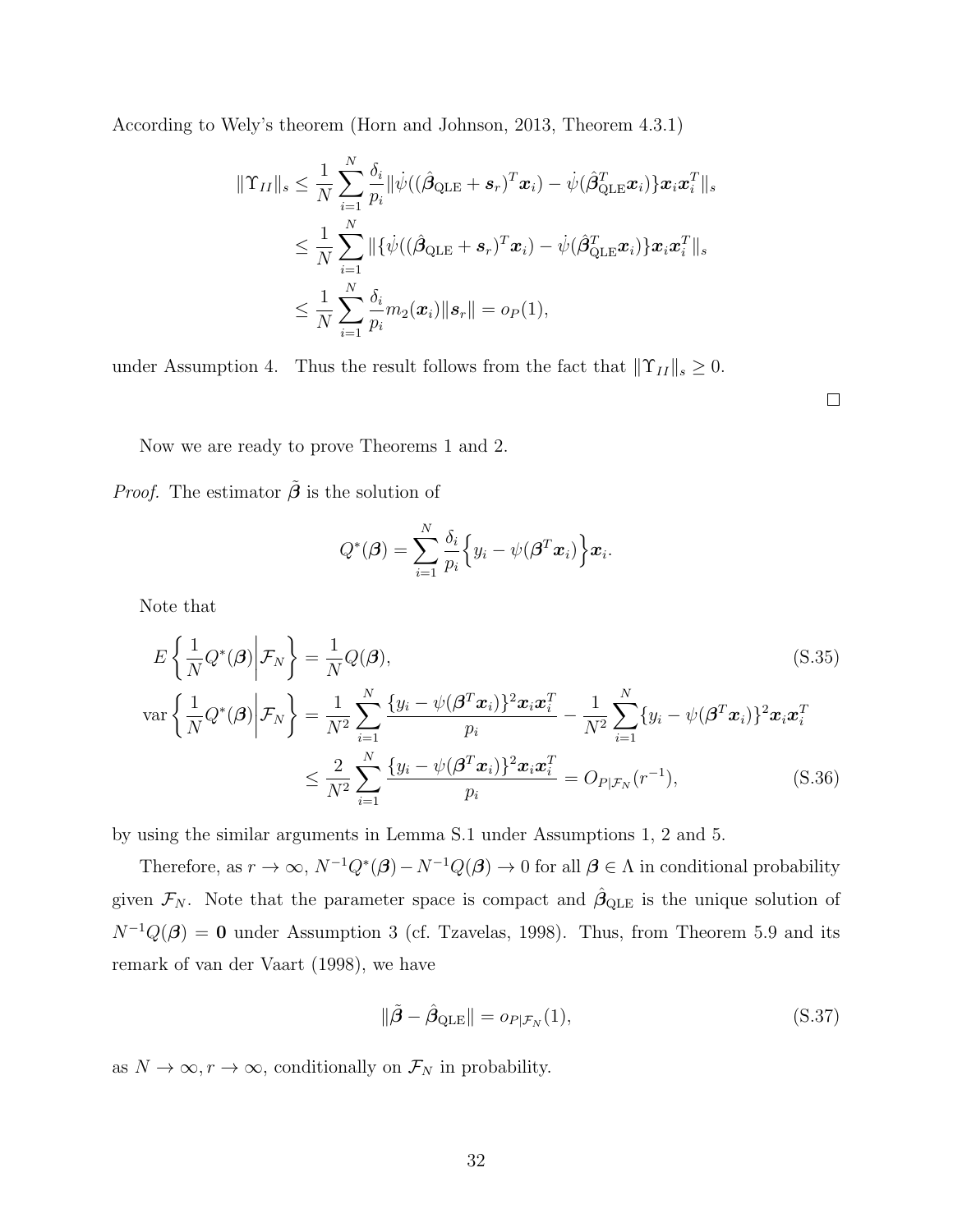According to Wely's theorem [\(Horn and Johnson, 2013,](#page-56-11) Theorem 4.3.1)

$$
\begin{aligned} \|\Upsilon_{II}\|_s &\leq \frac{1}{N}\sum_{i=1}^N\frac{\delta_i}{p_i}\|\dot{\psi}((\hat{\boldsymbol{\beta}}_{\text{QLE}}+\boldsymbol{s}_r)^T\boldsymbol{x}_i)-\dot{\psi}(\hat{\boldsymbol{\beta}}_{\text{QLE}}^T\boldsymbol{x}_i)\}\boldsymbol{x}_i\boldsymbol{x}_i^T\|_s\\ &\leq \frac{1}{N}\sum_{i=1}^N\|\{\dot{\psi}((\hat{\boldsymbol{\beta}}_{\text{QLE}}+\boldsymbol{s}_r)^T\boldsymbol{x}_i)-\dot{\psi}(\hat{\boldsymbol{\beta}}_{\text{QLE}}^T\boldsymbol{x}_i)\}\boldsymbol{x}_i\boldsymbol{x}_i^T\|_s\\ &\leq \frac{1}{N}\sum_{i=1}^N\frac{\delta_i}{p_i}m_2(\boldsymbol{x}_i)\|\boldsymbol{s}_r\|=o_P(1), \end{aligned}
$$

under Assumption 4. Thus the result follows from the fact that  $\|\Upsilon_{II}\|_{s} \geq 0$ .

<span id="page-31-1"></span> $\Box$ 

Now we are ready to prove Theorems 1 and 2.

*Proof.* The estimator  $\tilde{\beta}$  is the solution of

$$
Q^*(\boldsymbol{\beta}) = \sum_{i=1}^N \frac{\delta_i}{p_i} \Big\{ y_i - \psi(\boldsymbol{\beta}^T \boldsymbol{x}_i) \Big\} \boldsymbol{x}_i.
$$

Note that

$$
E\left\{\frac{1}{N}Q^*(\boldsymbol{\beta})\bigg|\mathcal{F}_N\right\} = \frac{1}{N}Q(\boldsymbol{\beta}),
$$
\n
$$
\text{var}\left\{\frac{1}{N}Q^*(\boldsymbol{\beta})\bigg|\mathcal{F}_N\right\} = \frac{1}{N^2}\sum_{i=1}^N\frac{\{y_i - \psi(\boldsymbol{\beta}^T\boldsymbol{x}_i)\}^2\boldsymbol{x}_i\boldsymbol{x}_i^T}{p_i} - \frac{1}{N^2}\sum_{i=1}^N\{y_i - \psi(\boldsymbol{\beta}^T\boldsymbol{x}_i)\}^2\boldsymbol{x}_i\boldsymbol{x}_i^T}{N^2}\n\leq \frac{2}{N^2}\sum_{i=1}^N\frac{\{y_i - \psi(\boldsymbol{\beta}^T\boldsymbol{x}_i)\}^2\boldsymbol{x}_i\boldsymbol{x}_i^T}{p_i} = O_{P|\mathcal{F}_N}(r^{-1}),
$$
\n(S.36)

by using the similar arguments in Lemma [S.1](#page-27-0) under Assumptions 1, 2 and 5.

Therefore, as  $r \to \infty$ ,  $N^{-1}Q^*(\beta) - N^{-1}Q(\beta) \to 0$  for all  $\beta \in \Lambda$  in conditional probability given  $\mathcal{F}_N$ . Note that the parameter space is compact and  $\hat{\beta}_{\text{QLE}}$  is the unique solution of  $N^{-1}Q(\beta) = 0$  under Assumption 3 (cf. [Tzavelas, 1998\)](#page-57-5). Thus, from Theorem 5.9 and its remark of [van der Vaart](#page-57-7) [\(1998\)](#page-57-7), we have

<span id="page-31-0"></span>
$$
\|\tilde{\boldsymbol{\beta}} - \hat{\boldsymbol{\beta}}_{\text{QLE}}\| = o_{P|\mathcal{F}_N}(1),\tag{S.37}
$$

as  $N \to \infty$ ,  $r \to \infty$ , conditionally on  $\mathcal{F}_N$  in probability.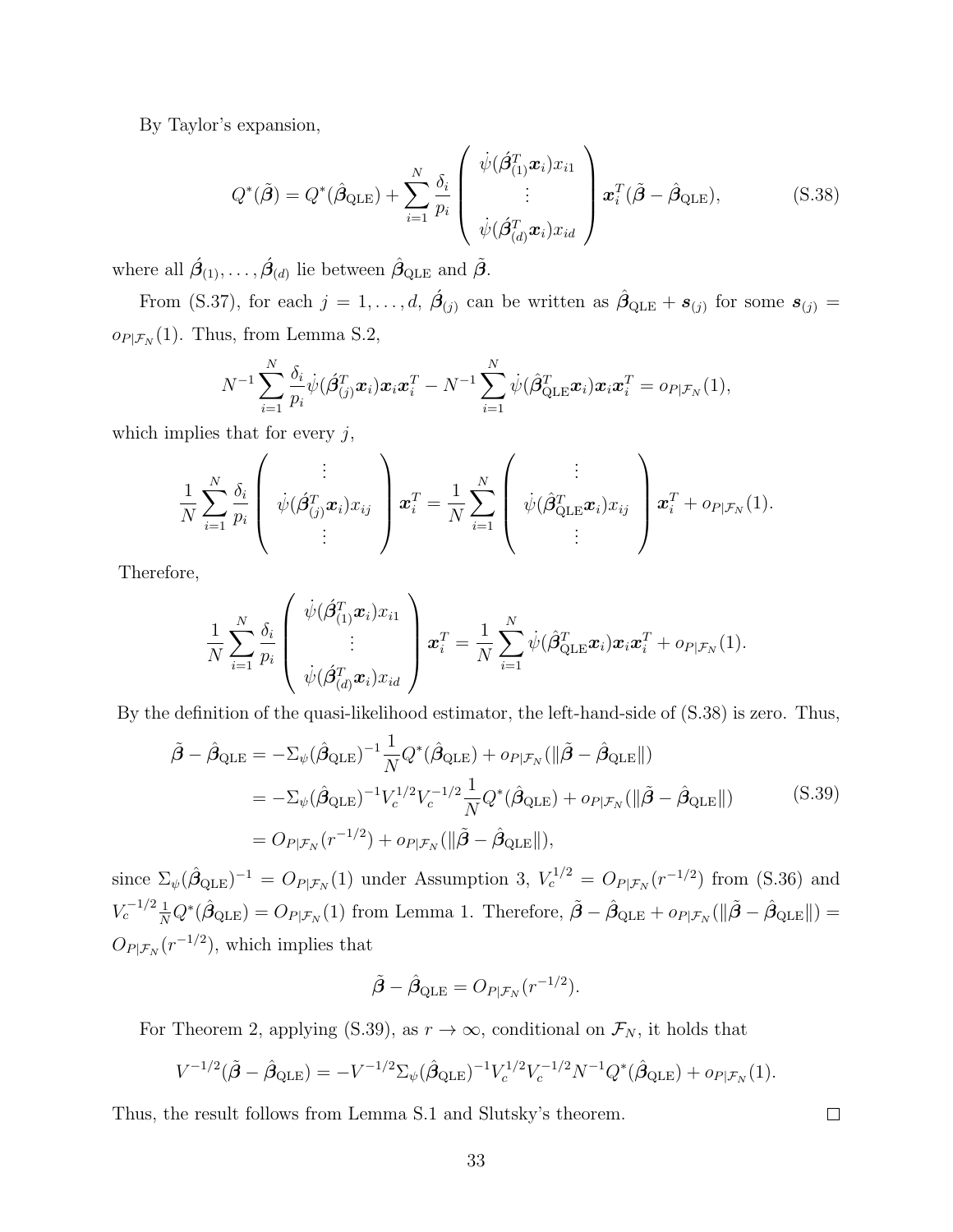By Taylor's expansion,

<span id="page-32-0"></span>
$$
Q^*(\tilde{\boldsymbol{\beta}}) = Q^*(\hat{\boldsymbol{\beta}}_{\text{QLE}}) + \sum_{i=1}^N \frac{\delta_i}{p_i} \left( \begin{array}{c} \dot{\psi}(\hat{\boldsymbol{\beta}}_{(1)}^T \boldsymbol{x}_i) x_{i1} \\ \vdots \\ \dot{\psi}(\hat{\boldsymbol{\beta}}_{(d)}^T \boldsymbol{x}_i) x_{id} \end{array} \right) \boldsymbol{x}_i^T (\tilde{\boldsymbol{\beta}} - \hat{\boldsymbol{\beta}}_{\text{QLE}}), \tag{S.38}
$$

where all  $\acute{\mathcal{B}}_{(1)}, \ldots, \acute{\mathcal{B}}_{(d)}$  lie between  $\hat{\mathcal{B}}_{\text{QLE}}$  and  $\tilde{\mathcal{B}}$ .

From [\(S.37\)](#page-31-0), for each  $j = 1, \ldots, d$ ,  $\hat{\beta}_{(j)}$  can be written as  $\hat{\beta}_{\text{QLE}} + s_{(j)}$  for some  $s_{(j)} =$  $o_{P|\mathcal{F}_N}(1)$ . Thus, from Lemma [S.2,](#page-29-1)

$$
N^{-1}\sum_{i=1}^N \frac{\delta_i}{p_i}\dot{\psi}(\hat{\boldsymbol{\beta}}_{(j)}^T\boldsymbol{x}_i)\boldsymbol{x}_i\boldsymbol{x}_i^T - N^{-1}\sum_{i=1}^N \dot{\psi}(\hat{\boldsymbol{\beta}}_{\text{QLE}}^T\boldsymbol{x}_i)\boldsymbol{x}_i\boldsymbol{x}_i^T = o_{P|\mathcal{F}_N}(1),
$$

which implies that for every  $j$ ,

$$
\frac{1}{N}\sum_{i=1}^N \frac{\delta_i}{p_i} \left( \begin{array}{c} \vdots \\ \psi(\hat{\beta}_{(j)}^T \boldsymbol{x}_i) x_{ij} \\ \vdots \end{array} \right) \boldsymbol{x}_i^T = \frac{1}{N}\sum_{i=1}^N \left( \begin{array}{c} \vdots \\ \psi(\hat{\beta}_{\text{QLE}}^T \boldsymbol{x}_i) x_{ij} \\ \vdots \end{array} \right) \boldsymbol{x}_i^T + o_{P|\mathcal{F}_N}(1).
$$

Therefore,

$$
\frac{1}{N}\sum_{i=1}^N \frac{\delta_i}{p_i} \left( \begin{array}{c} \dot{\psi}(\hat{\beta}_{(1)}^T \boldsymbol{x}_i) x_{i1} \\ \vdots \\ \dot{\psi}(\hat{\beta}_{(d)}^T \boldsymbol{x}_i) x_{id} \end{array} \right) \boldsymbol{x}_i^T = \frac{1}{N}\sum_{i=1}^N \dot{\psi}(\hat{\beta}_{\text{QLE}}^T \boldsymbol{x}_i) \boldsymbol{x}_i \boldsymbol{x}_i^T + o_{P|\mathcal{F}_N}(1).
$$

<span id="page-32-1"></span>By the definition of the quasi-likelihood estimator, the left-hand-side of [\(S.38\)](#page-32-0) is zero. Thus,

$$
\tilde{\boldsymbol{\beta}} - \hat{\boldsymbol{\beta}}_{\text{QLE}} = -\Sigma_{\psi} (\hat{\boldsymbol{\beta}}_{\text{QLE}})^{-1} \frac{1}{N} Q^*(\hat{\boldsymbol{\beta}}_{\text{QLE}}) + o_{P|\mathcal{F}_N}(\|\tilde{\boldsymbol{\beta}} - \hat{\boldsymbol{\beta}}_{\text{QLE}} \|)
$$
\n
$$
= -\Sigma_{\psi} (\hat{\boldsymbol{\beta}}_{\text{QLE}})^{-1} V_c^{1/2} V_c^{-1/2} \frac{1}{N} Q^*(\hat{\boldsymbol{\beta}}_{\text{QLE}}) + o_{P|\mathcal{F}_N}(\|\tilde{\boldsymbol{\beta}} - \hat{\boldsymbol{\beta}}_{\text{QLE}} \|)
$$
\n
$$
= O_{P|\mathcal{F}_N}(r^{-1/2}) + o_{P|\mathcal{F}_N}(\|\tilde{\boldsymbol{\beta}} - \hat{\boldsymbol{\beta}}_{\text{QLE}} \|), \tag{S.39}
$$

since  $\Sigma_{\psi}(\hat{\beta}_{\text{QLE}})^{-1} = O_{P|\mathcal{F}_N}(1)$  under Assumption 3,  $V_c^{1/2} = O_{P|\mathcal{F}_N}(r^{-1/2})$  from [\(S.36\)](#page-31-1) and  $V_c^{-1/2} \frac{1}{N} Q^* (\hat{\beta}_{\text{QLE}}) = O_{P|\mathcal{F}_N}(1)$  from Lemma 1. Therefore,  $\tilde{\beta} - \hat{\beta}_{\text{QLE}} + o_{P|\mathcal{F}_N}(\|\tilde{\beta} - \hat{\beta}_{\text{QLE}}\|) =$  $O_{P|\mathcal{F}_N}(r^{-1/2}),$  which implies that

$$
\tilde{\boldsymbol{\beta}} - \hat{\boldsymbol{\beta}}_{\text{QLE}} = O_{P|\mathcal{F}_N}(r^{-1/2}).
$$

For Theorem 2, applying [\(S.39\)](#page-32-1), as  $r \to \infty$ , conditional on  $\mathcal{F}_N$ , it holds that

$$
V^{-1/2}(\tilde{\beta} - \hat{\beta}_{\text{QLE}}) = -V^{-1/2} \Sigma_{\psi} (\hat{\beta}_{\text{QLE}})^{-1} V_c^{1/2} V_c^{-1/2} N^{-1} Q^*(\hat{\beta}_{\text{QLE}}) + o_{P|\mathcal{F}_N}(1).
$$

Thus, the result follows from Lemma [S.1](#page-27-0) and Slutsky's theorem.

 $\Box$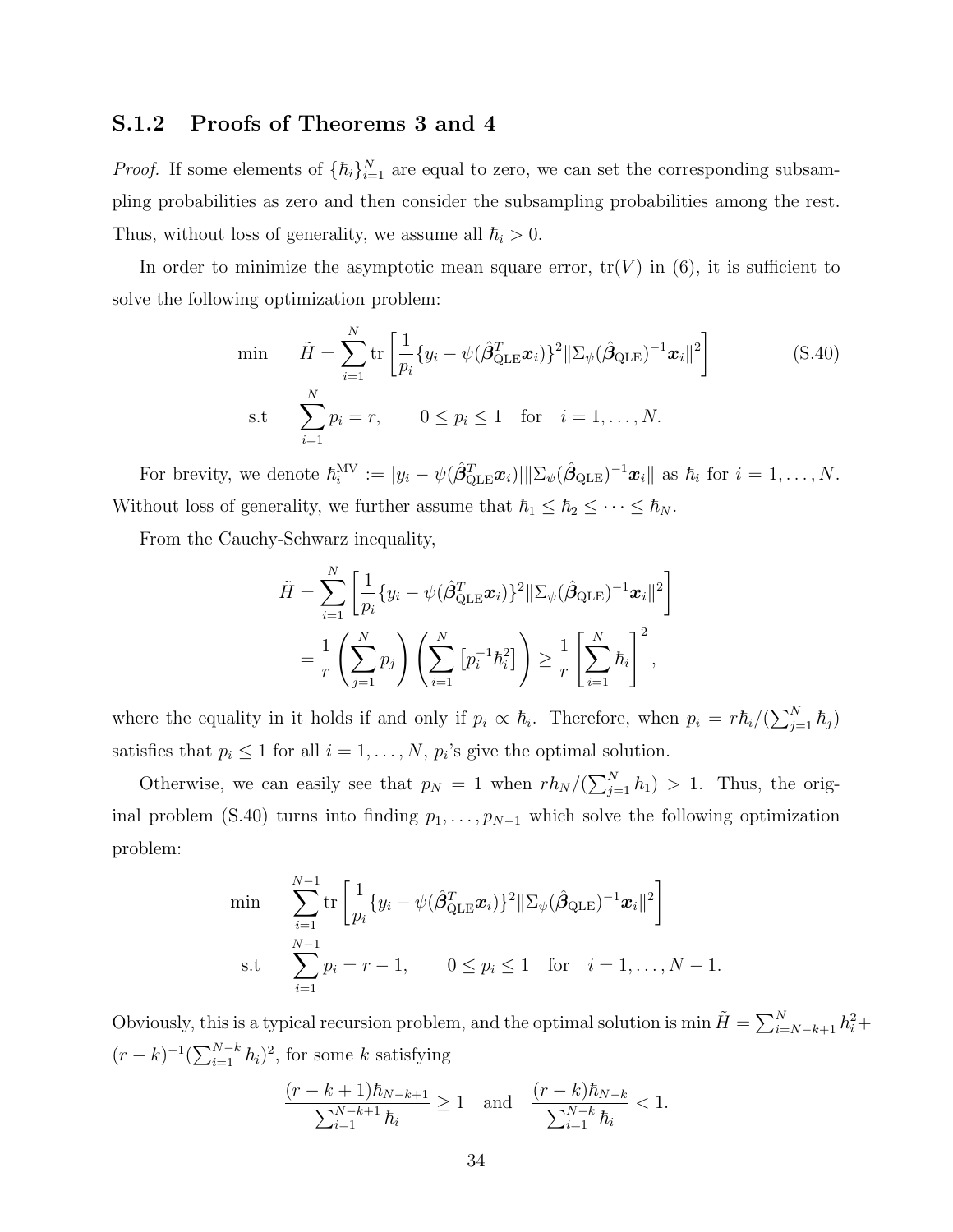### S.1.2 Proofs of Theorems 3 and 4

*Proof.* If some elements of  $\{\hbar_i\}_{i=1}^N$  are equal to zero, we can set the corresponding subsampling probabilities as zero and then consider the subsampling probabilities among the rest. Thus, without loss of generality, we assume all  $\hbar_i > 0$ .

In order to minimize the asymptotic mean square error,  $tr(V)$  in (6), it is sufficient to solve the following optimization problem:

<span id="page-33-0"></span>
$$
\begin{aligned}\n\min \qquad \tilde{H} &= \sum_{i=1}^{N} \text{tr} \left[ \frac{1}{p_i} \{ y_i - \psi (\hat{\beta}_{\text{QLE}}^T \boldsymbol{x}_i) \}^2 || \Sigma_{\psi} (\hat{\beta}_{\text{QLE}})^{-1} \boldsymbol{x}_i ||^2 \right] \\
\text{s.t} \qquad \sum_{i=1}^{N} p_i &= r, \qquad 0 \le p_i \le 1 \quad \text{for} \quad i = 1, \dots, N.\n\end{aligned} \tag{S.40}
$$

For brevity, we denote  $\hbar_i^{\text{MV}} := |y_i - \psi(\hat{\beta}_{\text{QLE}}^T \boldsymbol{x}_i)||\Sigma_{\psi}(\hat{\beta}_{\text{QLE}})^{-1} \boldsymbol{x}_i||$  as  $\hbar_i$  for  $i = 1, ..., N$ . Without loss of generality, we further assume that  $\hbar_1 \leq \hbar_2 \leq \cdots \leq \hbar_N$ .

From the Cauchy-Schwarz inequality,

$$
\tilde{H} = \sum_{i=1}^{N} \left[ \frac{1}{p_i} \{ y_i - \psi(\hat{\beta}_{\text{QLE}}^T \boldsymbol{x}_i) \}^2 || \Sigma_{\psi}(\hat{\beta}_{\text{QLE}})^{-1} \boldsymbol{x}_i ||^2 \right]
$$
  
=  $\frac{1}{r} \left( \sum_{j=1}^{N} p_j \right) \left( \sum_{i=1}^{N} \left[ p_i^{-1} \hbar_i^2 \right] \right) \ge \frac{1}{r} \left[ \sum_{i=1}^{N} \hbar_i \right]^2$ ,

where the equality in it holds if and only if  $p_i \propto \hbar_i$ . Therefore, when  $p_i = r\hbar_i/(\sum_{j=1}^N \hbar_j)$ satisfies that  $p_i \leq 1$  for all  $i = 1, ..., N$ ,  $p_i$ 's give the optimal solution.

Otherwise, we can easily see that  $p_N = 1$  when  $r \hbar_N / (\sum_{j=1}^N \hbar_j) > 1$ . Thus, the orig-inal problem [\(S.40\)](#page-33-0) turns into finding  $p_1, \ldots, p_{N-1}$  which solve the following optimization problem:

$$
\min \sum_{i=1}^{N-1} \text{tr}\left[\frac{1}{p_i} \{y_i - \psi(\hat{\beta}_{\text{QLE}}^T \boldsymbol{x}_i)\}^2 ||\Sigma_{\psi}(\hat{\beta}_{\text{QLE}})^{-1} \boldsymbol{x}_i||^2\right] \n\text{s.t} \sum_{i=1}^{N-1} p_i = r-1, \qquad 0 \le p_i \le 1 \quad \text{for} \quad i = 1, ..., N-1.
$$

Obviously, this is a typical recursion problem, and the optimal solution is min  $\tilde{H} = \sum_{i=N-k+1}^{N} \hbar_i^2 +$  $(r-k)^{-1}(\sum_{i=1}^{N-k} \hbar_i)^2$ , for some k satisfying

$$
\frac{(r-k+1)\hbar_{N-k+1}}{\sum_{i=1}^{N-k+1} \hbar_i} \ge 1 \text{ and } \frac{(r-k)\hbar_{N-k}}{\sum_{i=1}^{N-k} \hbar_i} < 1.
$$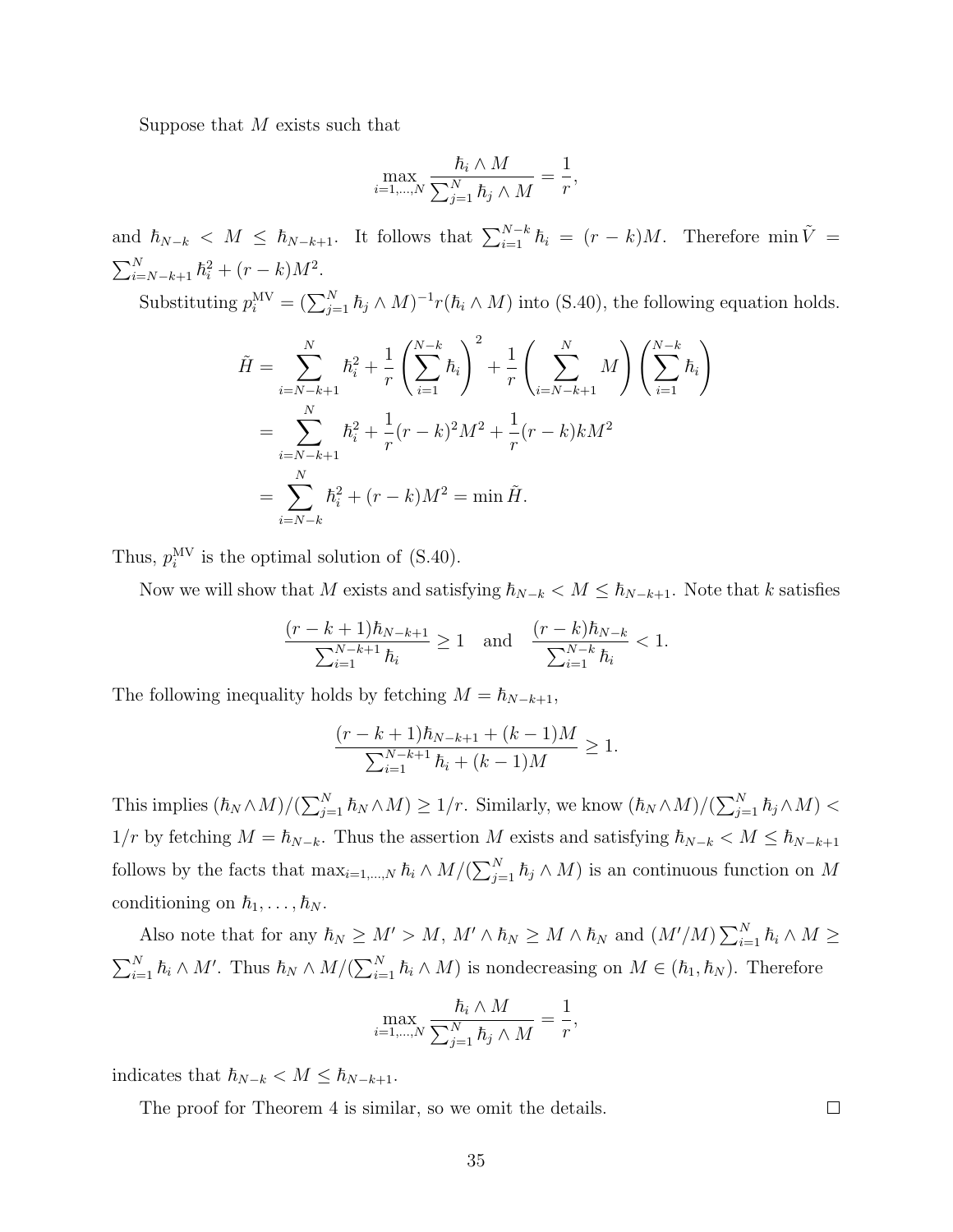Suppose that  $M$  exists such that

$$
\max_{i=1,\dots,N} \frac{\hbar_i \wedge M}{\sum_{j=1}^N \hbar_j \wedge M} = \frac{1}{r},
$$

and  $\hbar_{N-k}$  <  $M \leq \hbar_{N-k+1}$ . It follows that  $\sum_{i=1}^{N-k} \hbar_i = (r-k)M$ . Therefore min  $\tilde{V} =$  $\sum_{i=N-k+1}^{N} \hbar_i^2 + (r-k)M^2.$ 

Substituting  $p_i^{\text{MV}} = (\sum_{j=1}^N \hbar_j \wedge M)^{-1} r(\hbar_i \wedge M)$  into [\(S.40\)](#page-33-0), the following equation holds.

$$
\tilde{H} = \sum_{i=N-k+1}^{N} \hbar_i^2 + \frac{1}{r} \left( \sum_{i=1}^{N-k} \hbar_i \right)^2 + \frac{1}{r} \left( \sum_{i=N-k+1}^{N} M \right) \left( \sum_{i=1}^{N-k} \hbar_i \right)
$$
\n
$$
= \sum_{i=N-k+1}^{N} \hbar_i^2 + \frac{1}{r} (r-k)^2 M^2 + \frac{1}{r} (r-k) k M^2
$$
\n
$$
= \sum_{i=N-k}^{N} \hbar_i^2 + (r-k) M^2 = \min \tilde{H}.
$$

Thus,  $p_i^{\text{MV}}$  is the optimal solution of [\(S.40\)](#page-33-0).

Now we will show that M exists and satisfying  $\hbar_{N-k} < M \leq \hbar_{N-k+1}$ . Note that k satisfies

$$
\frac{(r-k+1)\hbar_{N-k+1}}{\sum_{i=1}^{N-k+1}\hbar_i}\geq 1\quad\text{and}\quad \frac{(r-k)\hbar_{N-k}}{\sum_{i=1}^{N-k}\hbar_i}<1.
$$

The following inequality holds by fetching  $M = \hbar_{N-k+1}$ ,

$$
\frac{(r-k+1)\hbar_{N-k+1} + (k-1)M}{\sum_{i=1}^{N-k+1} \hbar_i + (k-1)M} \ge 1.
$$

This implies  $(\hbar_N \wedge M)/(\sum_{j=1}^N \hbar_N \wedge M) \geq 1/r$ . Similarly, we know  $(\hbar_N \wedge M)/(\sum_{j=1}^N \hbar_j \wedge M)$  $1/r$  by fetching  $M = \hbar_{N-k}$ . Thus the assertion M exists and satisfying  $\hbar_{N-k} < M \leq \hbar_{N-k+1}$ follows by the facts that  $\max_{i=1,\dots,N} \hbar_i \wedge M/(\sum_{j=1}^N \hbar_j \wedge M)$  is an continuous function on M conditioning on  $\hbar_1, \ldots, \hbar_N$ .

Also note that for any  $\hbar_N \geq M' > M$ ,  $M' \wedge \hbar_N \geq M \wedge \hbar_N$  and  $(M'/M) \sum_{i=1}^N \hbar_i \wedge M \geq$  $\sum_{i=1}^N \hbar_i \wedge M'$ . Thus  $\hbar_N \wedge M/(\sum_{i=1}^N \hbar_i \wedge M)$  is nondecreasing on  $M \in (\hbar_1, \hbar_N)$ . Therefore

$$
\max_{i=1,\dots,N} \frac{\hbar_i \wedge M}{\sum_{j=1}^N \hbar_j \wedge M} = \frac{1}{r},
$$

indicates that  $\hbar_{N-k} < M \leq \hbar_{N-k+1}$ .

The proof for Theorem 4 is similar, so we omit the details.

 $\Box$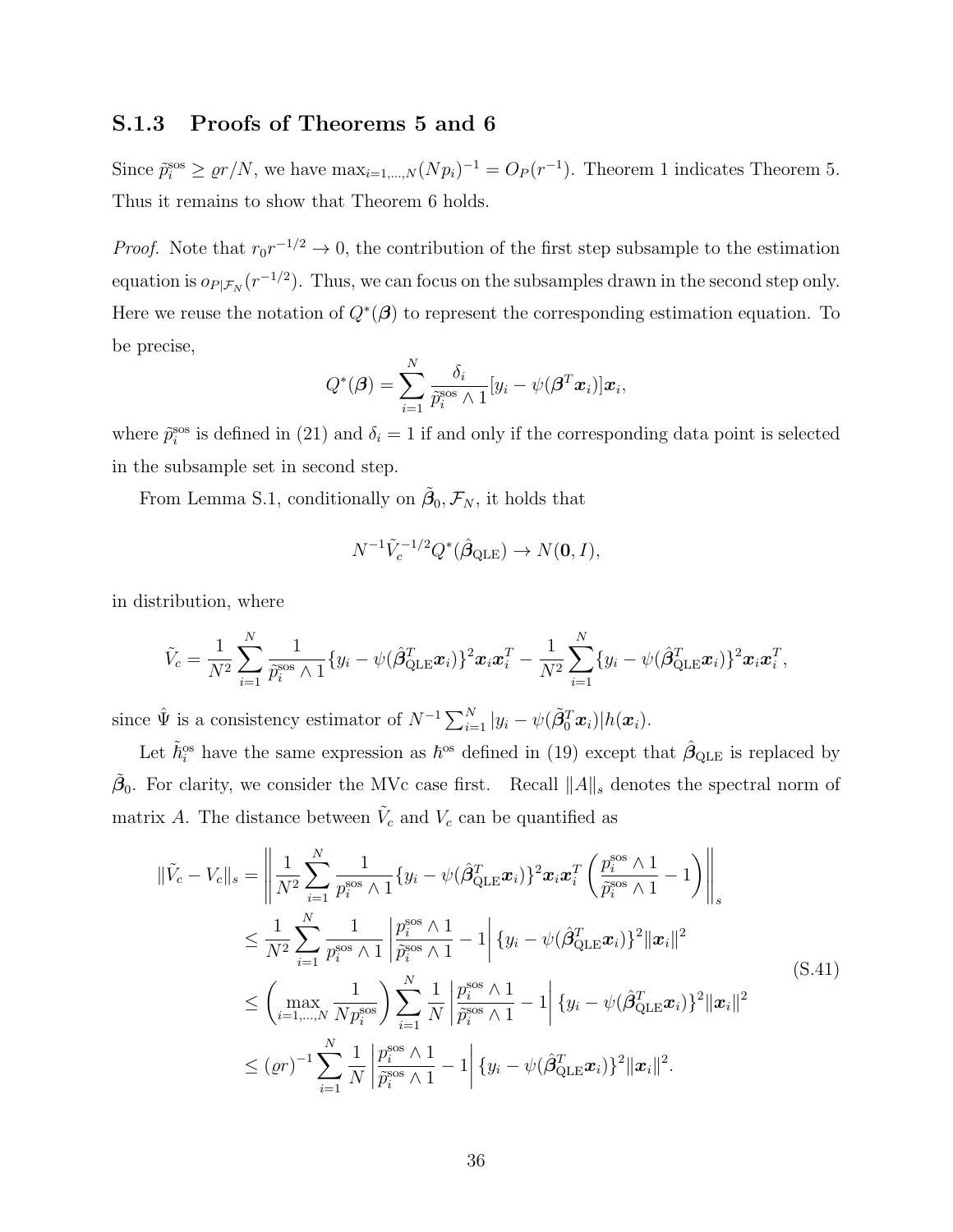## S.1.3 Proofs of Theorems 5 and 6

Since  $\tilde{p}_i^{\text{sos}} \ge \varrho r/N$ , we have  $\max_{i=1,\dots,N} (N p_i)^{-1} = O_P(r^{-1})$ . Theorem 1 indicates Theorem 5. Thus it remains to show that Theorem 6 holds.

*Proof.* Note that  $r_0 r^{-1/2} \to 0$ , the contribution of the first step subsample to the estimation equation is  $o_{P|\mathcal{F}_N}(r^{-1/2})$ . Thus, we can focus on the subsamples drawn in the second step only. Here we reuse the notation of  $Q^*(\beta)$  to represent the corresponding estimation equation. To be precise,

$$
Q^*(\boldsymbol{\beta}) = \sum_{i=1}^N \frac{\delta_i}{\tilde{p}_i^{\text{sos}} \wedge 1} [y_i - \psi(\boldsymbol{\beta}^T \boldsymbol{x}_i)] \boldsymbol{x}_i,
$$

where  $\tilde{p}_i^{\rm sos}$  is defined in (21) and  $\delta_i = 1$  if and only if the corresponding data point is selected in the subsample set in second step.

From Lemma [S.1,](#page-27-0) conditionally on  $\tilde{\beta}_0, \mathcal{F}_N$ , it holds that

$$
N^{-1}\tilde{V}_c^{-1/2}Q^*(\hat{\boldsymbol{\beta}}_{\text{QLE}}) \to N(\mathbf{0}, I),
$$

in distribution, where

$$
\tilde{V}_c = \frac{1}{N^2} \sum_{i=1}^N \frac{1}{\tilde{p}_i^{\text{Sos}} \wedge 1} \{y_i - \psi(\hat{\boldsymbol{\beta}}_{\text{QLE}}^T \boldsymbol{x}_i)\}^2 \boldsymbol{x}_i \boldsymbol{x}_i^T - \frac{1}{N^2} \sum_{i=1}^N \{y_i - \psi(\hat{\boldsymbol{\beta}}_{\text{QLE}}^T \boldsymbol{x}_i)\}^2 \boldsymbol{x}_i \boldsymbol{x}_i^T,
$$

since  $\hat{\Psi}$  is a consistency estimator of  $N^{-1} \sum_{i=1}^{N} |y_i - \psi(\tilde{\beta}_0^T \boldsymbol{x}_i)| h(\boldsymbol{x}_i)$ .

Let  $\tilde{h}^{\text{os}}_i$  have the same expression as  $\hbar^{\text{os}}$  defined in (19) except that  $\hat{\beta}_{\text{QLE}}$  is replaced by  $\tilde{\beta}_0$ . For clarity, we consider the MVc case first. Recall  $||A||_s$  denotes the spectral norm of matrix A. The distance between  $\tilde{V}_c$  and  $V_c$  can be quantified as

<span id="page-35-0"></span>
$$
\begin{split}\n\|\tilde{V}_{c} - V_{c}\|_{s} &= \left\| \frac{1}{N^{2}} \sum_{i=1}^{N} \frac{1}{p_{i}^{\text{SOS}} \wedge 1} \{y_{i} - \psi(\hat{\beta}_{\text{QLE}}^{T} \boldsymbol{x}_{i})\}^{2} \boldsymbol{x}_{i} \boldsymbol{x}_{i}^{T} \left(\frac{p_{i}^{\text{SOS}} \wedge 1}{\tilde{p}_{i}^{\text{SOS}} \wedge 1} - 1\right) \right\|_{s} \\
&\leq \frac{1}{N^{2}} \sum_{i=1}^{N} \frac{1}{p_{i}^{\text{SOS}} \wedge 1} \left| \frac{p_{i}^{\text{SOS}} \wedge 1}{\tilde{p}_{i}^{\text{SOS}} \wedge 1} - 1 \right| \{y_{i} - \psi(\hat{\beta}_{\text{QLE}}^{T} \boldsymbol{x}_{i})\}^{2} \|\boldsymbol{x}_{i}\|^{2} \\
&\leq \left(\max_{i=1,\dots,N} \frac{1}{N p_{i}^{\text{SOS}}}\right) \sum_{i=1}^{N} \frac{1}{N} \left| \frac{p_{i}^{\text{SOS}} \wedge 1}{\tilde{p}_{i}^{\text{SOS}} \wedge 1} - 1 \right| \{y_{i} - \psi(\hat{\beta}_{\text{QLE}}^{T} \boldsymbol{x}_{i})\}^{2} \|\boldsymbol{x}_{i}\|^{2} \\
&\leq (\varrho r)^{-1} \sum_{i=1}^{N} \frac{1}{N} \left| \frac{p_{i}^{\text{SOS}} \wedge 1}{\tilde{p}_{i}^{\text{SOS}} \wedge 1} - 1 \right| \{y_{i} - \psi(\hat{\beta}_{\text{QLE}}^{T} \boldsymbol{x}_{i})\}^{2} \|\boldsymbol{x}_{i}\|^{2}.\n\end{split} \tag{S.41}
$$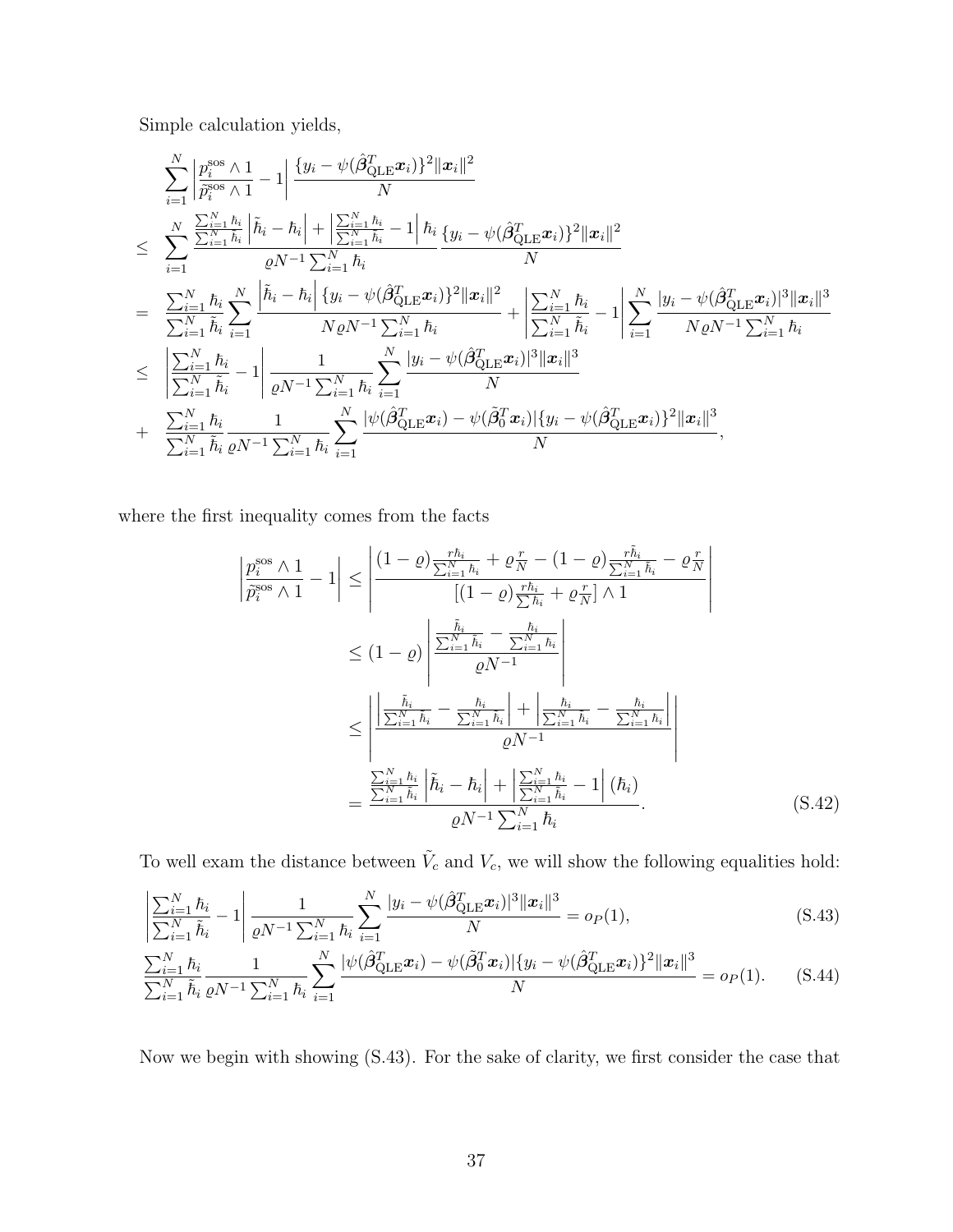Simple calculation yields,

$$
\sum_{i=1}^{N} \left| \frac{p_i^{\cos} \wedge 1}{\tilde{p}_i^{\cos} \wedge 1} - 1 \right| \frac{\{y_i - \psi(\hat{\beta}_{\text{QLE}}^T \boldsymbol{x}_i)\}^2 \|\boldsymbol{x}_i\|^2}{N} \leq \sum_{i=1}^{N} \frac{\sum_{i=1}^{N} \tilde{h}_i}{\sum_{i=1}^{N} \tilde{h}_i} \left| \tilde{h}_i - \tilde{h}_i \right| + \left| \frac{\sum_{i=1}^{N} \tilde{h}_i}{\sum_{i=1}^{N} \tilde{h}_i} - 1 \right| \tilde{h}_i} {\varrho N^{-1} \sum_{i=1}^{N} \tilde{h}_i} \frac{\{y_i - \psi(\hat{\beta}_{\text{QLE}}^T \boldsymbol{x}_i)\}^2 \|\boldsymbol{x}_i\|^2}{N} \leq \sum_{i=1}^{N} \frac{\sum_{i=1}^{N} \tilde{h}_i}{\tilde{h}_i} \sum_{i=1}^{N} \left| \frac{\tilde{h}_i - \tilde{h}_i}{N \varrho N^{-1} \sum_{i=1}^{N} \tilde{h}_i} + \left| \frac{\sum_{i=1}^{N} \tilde{h}_i}{\sum_{i=1}^{N} \tilde{h}_i} - 1 \right| \sum_{i=1}^{N} \frac{|y_i - \psi(\hat{\beta}_{\text{QLE}}^T \boldsymbol{x}_i)|^3 \|\boldsymbol{x}_i\|^3}{N \varrho N^{-1} \sum_{i=1}^{N} \tilde{h}_i} \right| \leq \sum_{i=1}^{N} \frac{\tilde{h}_i}{\tilde{h}_i} - 1 \left| \frac{1}{\varrho N^{-1} \sum_{i=1}^{N} \tilde{h}_i} \sum_{i=1}^{N} \frac{|y_i - \psi(\hat{\beta}_{\text{QLE}}^T \boldsymbol{x}_i)|^3 \|\boldsymbol{x}_i\|^3}{N} \right| \leq \frac{\sum_{i=1}^{N} \tilde{h}_i}{\sum_{i=1}^{N} \tilde{h}_i} - 1 \left| \frac{1}{\varrho N^{-1} \sum_{i=1}^{N} \tilde{h}_i} \sum_{i=1}^{N} \frac{|y_i - \psi(\hat{\beta}_{\text{QLE}}^T \boldsymbol{x}_i)|^3
$$

where the first inequality comes from the facts

$$
\left| \frac{p_i^{\text{ss}} \wedge 1}{\tilde{p}_i^{\text{ss}} \wedge 1} - 1 \right| \le \left| \frac{(1 - \varrho) \frac{r \hbar_i}{\sum_{i=1}^{N} \hbar_i} + \varrho \frac{r}{N} - (1 - \varrho) \frac{r \tilde{h}_i}{\sum_{i=1}^{N} \tilde{h}_i} - \varrho \frac{r}{N}}{\left[ (1 - \varrho) \frac{r \hbar_i}{\sum_{i=1}^{N} \hbar_i} + \varrho \frac{r}{N} \right] \wedge 1} \right|
$$
  
\n
$$
\le (1 - \varrho) \left| \frac{\frac{\tilde{h}_i}{\sum_{i=1}^{N} \tilde{h}_i} - \frac{\tilde{h}_i}{\sum_{i=1}^{N} \hbar_i}}{\varrho N^{-1}} \right|
$$
  
\n
$$
\le \left| \frac{\left| \frac{\tilde{h}_i}{\sum_{i=1}^{N} \tilde{h}_i} - \frac{\tilde{h}_i}{\sum_{i=1}^{N} \tilde{h}_i} \right| + \left| \frac{\tilde{h}_i}{\sum_{i=1}^{N} \tilde{h}_i} - \frac{\tilde{h}_i}{\sum_{i=1}^{N} \tilde{h}_i} \right|}{\varrho N^{-1}} \right|
$$
  
\n
$$
= \frac{\frac{\sum_{i=1}^{N} \hbar_i}{\sum_{i=1}^{N} \tilde{h}_i} \left| \tilde{h}_i - \hbar_i \right| + \left| \frac{\sum_{i=1}^{N} \hbar_i}{\sum_{i=1}^{N} \tilde{h}_i} - 1 \right| (\hbar_i)}{\varrho N^{-1} \sum_{i=1}^{N} \hbar_i} \right|}.
$$
 (S.42)

To well exam the distance between  $\tilde{V}_c$  and  $V_c$ , we will show the following equalities hold:

<span id="page-36-1"></span><span id="page-36-0"></span>
$$
\frac{\left|\sum_{i=1}^{N} \hbar_{i}}{\sum_{i=1}^{N} \tilde{h}_{i}} - 1\right| \frac{1}{\varrho N^{-1} \sum_{i=1}^{N} \hbar_{i}} \sum_{i=1}^{N} \frac{|y_{i} - \psi(\hat{\beta}_{\text{QLE}}^{T} x_{i})|^{3} ||x_{i}||^{3}}{N} = o_{P}(1),
$$
\n(S.43)\n
$$
\frac{\sum_{i=1}^{N} \hbar_{i}}{\sum_{i=1}^{N} \tilde{h}_{i}} \frac{1}{\varrho N^{-1} \sum_{i=1}^{N} \hbar_{i}} \sum_{i=1}^{N} \frac{|\psi(\hat{\beta}_{\text{QLE}}^{T} x_{i}) - \psi(\tilde{\beta}_{0}^{T} x_{i})| \{y_{i} - \psi(\hat{\beta}_{\text{QLE}}^{T} x_{i})\}^{2} ||x_{i}||^{3}}{N} = o_{P}(1).
$$
\n(S.44)

Now we begin with showing [\(S.43\)](#page-36-0). For the sake of clarity, we first consider the case that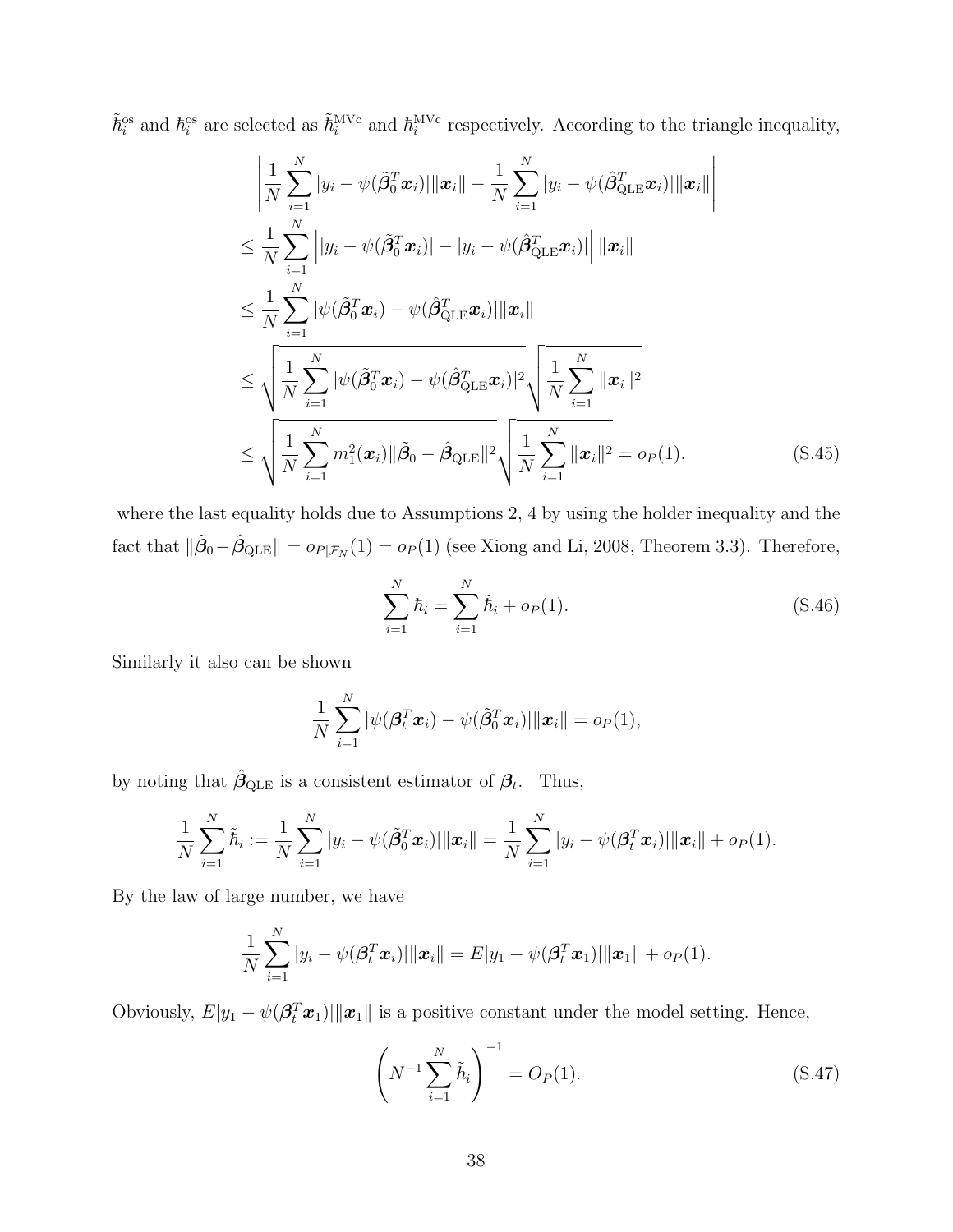$\tilde{h}_i^{\text{os}}$  and  $\tilde{h}_i^{\text{av}}$  are selected as  $\tilde{h}_i^{\text{MVC}}$  and  $\tilde{h}_i^{\text{MVC}}$  respectively. According to the triangle inequality,

$$
\begin{split}\n&\left|\frac{1}{N}\sum_{i=1}^{N}|y_{i}-\psi(\tilde{\beta}_{0}^{T}\boldsymbol{x}_{i})|\|\boldsymbol{x}_{i}\|-\frac{1}{N}\sum_{i=1}^{N}|y_{i}-\psi(\hat{\beta}_{\text{QLE}}^{T}\boldsymbol{x}_{i})|\|\boldsymbol{x}_{i}\|\right| \\
&\leq \frac{1}{N}\sum_{i=1}^{N}\left||y_{i}-\psi(\tilde{\beta}_{0}^{T}\boldsymbol{x}_{i})|-|y_{i}-\psi(\hat{\beta}_{\text{QLE}}^{T}\boldsymbol{x}_{i})|\right||\boldsymbol{x}_{i}\| \\
&\leq \frac{1}{N}\sum_{i=1}^{N}|\psi(\tilde{\beta}_{0}^{T}\boldsymbol{x}_{i})-\psi(\hat{\beta}_{\text{QLE}}^{T}\boldsymbol{x}_{i})|\|\boldsymbol{x}_{i}\| \\
&\leq \sqrt{\frac{1}{N}\sum_{i=1}^{N}|\psi(\tilde{\beta}_{0}^{T}\boldsymbol{x}_{i})-\psi(\hat{\beta}_{\text{QLE}}^{T}\boldsymbol{x}_{i})|^{2}}\sqrt{\frac{1}{N}\sum_{i=1}^{N}\|\boldsymbol{x}_{i}\|^{2}} \\
&\leq \sqrt{\frac{1}{N}\sum_{i=1}^{N}m_{1}^{2}(\boldsymbol{x}_{i})\|\tilde{\beta}_{0}-\hat{\beta}_{\text{QLE}}\|^{2}}\sqrt{\frac{1}{N}\sum_{i=1}^{N}\|\boldsymbol{x}_{i}\|^{2}} = o_{P}(1),\n\end{split} \tag{S.45}
$$

where the last equality holds due to Assumptions 2, 4 by using the holder inequality and the fact that  $\|\tilde{\beta}_0 - \hat{\beta}_{\text{QLE}}\| = o_{P|\mathcal{F}_N}(1) = o_P(1)$  (see [Xiong and Li, 2008,](#page-58-1) Theorem 3.3). Therefore,

<span id="page-37-2"></span><span id="page-37-0"></span>
$$
\sum_{i=1}^{N} \hbar_i = \sum_{i=1}^{N} \tilde{\hbar}_i + o_P(1).
$$
 (S.46)

Similarly it also can be shown

$$
\frac{1}{N}\sum_{i=1}^N |\psi(\boldsymbol{\beta}_t^T\boldsymbol{x}_i) - \psi(\tilde{\boldsymbol{\beta}}_0^T\boldsymbol{x}_i)||\|\boldsymbol{x}_i\| = o_P(1),
$$

by noting that  $\hat{\beta}_{\text{QLE}}$  is a consistent estimator of  $\beta_t$ . Thus,

$$
\frac{1}{N}\sum_{i=1}^N \tilde{h}_i := \frac{1}{N}\sum_{i=1}^N |y_i - \psi(\tilde{\boldsymbol{\beta}}_0^T \boldsymbol{x}_i)||\boldsymbol{x}_i|| = \frac{1}{N}\sum_{i=1}^N |y_i - \psi(\boldsymbol{\beta}_t^T \boldsymbol{x}_i)||\boldsymbol{x}_i|| + o_P(1).
$$

By the law of large number, we have

$$
\frac{1}{N}\sum_{i=1}^N |y_i - \psi(\boldsymbol{\beta}_t^T \boldsymbol{x}_i)||\boldsymbol{x}_i|| = E|y_1 - \psi(\boldsymbol{\beta}_t^T \boldsymbol{x}_1)||\boldsymbol{x}_1|| + o_P(1).
$$

Obviously,  $E|y_1 - \psi(\beta_t^T \boldsymbol{x}_1)||\|\boldsymbol{x}_1\|$  is a positive constant under the model setting. Hence,

<span id="page-37-1"></span>
$$
\left(N^{-1}\sum_{i=1}^{N}\tilde{h}_i\right)^{-1} = O_P(1). \tag{S.47}
$$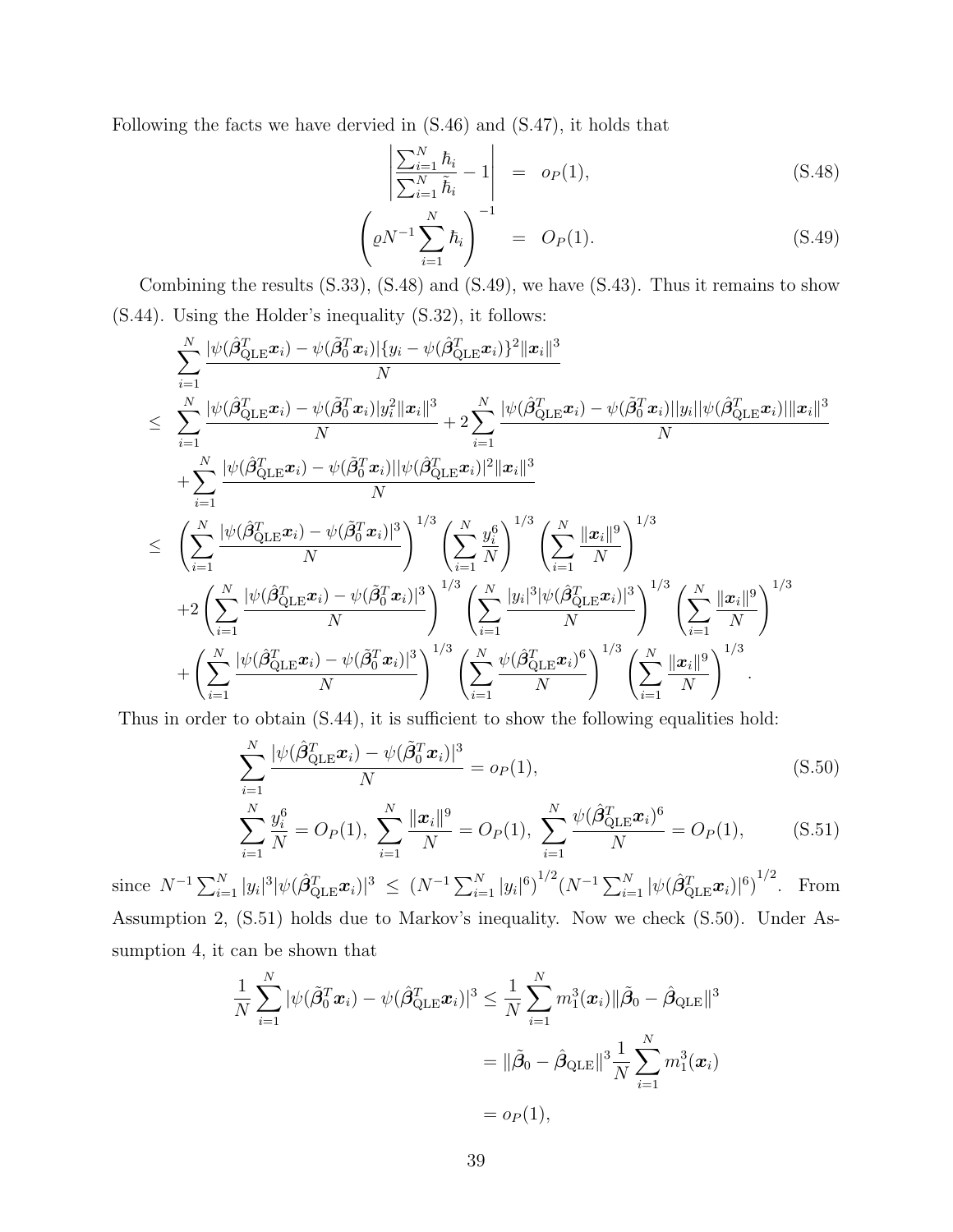Following the facts we have dervied in [\(S.46\)](#page-37-0) and [\(S.47\)](#page-37-1), it holds that

<span id="page-38-0"></span>
$$
\left| \frac{\sum_{i=1}^{N} \hbar_i}{\sum_{i=1}^{N} \tilde{h}_i} - 1 \right| = o_P(1), \tag{S.48}
$$

$$
\left(\varrho N^{-1} \sum_{i=1}^{N} \hbar_i\right)^{-1} = O_P(1). \tag{S.49}
$$

Combining the results [\(S.33\)](#page-29-0), [\(S.48\)](#page-38-0) and [\(S.49\)](#page-38-0), we have [\(S.43\)](#page-36-0). Thus it remains to show [\(S.44\)](#page-36-1). Using the Holder's inequality [\(S.32\)](#page-29-2), it follows:

$$
\sum_{i=1}^{N} \frac{|\psi(\hat{\beta}_{\text{QLE}}^{T}x_{i}) - \psi(\tilde{\beta}_{\text{QLE}}^{T}x_{i})| \{y_{i} - \psi(\hat{\beta}_{\text{QLE}}^{T}x_{i})\}^{2} \|x_{i}\|^{3}}{N} \n\leq \sum_{i=1}^{N} \frac{|\psi(\hat{\beta}_{\text{QLE}}^{T}x_{i}) - \psi(\tilde{\beta}_{\text{QLE}}^{T}x_{i})|y_{i}^{2} \|x_{i}\|^{3}}{N} + 2 \sum_{i=1}^{N} \frac{|\psi(\hat{\beta}_{\text{QLE}}^{T}x_{i}) - \psi(\tilde{\beta}_{\text{QLE}}^{T}x_{i})| \|y_{i}\| \psi(\hat{\beta}_{\text{QLE}}^{T}x_{i})\| \|x_{i}\|^{3}}{N} \n+ \sum_{i=1}^{N} \frac{|\psi(\hat{\beta}_{\text{QLE}}^{T}x_{i}) - \psi(\tilde{\beta}_{\text{QLE}}^{T}x_{i})| \psi(\hat{\beta}_{\text{QLE}}^{T}x_{i})|^{2} \|x_{i}\|^{3}}{N} \n\leq \left(\sum_{i=1}^{N} \frac{|\psi(\hat{\beta}_{\text{QLE}}^{T}x_{i}) - \psi(\tilde{\beta}_{\text{QLE}}^{T}x_{i})|^{3}}{N}\right)^{1/3} \left(\sum_{i=1}^{N} \frac{y_{i}^{6}}{N}\right)^{1/3} \left(\sum_{i=1}^{N} \frac{\|x_{i}\|^{9}}{N}\right)^{1/3} \n+ 2 \left(\sum_{i=1}^{N} \frac{|\psi(\hat{\beta}_{\text{QLE}}^{T}x_{i}) - \psi(\tilde{\beta}_{\text{QLE}}^{T}x_{i})|^{3}}{N}\right)^{1/3} \left(\sum_{i=1}^{N} \frac{|y_{i}|^{3} |\psi(\hat{\beta}_{\text{QLE}}^{T}x_{i})|^{3}}{N}\right)^{1/3} \left(\sum_{i=1}^{N} \frac{\|x_{i}\|^{9}}{N}\right)^{1/3} \n+ \left(\sum_{i=1}^{N} \frac{|\psi(\hat{\beta}_{\text{QLE}}^{T}x_{i}) - \psi(\tilde{\beta}_{\text{QLE}}^{T}x_{i})|^{3}}{N}\right
$$

Thus in order to obtain [\(S.44\)](#page-36-1), it is sufficient to show the following equalities hold:

<span id="page-38-1"></span>
$$
\sum_{i=1}^{N} \frac{|\psi(\hat{\beta}_{\text{QLE}}^T \boldsymbol{x}_i) - \psi(\tilde{\beta}_0^T \boldsymbol{x}_i)|^3}{N} = o_P(1),
$$
\n(S.50)

$$
\sum_{i=1}^{N} \frac{y_i^6}{N} = O_P(1), \sum_{i=1}^{N} \frac{\|\mathbf{x}_i\|^9}{N} = O_P(1), \sum_{i=1}^{N} \frac{\psi(\hat{\beta}_{\text{QLE}}^T \mathbf{x}_i)^6}{N} = O_P(1), \quad (S.51)
$$

since  $N^{-1} \sum_{i=1}^N |y_i|^3 |\psi(\hat{\beta}_{\text{QLE}}^T \boldsymbol{x}_i)|^3 \le (N^{-1} \sum_{i=1}^N |y_i|^6)^{1/2} (N^{-1} \sum_{i=1}^N |\psi(\hat{\beta}_{\text{QLE}}^T \boldsymbol{x}_i)|^6)^{1/2}$ . From Assumption 2, [\(S.51\)](#page-38-1) holds due to Markov's inequality. Now we check [\(S.50\)](#page-38-1). Under Assumption 4, it can be shown that

$$
\frac{1}{N} \sum_{i=1}^{N} |\psi(\tilde{\beta}_0^T \boldsymbol{x}_i) - \psi(\hat{\beta}_{\text{QLE}}^T \boldsymbol{x}_i)|^3 \le \frac{1}{N} \sum_{i=1}^{N} m_1^3(\boldsymbol{x}_i) ||\tilde{\beta}_0 - \hat{\beta}_{\text{QLE}}||^3
$$

$$
= ||\tilde{\beta}_0 - \hat{\beta}_{\text{QLE}}||^3 \frac{1}{N} \sum_{i=1}^{N} m_1^3(\boldsymbol{x}_i)
$$

$$
= o_P(1),
$$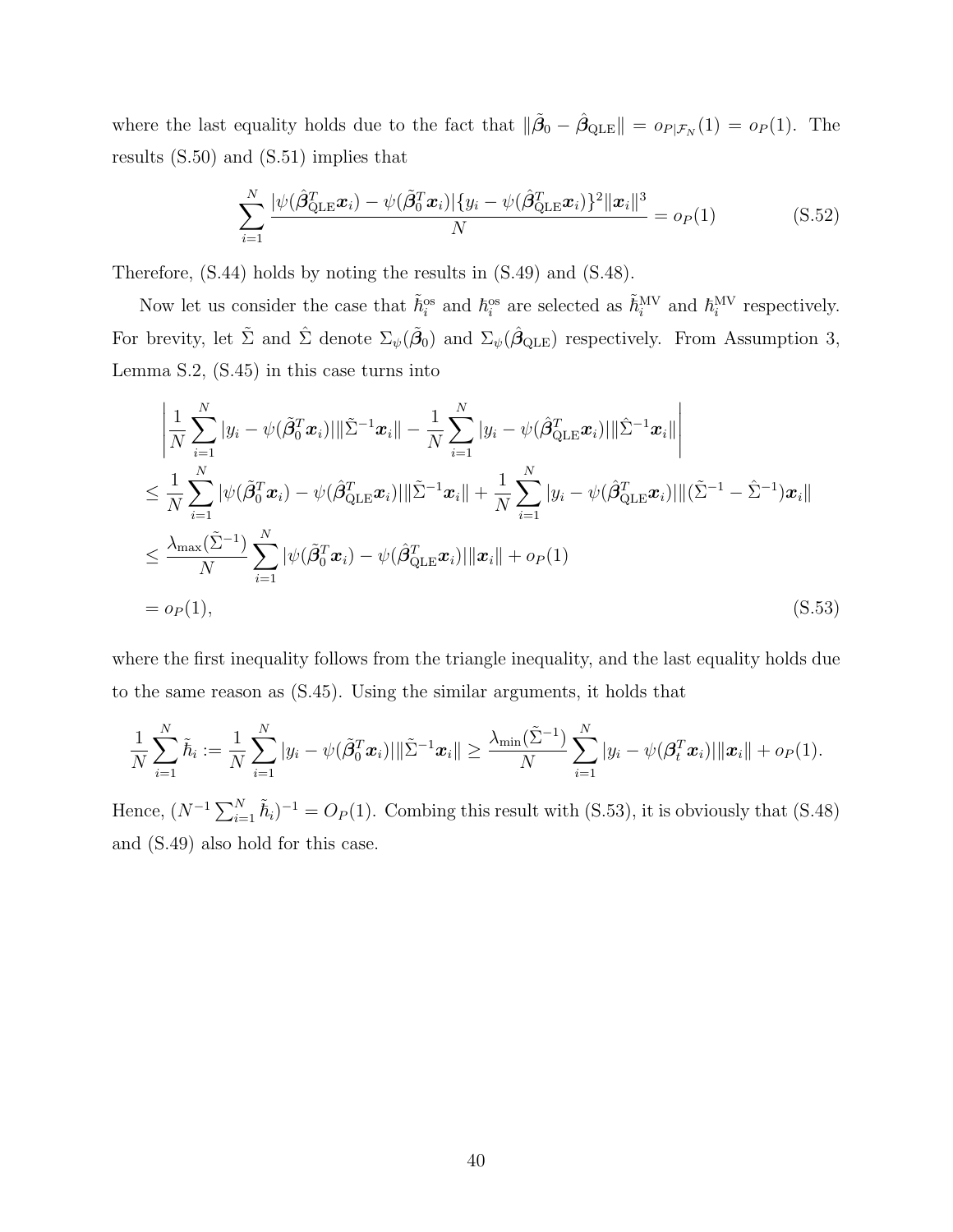where the last equality holds due to the fact that  $\|\tilde{\beta}_0 - \hat{\beta}_{\text{QLE}}\| = o_{P|\mathcal{F}_N}(1) = o_P(1)$ . The results [\(S.50\)](#page-38-1) and [\(S.51\)](#page-38-1) implies that

<span id="page-39-1"></span>
$$
\sum_{i=1}^{N} \frac{|\psi(\hat{\beta}_{\text{QLE}}^T \boldsymbol{x}_i) - \psi(\tilde{\beta}_{0}^T \boldsymbol{x}_i)| \{y_i - \psi(\hat{\beta}_{\text{QLE}}^T \boldsymbol{x}_i)\}^2 \|\boldsymbol{x}_i\|^3}{N} = o_P(1) \tag{S.52}
$$

Therefore, [\(S.44\)](#page-36-1) holds by noting the results in [\(S.49\)](#page-38-0) and [\(S.48\)](#page-38-0).

Now let us consider the case that  $\tilde{h}^{\text{os}}_i$  and  $h^{\text{os}}_i$  are selected as  $\tilde{h}^{\text{MV}}_i$  and  $h^{\text{MV}}_i$  respectively. For brevity, let  $\tilde{\Sigma}$  and  $\hat{\Sigma}$  denote  $\Sigma_{\psi}(\tilde{\beta}_0)$  and  $\Sigma_{\psi}(\hat{\beta}_{\text{QLE}})$  respectively. From Assumption 3, Lemma [S.2,](#page-29-1) [\(S.45\)](#page-37-2) in this case turns into

<span id="page-39-0"></span>
$$
\begin{split}\n&\left|\frac{1}{N}\sum_{i=1}^{N}|y_{i}-\psi(\tilde{\beta}_{0}^{T}\boldsymbol{x}_{i})|\|\tilde{\Sigma}^{-1}\boldsymbol{x}_{i}\|-\frac{1}{N}\sum_{i=1}^{N}|y_{i}-\psi(\hat{\beta}_{\text{QLE}}^{T}\boldsymbol{x}_{i})|\|\hat{\Sigma}^{-1}\boldsymbol{x}_{i}\| \right| \\
&\leq \frac{1}{N}\sum_{i=1}^{N}|\psi(\tilde{\beta}_{0}^{T}\boldsymbol{x}_{i})-\psi(\hat{\beta}_{\text{QLE}}^{T}\boldsymbol{x}_{i})|\|\tilde{\Sigma}^{-1}\boldsymbol{x}_{i}\|+\frac{1}{N}\sum_{i=1}^{N}|y_{i}-\psi(\hat{\beta}_{\text{QLE}}^{T}\boldsymbol{x}_{i})|\|(\tilde{\Sigma}^{-1}-\hat{\Sigma}^{-1})\boldsymbol{x}_{i}\| \\
&\leq \frac{\lambda_{\max}(\tilde{\Sigma}^{-1})}{N}\sum_{i=1}^{N}|\psi(\tilde{\beta}_{0}^{T}\boldsymbol{x}_{i})-\psi(\hat{\beta}_{\text{QLE}}^{T}\boldsymbol{x}_{i})|\|\boldsymbol{x}_{i}\|+o_{P}(1) \\
&= o_{P}(1),\n\end{split} \tag{S.53}
$$

where the first inequality follows from the triangle inequality, and the last equality holds due to the same reason as [\(S.45\)](#page-37-2). Using the similar arguments, it holds that

$$
\frac{1}{N}\sum_{i=1}^N \tilde{\hbar}_i := \frac{1}{N}\sum_{i=1}^N |y_i - \psi(\tilde{\boldsymbol{\beta}}_0^T \boldsymbol{x}_i)| \|\tilde{\Sigma}^{-1} \boldsymbol{x}_i\| \geq \frac{\lambda_{\min}(\tilde{\Sigma}^{-1})}{N} \sum_{i=1}^N |y_i - \psi(\boldsymbol{\beta}_t^T \boldsymbol{x}_i)| \|\boldsymbol{x}_i\| + o_P(1).
$$

Hence,  $(N^{-1}\sum_{i=1}^{N} \tilde{h}_i)^{-1} = O_P(1)$ . Combing this result with [\(S.53\)](#page-39-0), it is obviously that [\(S.48\)](#page-38-0) and [\(S.49\)](#page-38-0) also hold for this case.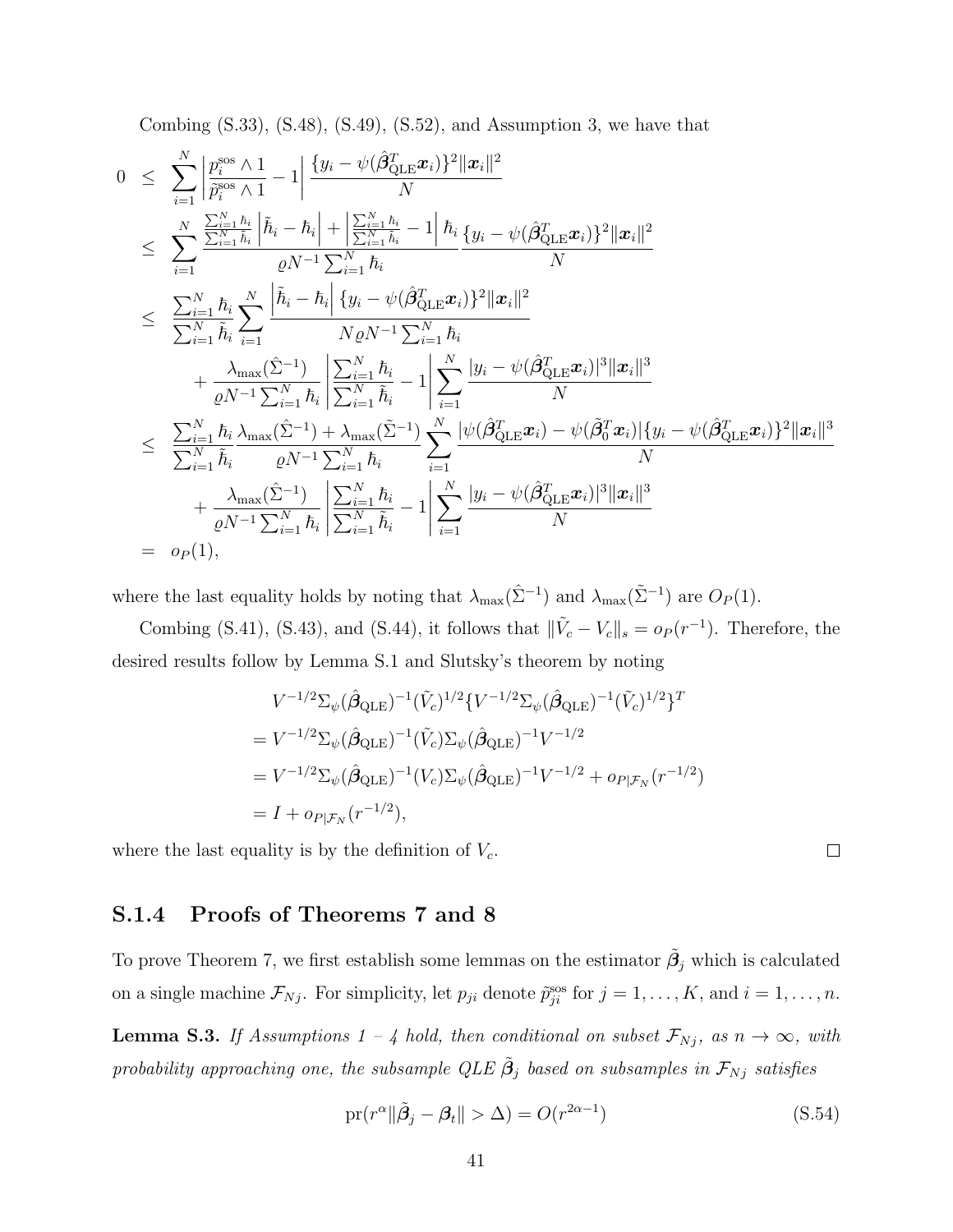Combing  $(S.33)$ ,  $(S.48)$ ,  $(S.49)$ ,  $(S.52)$ , and Assumption 3, we have that

$$
0 \leq \sum_{i=1}^{N} \left| \frac{p_i^{\text{SOS}} \wedge 1}{\tilde{p}_i^{\text{SOS}} \wedge 1} - 1 \right| \frac{\{y_i - \psi(\hat{\beta}_{\text{QLE}}^T \mathbf{x}_i)\}^2 \|\mathbf{x}_i\|^2}{N} \n\leq \sum_{i=1}^{N} \frac{\sum_{i=1}^{N} h_i}{\tilde{h}_i} |\tilde{h}_i - \tilde{h}_i| + \left| \frac{\sum_{i=1}^{N} h_i}{\sum_{i=1}^{N} h_i} - 1 \right| \tilde{h}_i} \frac{\{y_i - \psi(\hat{\beta}_{\text{QLE}}^T \mathbf{x}_i)\}^2 \|\mathbf{x}_i\|^2}{N} \n\leq \sum_{i=1}^{N} \frac{\tilde{h}_i}{\tilde{h}_i} \sum_{i=1}^{N} \left| \frac{\tilde{h}_i - \tilde{h}_i}{N \varrho N^{-1} \sum_{i=1}^{N} h_i} \frac{\{y_i - \psi(\hat{\beta}_{\text{QLE}}^T \mathbf{x}_i)\}^2 \|\mathbf{x}_i\|^2}{N \varrho N^{-1} \sum_{i=1}^{N} h_i} + \frac{\lambda_{\max}(\hat{\Sigma}^{-1})}{\varrho N^{-1} \sum_{i=1}^{N} h_i} \frac{\left| \sum_{i=1}^{N} \tilde{h}_i - 1 \right|}{\sum_{i=1}^{N} \tilde{h}_i} - 1 \left| \sum_{i=1}^{N} \frac{|y_i - \psi(\hat{\beta}_{\text{QLE}}^T \mathbf{x}_i)|^3 \|\mathbf{x}_i\|^3}{N} \right| \n\leq \frac{\sum_{i=1}^{N} h_i}{\sum_{i=1}^{N} \tilde{h}_i} \frac{\lambda_{\max}(\hat{\Sigma}^{-1}) + \lambda_{\max}(\hat{\Sigma}^{-1})}{\varrho N^{-1} \sum_{i=1}^{N} h_i} \sum_{i=1}^{N} \frac{|\psi(\hat{\beta}_{\text{QLE}}^T \mathbf{x}_i) - \psi(\hat{\beta}_{\text{QLE}}^T \mathbf{x}_i)|^2 \|\mathbf{x}_i\|^3}{N} + \frac{\lambda_{\max}(\hat{\Sigma}^{-1})}{\varrho N^{-1} \sum_{i=1}^{N} \tilde{h}_i}
$$

where the last equality holds by noting that  $\lambda_{\max}(\hat{\Sigma}^{-1})$  and  $\lambda_{\max}(\tilde{\Sigma}^{-1})$  are  $O_P(1)$ .

Combing [\(S.41\)](#page-35-0), [\(S.43\)](#page-36-0), and [\(S.44\)](#page-36-1), it follows that  $\|\tilde{V}_c - V_c\|_s = o_P(r^{-1})$ . Therefore, the desired results follow by Lemma [S.1](#page-27-0) and Slutsky's theorem by noting

$$
V^{-1/2} \Sigma_{\psi} (\hat{\beta}_{\text{QLE}})^{-1} (\tilde{V}_c)^{1/2} \{ V^{-1/2} \Sigma_{\psi} (\hat{\beta}_{\text{QLE}})^{-1} (\tilde{V}_c)^{1/2} \}^T
$$
  
= 
$$
V^{-1/2} \Sigma_{\psi} (\hat{\beta}_{\text{QLE}})^{-1} (\tilde{V}_c) \Sigma_{\psi} (\hat{\beta}_{\text{QLE}})^{-1} V^{-1/2}
$$
  
= 
$$
V^{-1/2} \Sigma_{\psi} (\hat{\beta}_{\text{QLE}})^{-1} (V_c) \Sigma_{\psi} (\hat{\beta}_{\text{QLE}})^{-1} V^{-1/2} + o_{P|\mathcal{F}_N} (r^{-1/2})
$$
  
= 
$$
I + o_{P|\mathcal{F}_N} (r^{-1/2}),
$$

where the last equality is by the definition of  $V_c$ .

## S.1.4 Proofs of Theorems 7 and 8

To prove Theorem 7, we first establish some lemmas on the estimator  $\tilde{\beta}_j$  which is calculated on a single machine  $\mathcal{F}_{Nj}$ . For simplicity, let  $p_{ji}$  denote  $\tilde{p}_{ji}^{\text{sos}}$  for  $j = 1, \ldots, K$ , and  $i = 1, \ldots, n$ .

<span id="page-40-0"></span>**Lemma S.3.** If Assumptions 1 – 4 hold, then conditional on subset  $\mathcal{F}_{Nj}$ , as  $n \to \infty$ , with probability approaching one, the subsample QLE  $\tilde{\beta}_j$  based on subsamples in  $\mathcal{F}_{Nj}$  satisfies

$$
\text{pr}(r^{\alpha} \| \tilde{\beta}_j - \beta_t \| > \Delta) = O(r^{2\alpha - 1})
$$
\n(S.54)

 $\Box$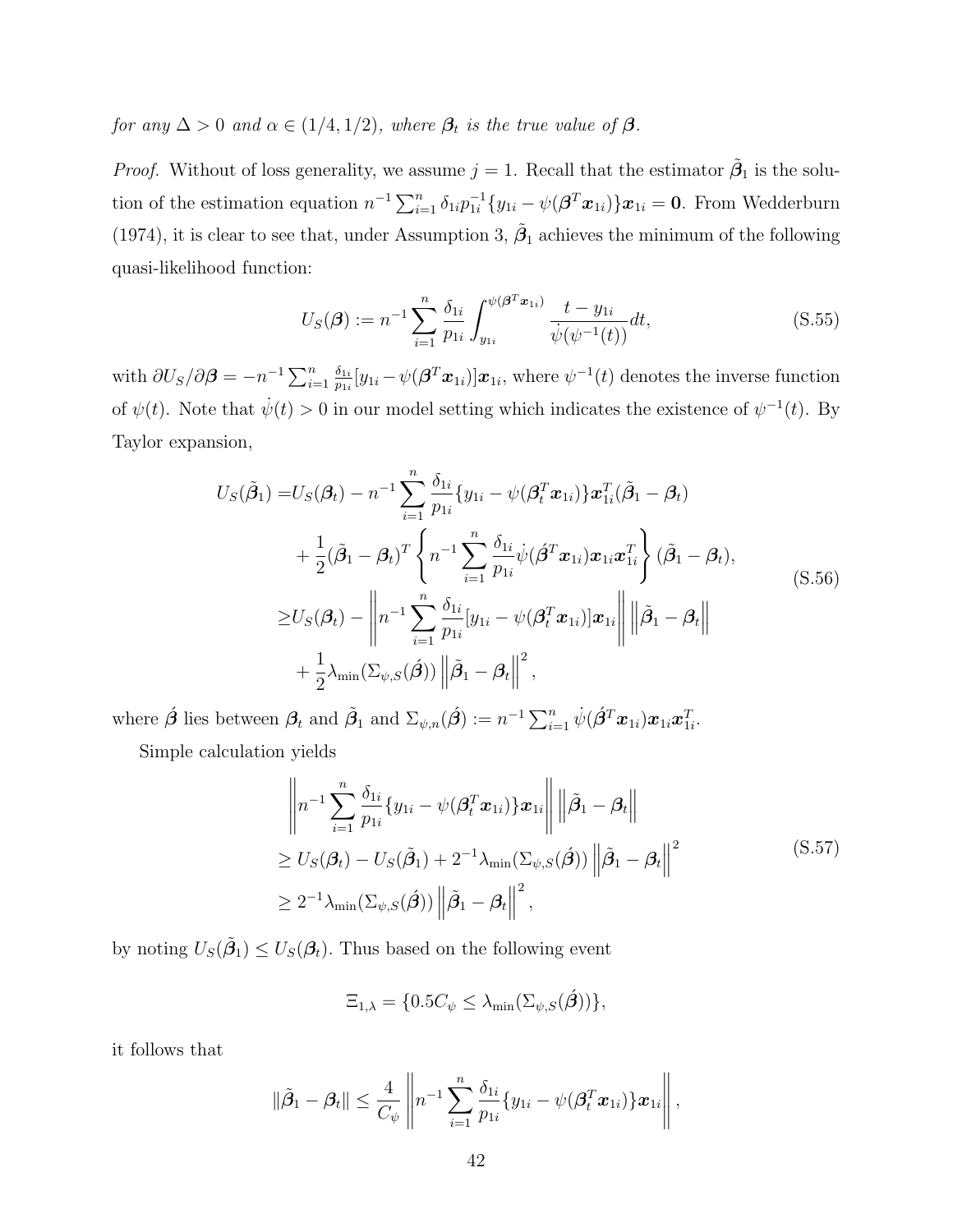for any  $\Delta > 0$  and  $\alpha \in (1/4, 1/2)$ , where  $\beta_t$  is the true value of  $\beta$ .

*Proof.* Without of loss generality, we assume  $j = 1$ . Recall that the estimator  $\tilde{\beta}_1$  is the solution of the estimation equation  $n^{-1} \sum_{i=1}^{n} \delta_{1i} p_{1i}^{-1}$  $_{1i}^{-1}\{y_{1i}-\psi(\boldsymbol{\beta}^{T}\boldsymbol{x}_{1i})\}\boldsymbol{x}_{1i}=\boldsymbol{0}.$  From [Wedderburn](#page-58-2) [\(1974\)](#page-58-2), it is clear to see that, under Assumption 3,  $\tilde{\beta}_1$  achieves the minimum of the following quasi-likelihood function:

$$
U_S(\boldsymbol{\beta}) := n^{-1} \sum_{i=1}^n \frac{\delta_{1i}}{p_{1i}} \int_{y_{1i}}^{\psi(\boldsymbol{\beta}^T \boldsymbol{x}_{1i})} \frac{t - y_{1i}}{\dot{\psi}(\psi^{-1}(t))} dt,
$$
\n(S.55)

with  $\partial U_S/\partial \boldsymbol{\beta} = -n^{-1} \sum_{i=1}^n \frac{\delta_{1i}}{p_{1i}}$  $\frac{\delta_{1i}}{p_{1i}}[y_{1i}-\psi(\bm{\beta}^T\bm{x}_{1i})]\bm{x}_{1i}$ , where  $\psi^{-1}(t)$  denotes the inverse function of  $\psi(t)$ . Note that  $\dot{\psi}(t) > 0$  in our model setting which indicates the existence of  $\psi^{-1}(t)$ . By Taylor expansion,

$$
U_S(\tilde{\boldsymbol{\beta}}_1) = U_S(\boldsymbol{\beta}_t) - n^{-1} \sum_{i=1}^n \frac{\delta_{1i}}{p_{1i}} \{y_{1i} - \psi(\boldsymbol{\beta}_t^T \boldsymbol{x}_{1i})\} \boldsymbol{x}_{1i}^T(\tilde{\boldsymbol{\beta}}_1 - \boldsymbol{\beta}_t)
$$
  
+ 
$$
\frac{1}{2} (\tilde{\boldsymbol{\beta}}_1 - \boldsymbol{\beta}_t)^T \left\{ n^{-1} \sum_{i=1}^n \frac{\delta_{1i}}{p_{1i}} \psi(\boldsymbol{\beta}^T \boldsymbol{x}_{1i}) \boldsymbol{x}_{1i} \boldsymbol{x}_{1i}^T \right\} (\tilde{\boldsymbol{\beta}}_1 - \boldsymbol{\beta}_t),
$$
  

$$
\geq U_S(\boldsymbol{\beta}_t) - \left\| n^{-1} \sum_{i=1}^n \frac{\delta_{1i}}{p_{1i}} [y_{1i} - \psi(\boldsymbol{\beta}_t^T \boldsymbol{x}_{1i})] \boldsymbol{x}_{1i} \right\| \left\| \tilde{\boldsymbol{\beta}}_1 - \boldsymbol{\beta}_t \right\|
$$
  
+ 
$$
\frac{1}{2} \lambda_{\min} (\Sigma_{\psi, S}(\boldsymbol{\beta})) \left\| \tilde{\boldsymbol{\beta}}_1 - \boldsymbol{\beta}_t \right\|^2,
$$
 (S.56)

where  $\hat{\boldsymbol{\beta}}$  lies between  $\boldsymbol{\beta}_t$  and  $\tilde{\boldsymbol{\beta}}_1$  and  $\Sigma_{\psi,n}(\hat{\boldsymbol{\beta}}) := n^{-1} \sum_{i=1}^n \dot{\psi}(\hat{\boldsymbol{\beta}}^T \boldsymbol{x}_{1i}) \boldsymbol{x}_{1i} \boldsymbol{x}_{1i}^T$ .

Simple calculation yields

$$
\left\| n^{-1} \sum_{i=1}^{n} \frac{\delta_{1i}}{p_{1i}} \{ y_{1i} - \psi(\boldsymbol{\beta}_{t}^{T} \boldsymbol{x}_{1i}) \} \boldsymbol{x}_{1i} \right\| \left\| \tilde{\boldsymbol{\beta}}_{1} - \boldsymbol{\beta}_{t} \right\|
$$
  
\n
$$
\geq U_{S}(\boldsymbol{\beta}_{t}) - U_{S}(\tilde{\boldsymbol{\beta}}_{1}) + 2^{-1} \lambda_{\min} (\Sigma_{\psi,S}(\boldsymbol{\beta})) \left\| \tilde{\boldsymbol{\beta}}_{1} - \boldsymbol{\beta}_{t} \right\|^{2}
$$
  
\n
$$
\geq 2^{-1} \lambda_{\min} (\Sigma_{\psi,S}(\boldsymbol{\beta})) \left\| \tilde{\boldsymbol{\beta}}_{1} - \boldsymbol{\beta}_{t} \right\|^{2}, \qquad (S.57)
$$

by noting  $U_S(\tilde{\beta}_1) \leq U_S(\beta_t)$ . Thus based on the following event

$$
\Xi_{1,\lambda} = \{0.5C_{\psi} \leq \lambda_{\min}(\Sigma_{\psi,S}(\hat{\beta}))\},\
$$

it follows that

$$
\|\tilde{\beta}_1 - \beta_t\| \leq \frac{4}{C_{\psi}} \left\| n^{-1} \sum_{i=1}^n \frac{\delta_{1i}}{p_{1i}} \{y_{1i} - \psi(\boldsymbol{\beta}_t^T \boldsymbol{x}_{1i})\} \boldsymbol{x}_{1i} \right\|,
$$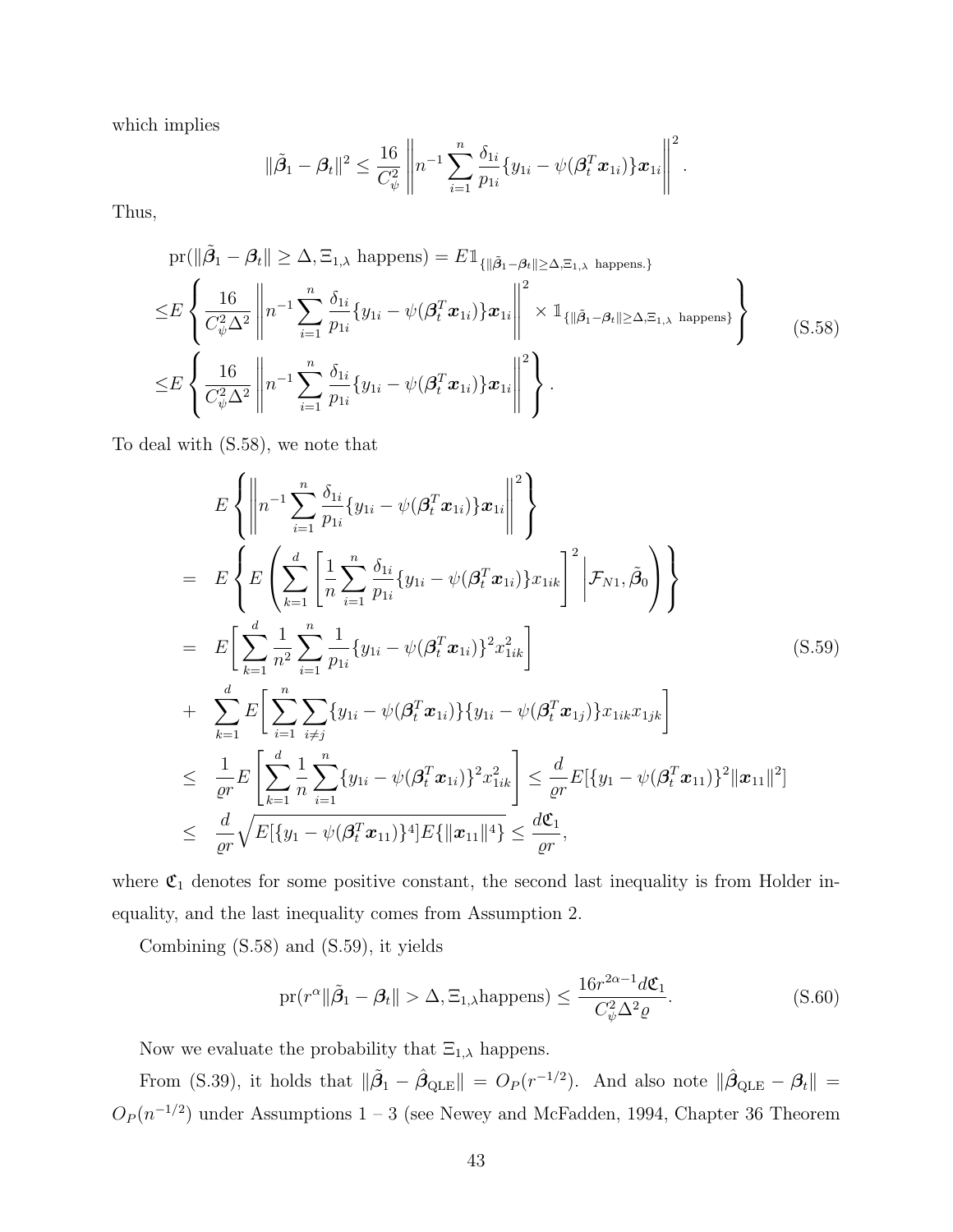which implies

$$
\|\tilde{\beta}_1 - \beta_t\|^2 \leq \frac{16}{C_{\psi}^2} \left\| n^{-1} \sum_{i=1}^n \frac{\delta_{1i}}{p_{1i}} \{y_{1i} - \psi(\boldsymbol{\beta}_t^T \boldsymbol{x}_{1i}) \} \boldsymbol{x}_{1i} \right\|^2.
$$

Thus,

<span id="page-42-0"></span>
$$
\begin{split}\n&\text{pr}(\|\tilde{\beta}_{1} - \beta_{t}\| \geq \Delta, \Xi_{1,\lambda} \text{ happens}) = E \mathbb{1}_{\{\|\tilde{\beta}_{1} - \beta_{t}\| \geq \Delta, \Xi_{1,\lambda} \text{ happens.}\}} \\
&\leq E \left\{ \frac{16}{C_{\psi}^{2} \Delta^{2}} \left\| n^{-1} \sum_{i=1}^{n} \frac{\delta_{1i}}{p_{1i}} \{y_{1i} - \psi(\beta_{t}^{T} \boldsymbol{x}_{1i})\} \boldsymbol{x}_{1i} \right\|^{2} \times \mathbb{1}_{\{\|\tilde{\beta}_{1} - \beta_{t}\| \geq \Delta, \Xi_{1,\lambda} \text{ happens}\}} \right\} \\
&\leq E \left\{ \frac{16}{C_{\psi}^{2} \Delta^{2}} \left\| n^{-1} \sum_{i=1}^{n} \frac{\delta_{1i}}{p_{1i}} \{y_{1i} - \psi(\beta_{t}^{T} \boldsymbol{x}_{1i})\} \boldsymbol{x}_{1i} \right\|^{2} \right\}.\n\end{split} \tag{S.58}
$$

To deal with [\(S.58\)](#page-42-0), we note that

<span id="page-42-1"></span>
$$
E\left\{\left\|n^{-1}\sum_{i=1}^{n}\frac{\delta_{1i}}{p_{1i}}\{y_{1i} - \psi(\beta_{t}^{T}\mathbf{x}_{1i})\}\mathbf{x}_{1i}\right\|^{2}\right\}
$$
\n
$$
= E\left\{E\left(\sum_{k=1}^{d}\left[\frac{1}{n}\sum_{i=1}^{n}\frac{\delta_{1i}}{p_{1i}}\{y_{1i} - \psi(\beta_{t}^{T}\mathbf{x}_{1i})\}\mathbf{x}_{1ik}\right]^{2}\Big|\mathcal{F}_{N1},\tilde{\beta}_{0}\right)\right\}
$$
\n
$$
= E\left[\sum_{k=1}^{d}\frac{1}{n^{2}}\sum_{i=1}^{n}\frac{1}{p_{1i}}\{y_{1i} - \psi(\beta_{t}^{T}\mathbf{x}_{1i})\}^{2}\mathbf{x}_{1ik}^{2}\right]
$$
\n
$$
+ \sum_{k=1}^{d}E\left[\sum_{i=1}^{n}\sum_{i\neq j}\{y_{1i} - \psi(\beta_{t}^{T}\mathbf{x}_{1i})\}\{y_{1i} - \psi(\beta_{t}^{T}\mathbf{x}_{1j})\}\mathbf{x}_{1ik}\mathbf{x}_{1jk}\right]
$$
\n
$$
\leq \frac{1}{\varrho r}E\left[\sum_{k=1}^{d}\frac{1}{n}\sum_{i=1}^{n}\{y_{1i} - \psi(\beta_{t}^{T}\mathbf{x}_{1i})\}^{2}\mathbf{x}_{1ik}^{2}\right] \leq \frac{d}{\varrho r}E\{\{y_{1} - \psi(\beta_{t}^{T}\mathbf{x}_{11})\}^{2}\|\mathbf{x}_{11}\|^{2}\}
$$
\n
$$
\leq \frac{d}{\varrho r}\sqrt{E\{\{y_{1} - \psi(\beta_{t}^{T}\mathbf{x}_{11})\}^{4}\}E\{\|\mathbf{x}_{11}\|^{4}\}} \leq \frac{d}{\varrho r},
$$
\n(5.59)

where  $\mathfrak{C}_1$  denotes for some positive constant, the second last inequality is from Holder inequality, and the last inequality comes from Assumption 2.

<span id="page-42-2"></span>Combining [\(S.58\)](#page-42-0) and [\(S.59\)](#page-42-1), it yields

$$
\text{pr}(r^{\alpha} \|\tilde{\beta}_1 - \beta_t\| > \Delta, \Xi_{1,\lambda} \text{happens}) \le \frac{16r^{2\alpha - 1}d\mathfrak{C}_1}{C_{\psi}^2 \Delta^2 \varrho}.
$$
\n(S.60)

Now we evaluate the probability that  $\Xi_{1,\lambda}$  happens.

From [\(S.39\)](#page-32-1), it holds that  $\|\tilde{\beta}_1 - \hat{\beta}_{\text{QLE}}\| = O_P(r^{-1/2})$ . And also note  $\|\hat{\beta}_{\text{QLE}} - \beta_t\|$  $O_P(n^{-1/2})$  under Assumptions 1 – 3 (see [Newey and McFadden, 1994,](#page-57-4) Chapter 36 Theorem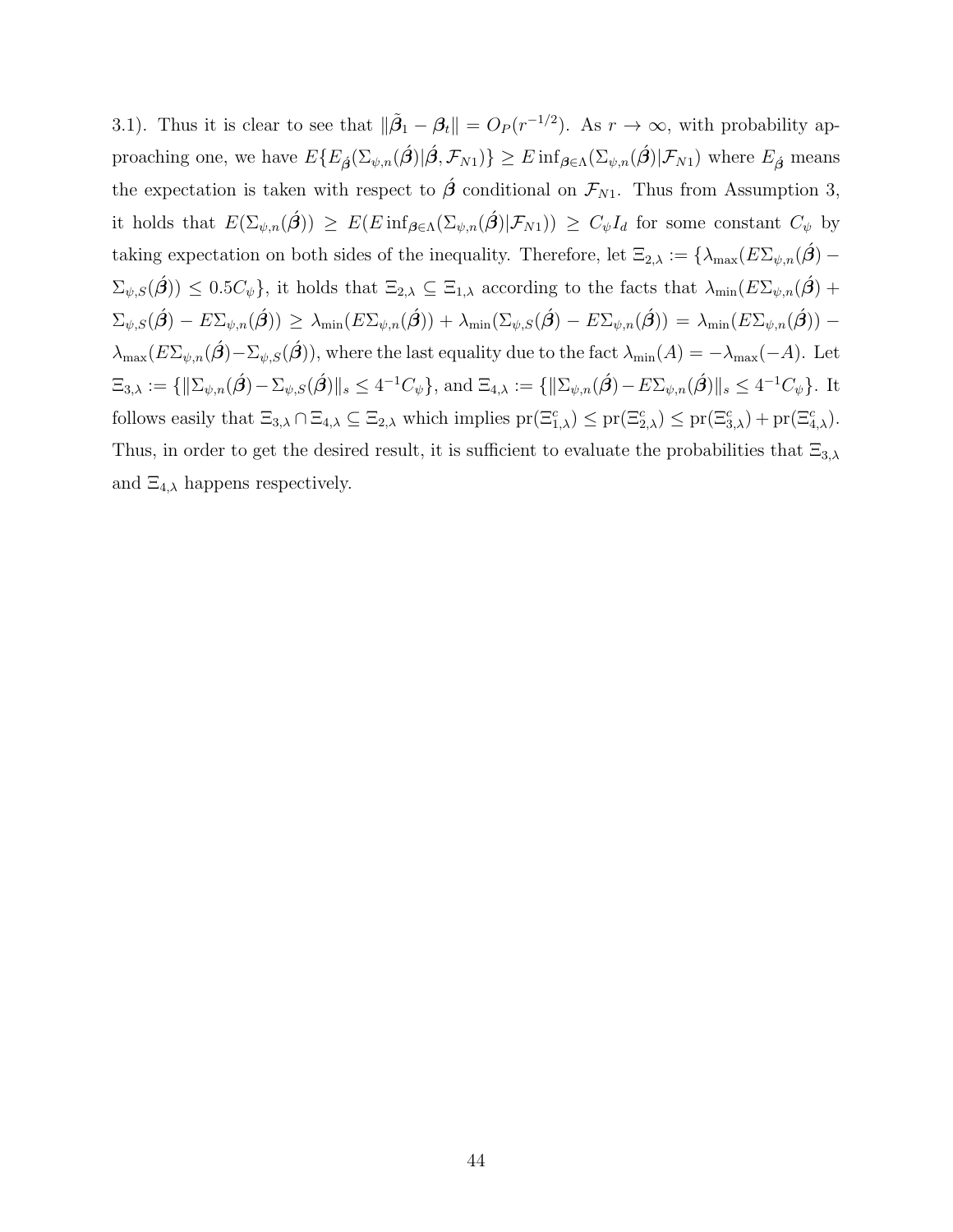3.1). Thus it is clear to see that  $\|\tilde{\beta}_1 - \beta_t\| = O_P(r^{-1/2})$ . As  $r \to \infty$ , with probability approaching one, we have  $E\{E_{\hat{\boldsymbol{\beta}}}(\Sigma_{\psi,n}(\hat{\boldsymbol{\beta}})|\hat{\boldsymbol{\beta}},\mathcal{F}_{N1})\}\geq E\inf_{\boldsymbol{\beta}\in\Lambda}(\Sigma_{\psi,n}(\hat{\boldsymbol{\beta}})|\mathcal{F}_{N1})$  where  $E_{\hat{\boldsymbol{\beta}}}$  means the expectation is taken with respect to  $\hat{\beta}$  conditional on  $\mathcal{F}_{N1}$ . Thus from Assumption 3, it holds that  $E(\Sigma_{\psi,n}(\hat{\beta})) \geq E(E \inf_{\beta \in \Lambda} (\Sigma_{\psi,n}(\hat{\beta}) | \mathcal{F}_{N1})) \geq C_{\psi} I_d$  for some constant  $C_{\psi}$  by taking expectation on both sides of the inequality. Therefore, let  $\Xi_{2,\lambda} := {\lambda_{\max}(E\Sigma_{\psi,n}(\hat{\beta}) - \lambda_{\max}(\hat{\beta})}$  $\Sigma_{\psi,S}(\hat{\boldsymbol{\beta}}) \leq 0.5C_{\psi}\},\$ it holds that  $\Xi_{2,\lambda} \subseteq \Xi_{1,\lambda}$  according to the facts that  $\lambda_{\min}(E\Sigma_{\psi,n}(\hat{\boldsymbol{\beta}})+1)$  $\Sigma_{\psi,S}(\hat{\boldsymbol{\beta}}) - E \Sigma_{\psi,n}(\hat{\boldsymbol{\beta}}) \geq \lambda_{\min}(E \Sigma_{\psi,n}(\hat{\boldsymbol{\beta}})) + \lambda_{\min}(\Sigma_{\psi,S}(\hat{\boldsymbol{\beta}}) - E \Sigma_{\psi,n}(\hat{\boldsymbol{\beta}})) = \lambda_{\min}(E \Sigma_{\psi,n}(\hat{\boldsymbol{\beta}})) \lambda_{\max}(E\Sigma_{\psi,n}(\hat{\boldsymbol{\beta}})-\Sigma_{\psi,S}(\hat{\boldsymbol{\beta}})),$  where the last equality due to the fact  $\lambda_{\min}(A) = -\lambda_{\max}(-A)$ . Let  $\Xi_{3,\lambda} := \{\|\Sigma_{\psi,n}(\hat{\boldsymbol{\beta}})-\Sigma_{\psi,S}(\hat{\boldsymbol{\beta}})\|_{s} \leq 4^{-1}C_{\psi}\},\,\text{and}\,\,\Xi_{4,\lambda} := \{\|\Sigma_{\psi,n}(\hat{\boldsymbol{\beta}})-E\Sigma_{\psi,n}(\hat{\boldsymbol{\beta}})\|_{s} \leq 4^{-1}C_{\psi}\}.$  It follows easily that  $\Xi_{3,\lambda} \cap \Xi_{4,\lambda} \subseteq \Xi_{2,\lambda}$  which implies  $pr(\Xi_{1,\lambda}^c) \leq pr(\Xi_{2,\lambda}^c) \leq pr(\Xi_{3,\lambda}^c) + pr(\Xi_{4,\lambda}^c)$ . Thus, in order to get the desired result, it is sufficient to evaluate the probabilities that  $\Xi_{3,\lambda}$ and  $\Xi_{4,\lambda}$  happens respectively.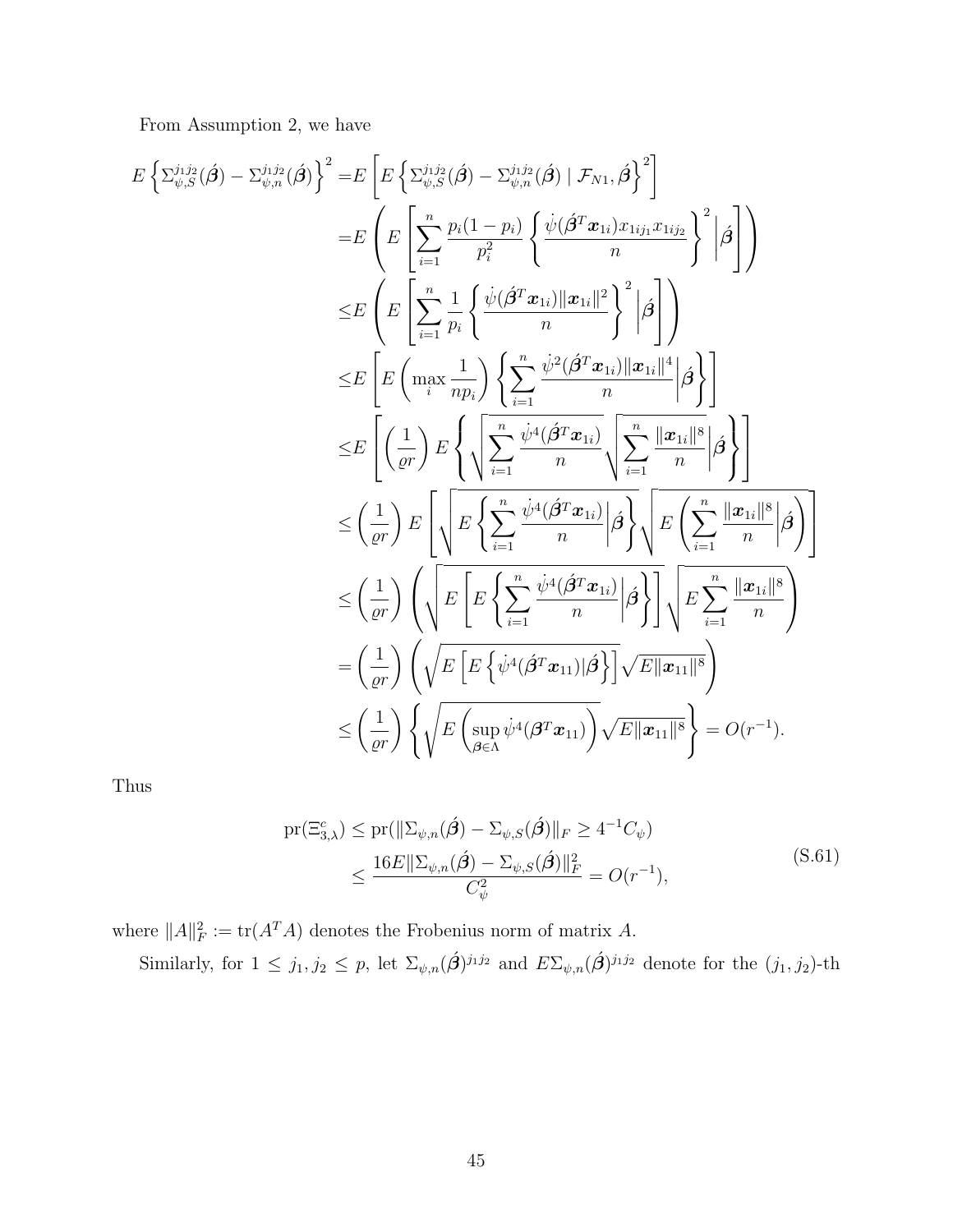From Assumption 2, we have

$$
E\left\{\sum_{\psi,S}^{j_1j_2}(\hat{\boldsymbol{\beta}}) - \sum_{\psi,n}^{j_1j_2}(\hat{\boldsymbol{\beta}})\right\}^2 = E\left[E\left\{\sum_{\psi,S}^{j_1j_2}(\hat{\boldsymbol{\beta}}) - \sum_{\psi,n}^{j_1j_2}(\hat{\boldsymbol{\beta}}) \mid \mathcal{F}_{N1},\hat{\boldsymbol{\beta}}\right\}^2\right]
$$
  
\n
$$
= E\left(E\left[\sum_{i=1}^n \frac{p_i(1-p_i)}{p_i^2} \left\{\frac{\psi(\hat{\boldsymbol{\beta}}^T \boldsymbol{x}_{1i})x_{1ij_1}x_{1ij_2}}{n}\right\}^2 \middle|\hat{\boldsymbol{\beta}}\right]\right)
$$
  
\n
$$
\leq E\left[E\left(\max_{i} \frac{1}{np_i}\right) \left\{\sum_{i=1}^n \frac{\psi^2(\hat{\boldsymbol{\beta}}^T \boldsymbol{x}_{1i})\|\boldsymbol{x}_{1i}\|^2}{n}\left|\hat{\boldsymbol{\beta}}\right|\right]\right]
$$
  
\n
$$
\leq E\left[\left(\frac{1}{qr}\right) E\left\{\sqrt{\sum_{i=1}^n \frac{\psi^4(\hat{\boldsymbol{\beta}}^T \boldsymbol{x}_{1i})\|\boldsymbol{x}_{1i}\|^4}{n}} \left|\hat{\boldsymbol{\beta}}\right|\right]
$$
  
\n
$$
\leq \left(\frac{1}{qr}\right) E\left[\sqrt{E\left\{\sum_{i=1}^n \frac{\psi^4(\hat{\boldsymbol{\beta}}^T \boldsymbol{x}_{1i})}{n}\left|\hat{\boldsymbol{\beta}}\right|\right\}} \left|\hat{\boldsymbol{\beta}}\right|\right]
$$
  
\n
$$
\leq \left(\frac{1}{qr}\right) \left(\sqrt{E\left[E\left\{\sum_{i=1}^n \frac{\psi^4(\hat{\boldsymbol{\beta}}^T \boldsymbol{x}_{1i})}{n}\middle|\hat{\boldsymbol{\beta}}\right\}\right] \left\{E\left\{\sum_{i=1}^n \frac{\|\boldsymbol{x}_{1i}\|^8}{n}\middle|\hat{\boldsymbol{\beta}}\right\}\right]}\right]
$$
  
\n
$$
= \left(\frac{1}{qr}\right) \left(\sqrt{E\left[E\left\{\sum_{i=1}^n \frac{\psi^4(\hat{\boldsymbol{\beta}}^T \boldsymbol{x}_{1i})}{n}\middle|\hat{\boldsymbol{\
$$

<span id="page-44-0"></span>Thus

$$
\begin{split} \text{pr}(\Xi_{3,\lambda}^{c}) &\leq \text{pr}(\|\Sigma_{\psi,n}(\hat{\boldsymbol{\beta}}) - \Sigma_{\psi,S}(\hat{\boldsymbol{\beta}})\|_{F} \geq 4^{-1}C_{\psi}) \\ &\leq \frac{16E\|\Sigma_{\psi,n}(\hat{\boldsymbol{\beta}}) - \Sigma_{\psi,S}(\hat{\boldsymbol{\beta}})\|_{F}^{2}}{C_{\psi}^{2}} = O(r^{-1}), \end{split} \tag{S.61}
$$

where  $||A||_F^2 := \text{tr}(A^T A)$  denotes the Frobenius norm of matrix A. Similarly, for  $1 \leq j_1, j_2 \leq p$ , let  $\Sigma_{\psi,n}(\hat{\beta})^{j_1j_2}$  and  $E\Sigma_{\psi,n}(\hat{\beta})^{j_1j_2}$  denote for the  $(j_1, j_2)$ -th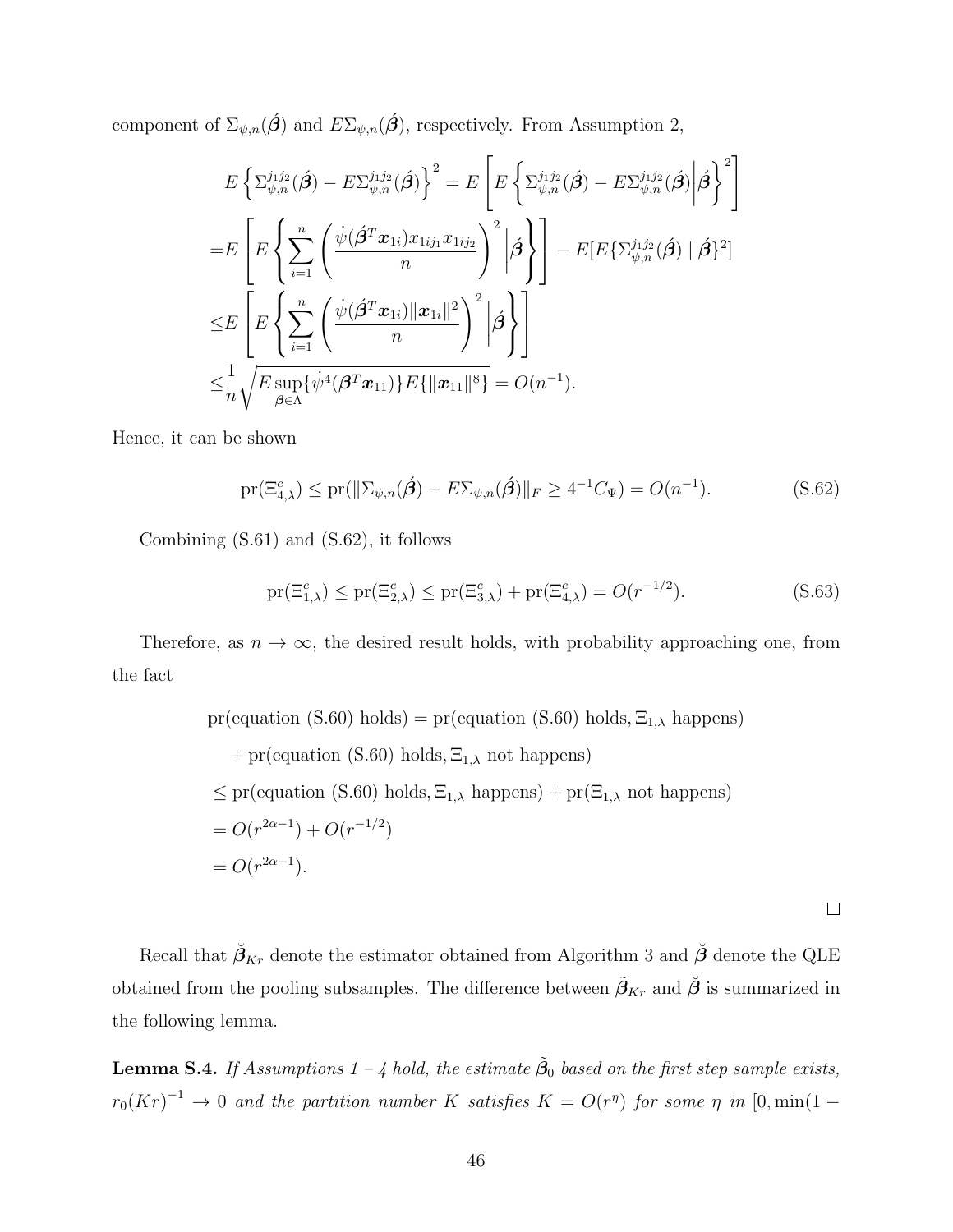component of  $\Sigma_{\psi,n}(\hat{\beta})$  and  $E\Sigma_{\psi,n}(\hat{\beta})$ , respectively. From Assumption 2,

$$
E\left\{\Sigma_{\psi,n}^{j_1j_2}(\hat{\boldsymbol{\beta}}) - E\Sigma_{\psi,n}^{j_1j_2}(\hat{\boldsymbol{\beta}})\right\}^2 = E\left[E\left\{\Sigma_{\psi,n}^{j_1j_2}(\hat{\boldsymbol{\beta}}) - E\Sigma_{\psi,n}^{j_1j_2}(\hat{\boldsymbol{\beta}})\right|\hat{\boldsymbol{\beta}}\right\}^2\right]
$$
  
\n
$$
= E\left[E\left\{\sum_{i=1}^n \left(\frac{\psi(\hat{\boldsymbol{\beta}}^T\boldsymbol{x}_{1i})x_{1ij_1}x_{1ij_2}}{n}\right)^2 \middle|\hat{\boldsymbol{\beta}}\right\}\right] - E[E\{\Sigma_{\psi,n}^{j_1j_2}(\hat{\boldsymbol{\beta}}) \mid \hat{\boldsymbol{\beta}}\}^2]
$$
  
\n
$$
\leq E\left[E\left\{\sum_{i=1}^n \left(\frac{\psi(\hat{\boldsymbol{\beta}}^T\boldsymbol{x}_{1i})\|\boldsymbol{x}_{1i}\|^2}{n}\right)^2 \middle|\hat{\boldsymbol{\beta}}\right\}\right]
$$
  
\n
$$
\leq \frac{1}{n}\sqrt{E\sup_{\boldsymbol{\beta}\in\Lambda}\{\psi^4(\boldsymbol{\beta}^T\boldsymbol{x}_{11})\}E\{\|\boldsymbol{x}_{11}\|^8\}} = O(n^{-1}).
$$

Hence, it can be shown

<span id="page-45-0"></span>
$$
\text{pr}(\Xi_{4,\lambda}^c) \le \text{pr}(\|\Sigma_{\psi,n}(\hat{\boldsymbol{\beta}}) - E\Sigma_{\psi,n}(\hat{\boldsymbol{\beta}})\|_F \ge 4^{-1}C_{\Psi}) = O(n^{-1}).\tag{S.62}
$$

Combining [\(S.61\)](#page-44-0) and [\(S.62\)](#page-45-0), it follows

$$
\mathrm{pr}(\Xi_{1,\lambda}^c) \le \mathrm{pr}(\Xi_{2,\lambda}^c) \le \mathrm{pr}(\Xi_{3,\lambda}^c) + \mathrm{pr}(\Xi_{4,\lambda}^c) = O(r^{-1/2}).\tag{S.63}
$$

Therefore, as  $n \to \infty$ , the desired result holds, with probability approaching one, from the fact

pr(equation (S.60) holds) = pr(equation (S.60) holds, 
$$
\Xi_{1,\lambda}
$$
 happens)  
+ pr(equation (S.60) holds,  $\Xi_{1,\lambda}$  not happens)  
 $\leq$  pr(equation (S.60) holds,  $\Xi_{1,\lambda}$  happens) + pr( $\Xi_{1,\lambda}$  not happens)  
=  $O(r^{2\alpha-1}) + O(r^{-1/2})$   
=  $O(r^{2\alpha-1})$ .

 $\Box$ 

Recall that  $\check{\beta}_{Kr}$  denote the estimator obtained from Algorithm 3 and  $\check{\beta}$  denote the QLE obtained from the pooling subsamples. The difference between  $\tilde{\beta}_{Kr}$  and  $\tilde{\beta}$  is summarized in the following lemma.

<span id="page-45-1"></span>**Lemma S.4.** If Assumptions 1 – 4 hold, the estimate  $\tilde{\boldsymbol{\beta}}_0$  based on the first step sample exists,  $r_0(Kr)^{-1} \to 0$  and the partition number K satisfies  $K = O(r^{\eta})$  for some  $\eta$  in  $[0, min(1 - \eta)]$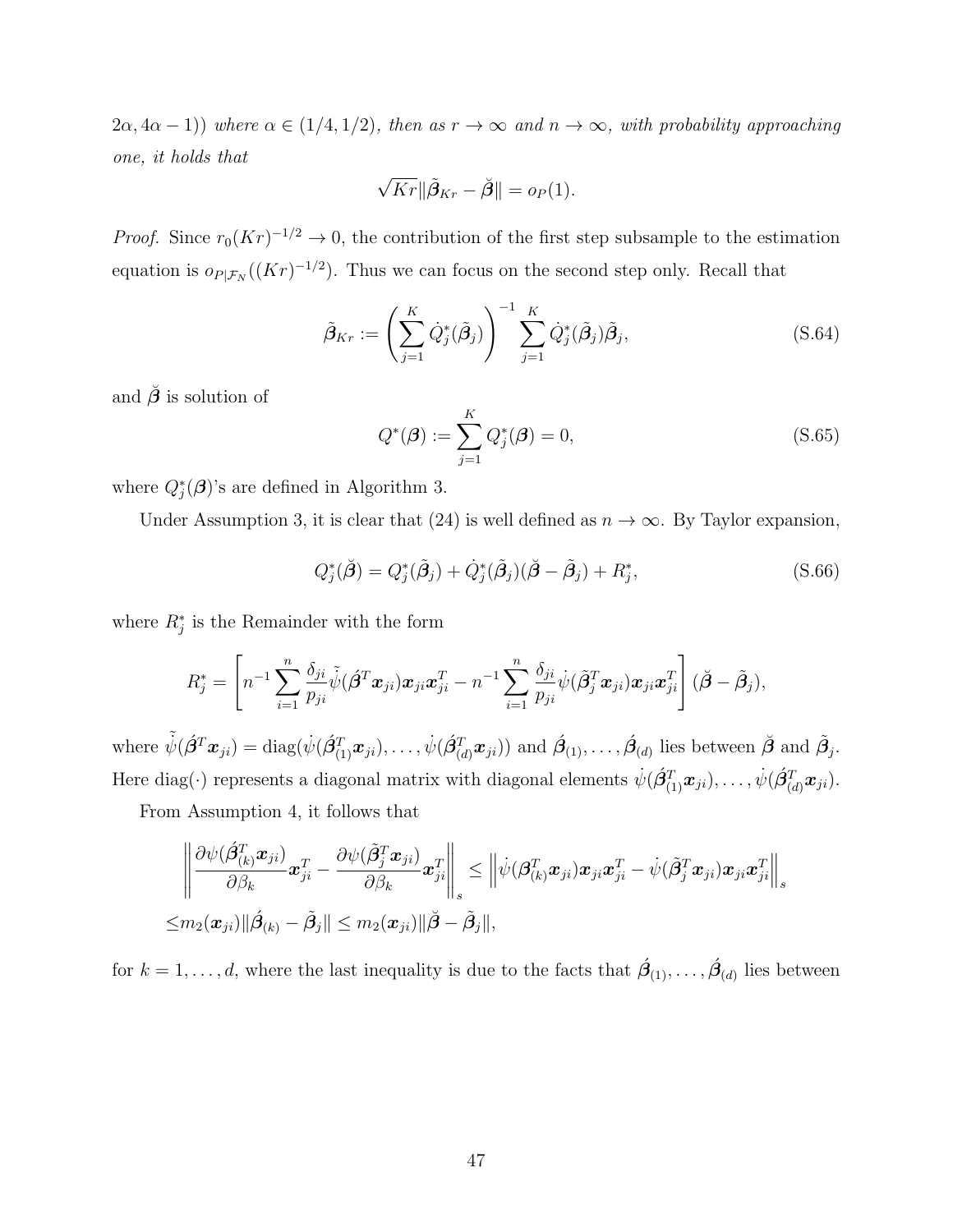$(2\alpha, 4\alpha - 1)$ ) where  $\alpha \in (1/4, 1/2)$ , then as  $r \to \infty$  and  $n \to \infty$ , with probability approaching one, it holds that

$$
\sqrt{Kr} \|\tilde{\beta}_{Kr} - \breve{\beta}\| = o_P(1).
$$

*Proof.* Since  $r_0(Kr)^{-1/2} \to 0$ , the contribution of the first step subsample to the estimation equation is  $o_{P|\mathcal{F}_N}((Kr)^{-1/2})$ . Thus we can focus on the second step only. Recall that

$$
\tilde{\boldsymbol{\beta}}_{Kr} := \left(\sum_{j=1}^{K} \dot{Q}_j^*(\tilde{\boldsymbol{\beta}}_j)\right)^{-1} \sum_{j=1}^{K} \dot{Q}_j^*(\tilde{\boldsymbol{\beta}}_j) \tilde{\boldsymbol{\beta}}_j, \tag{S.64}
$$

and  $\check{\beta}$  is solution of

$$
Q^*(\boldsymbol{\beta}) := \sum_{j=1}^K Q_j^*(\boldsymbol{\beta}) = 0,
$$
\n(S.65)

where  $Q_j^*(\boldsymbol{\beta})$ 's are defined in Algorithm 3.

Under Assumption 3, it is clear that (24) is well defined as  $n \to \infty$ . By Taylor expansion,

<span id="page-46-0"></span>
$$
Q_j^*(\breve{\boldsymbol{\beta}}) = Q_j^*(\tilde{\boldsymbol{\beta}}_j) + \dot{Q}_j^*(\tilde{\boldsymbol{\beta}}_j)(\breve{\boldsymbol{\beta}} - \tilde{\boldsymbol{\beta}}_j) + R_j^*,
$$
\n(S.66)

where  $R_j^*$  is the Remainder with the form

$$
R_j^* = \left[ n^{-1} \sum_{i=1}^n \frac{\delta_{ji}}{p_{ji}} \tilde{\psi}(\hat{\boldsymbol{\beta}}^T \boldsymbol{x}_{ji}) \boldsymbol{x}_{ji} \boldsymbol{x}_{ji}^T - n^{-1} \sum_{i=1}^n \frac{\delta_{ji}}{p_{ji}} \psi(\tilde{\boldsymbol{\beta}}_j^T \boldsymbol{x}_{ji}) \boldsymbol{x}_{ji} \boldsymbol{x}_{ji}^T \right] (\check{\boldsymbol{\beta}} - \tilde{\boldsymbol{\beta}}_j),
$$

where  $\tilde{\psi}(\hat{\boldsymbol{\beta}}^T\boldsymbol{x}_{ji}) = \text{diag}(\dot{\psi}(\hat{\boldsymbol{\beta}}_{(1)}^T\boldsymbol{x}_{ji}), \dots, \dot{\psi}(\hat{\boldsymbol{\beta}}_{(d)}^T\boldsymbol{x}_{ji}))$  and  $\hat{\boldsymbol{\beta}}_{(1)}, \dots, \hat{\boldsymbol{\beta}}_{(d)}$  lies between  $\tilde{\boldsymbol{\beta}}$  and  $\tilde{\boldsymbol{\beta}}_j$ . Here diag( $\cdot$ ) represents a diagonal matrix with diagonal elements  $\dot{\psi}(\hat{\beta}_{(1)}^T\bm{x}_{ji}), \dots, \dot{\psi}(\hat{\beta}_{(d)}^T\bm{x}_{ji}).$ 

From Assumption 4, it follows that

$$
\frac{\left\|\frac{\partial \psi(\hat{\boldsymbol{\beta}}_{(k)}^T\boldsymbol{x}_{ji})}{\partial \beta_k}\boldsymbol{x}_{ji}^T - \frac{\partial \psi(\tilde{\boldsymbol{\beta}}_j^T\boldsymbol{x}_{ji})}{\partial \beta_k}\boldsymbol{x}_{ji}^T\right\|_s \le \left\|\dot{\psi}(\boldsymbol{\beta}_{(k)}^T\boldsymbol{x}_{ji})\boldsymbol{x}_{ji}\boldsymbol{x}_{ji}^T - \dot{\psi}(\tilde{\boldsymbol{\beta}}_j^T\boldsymbol{x}_{ji})\boldsymbol{x}_{ji}\boldsymbol{x}_{ji}^T\right\|_s}{\leq m_2(\boldsymbol{x}_{ji})\|\hat{\boldsymbol{\beta}}_{(k)} - \tilde{\boldsymbol{\beta}}_j\| \leq m_2(\boldsymbol{x}_{ji})\|\tilde{\boldsymbol{\beta}} - \tilde{\boldsymbol{\beta}}_j\|,
$$

for  $k = 1, \ldots, d$ , where the last inequality is due to the facts that  $\hat{\beta}_{(1)}, \ldots, \hat{\beta}_{(d)}$  lies between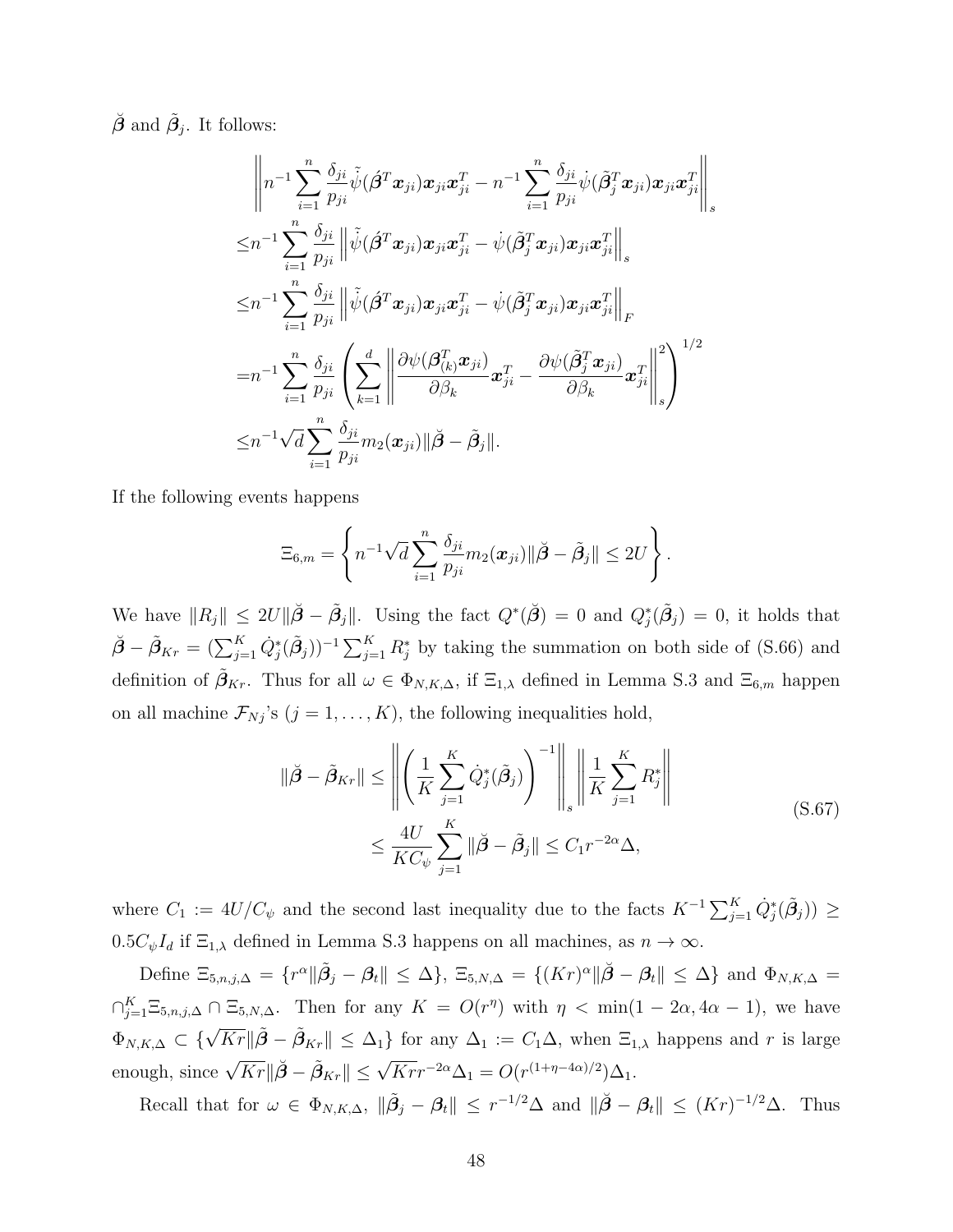$\check{\boldsymbol{\beta}}$  and  $\tilde{\beta}_j$ . It follows:

$$
\left\|n^{-1}\sum_{i=1}^n\frac{\delta_{ji}}{p_{ji}}\tilde{\psi}(\hat{\boldsymbol{\beta}}^T\boldsymbol{x}_{ji})\boldsymbol{x}_{ji}\boldsymbol{x}_{ji}^T - n^{-1}\sum_{i=1}^n\frac{\delta_{ji}}{p_{ji}}\psi(\tilde{\boldsymbol{\beta}}_j^T\boldsymbol{x}_{ji})\boldsymbol{x}_{ji}\boldsymbol{x}_{ji}^T\right\|_s
$$
  
\n
$$
\leq n^{-1}\sum_{i=1}^n\frac{\delta_{ji}}{p_{ji}}\left\|\tilde{\psi}(\hat{\boldsymbol{\beta}}^T\boldsymbol{x}_{ji})\boldsymbol{x}_{ji}\boldsymbol{x}_{ji}^T - \psi(\tilde{\boldsymbol{\beta}}_j^T\boldsymbol{x}_{ji})\boldsymbol{x}_{ji}\boldsymbol{x}_{ji}^T\right\|_s
$$
  
\n
$$
\leq n^{-1}\sum_{i=1}^n\frac{\delta_{ji}}{p_{ji}}\left\|\tilde{\psi}(\hat{\boldsymbol{\beta}}^T\boldsymbol{x}_{ji})\boldsymbol{x}_{ji}\boldsymbol{x}_{ji}^T - \psi(\tilde{\boldsymbol{\beta}}_j^T\boldsymbol{x}_{ji})\boldsymbol{x}_{ji}\boldsymbol{x}_{ji}^T\right\|_F
$$
  
\n
$$
= n^{-1}\sum_{i=1}^n\frac{\delta_{ji}}{p_{ji}}\left(\sum_{k=1}^d\left\|\frac{\partial\psi(\boldsymbol{\beta}_{(k)}^T\boldsymbol{x}_{ji})}{\partial\beta_k}\boldsymbol{x}_{ji}^T - \frac{\partial\psi(\tilde{\boldsymbol{\beta}}_j^T\boldsymbol{x}_{ji})}{\partial\beta_k}\boldsymbol{x}_{ji}^T\right\|_s^2\right)^{1/2}
$$
  
\n
$$
\leq n^{-1}\sqrt{d}\sum_{i=1}^n\frac{\delta_{ji}}{p_{ji}}m_2(\boldsymbol{x}_{ji})\|\tilde{\boldsymbol{\beta}} - \tilde{\boldsymbol{\beta}}_j\|.
$$

If the following events happens

$$
\Xi_{6,m} = \left\{ n^{-1} \sqrt{d} \sum_{i=1}^n \frac{\delta_{ji}}{p_{ji}} m_2(\boldsymbol{x}_{ji}) || \check{\boldsymbol{\beta}} - \tilde{\boldsymbol{\beta}}_j || \leq 2U \right\}.
$$

We have  $||R_j|| \le 2U||\tilde{\beta} - \tilde{\beta}_j||$ . Using the fact  $Q^*(\check{\beta}) = 0$  and  $Q_j^*(\tilde{\beta}_j) = 0$ , it holds that  $\check{\beta} - \tilde{\beta}_{Kr} = (\sum_{j=1}^{K} \dot{Q}_{j}^{*}(\tilde{\beta}_{j}))^{-1} \sum_{j=1}^{K} R_{j}^{*}$  by taking the summation on both side of [\(S.66\)](#page-46-0) and definition of  $\beta_{Kr}$ . Thus for all  $\omega \in \Phi_{N,K,\Delta}$ , if  $\Xi_{1,\lambda}$  defined in Lemma [S.3](#page-40-0) and  $\Xi_{6,m}$  happen on all machine  $\mathcal{F}_{Nj}$ 's  $(j = 1, ..., K)$ , the following inequalities hold,

$$
\|\check{\boldsymbol{\beta}} - \tilde{\boldsymbol{\beta}}_{Kr}\| \le \left\| \left( \frac{1}{K} \sum_{j=1}^{K} \dot{Q}_j^*(\tilde{\boldsymbol{\beta}}_j) \right)^{-1} \right\|_s \left\| \frac{1}{K} \sum_{j=1}^{K} R_j^* \right\|
$$
  

$$
\le \frac{4U}{KC_{\psi}} \sum_{j=1}^{K} \|\check{\boldsymbol{\beta}} - \tilde{\boldsymbol{\beta}}_j\| \le C_1 r^{-2\alpha} \Delta,
$$
 (S.67)

<span id="page-47-0"></span>where  $C_1 := 4U/C_\psi$  and the second last inequality due to the facts  $K^{-1} \sum_{j=1}^K \dot{Q}_j^*(\tilde{\beta}_j) \ge$  $0.5C_{\psi}I_d$  if  $\Xi_{1,\lambda}$  defined in Lemma [S.3](#page-40-0) happens on all machines, as  $n \to \infty$ .

Define  $\Xi_{5,n,j,\Delta} = \{ r^{\alpha} || \tilde{\beta}_j - \beta_t || \leq \Delta \}, \ \Xi_{5,N,\Delta} = \{ (Kr)^{\alpha} || \check{\beta} - \beta_t || \leq \Delta \}$  and  $\Phi_{N,K,\Delta} =$  $\bigcap_{j=1}^K \Xi_{5,n,j,\Delta} \cap \Xi_{5,N,\Delta}$ . Then for any  $K = O(r^{\eta})$  with  $\eta < \min(1 - 2\alpha, 4\alpha - 1)$ , we have  $\Phi_{N,K,\Delta} \subset \{\sqrt{Kr} \|\tilde{\boldsymbol{\beta}} - \tilde{\boldsymbol{\beta}}_{Kr}\| \leq \Delta_1\}$  for any  $\Delta_1 := C_1 \Delta$ , when  $\Xi_{1,\lambda}$  happens and r is large enough, since  $\sqrt{Kr} \|\tilde{\boldsymbol{\beta}} - \tilde{\boldsymbol{\beta}}_{Kr}\| \leq \sqrt{Krr}^{-2\alpha} \Delta_1 = O(r^{(1+\eta-4\alpha)/2})\Delta_1$ .

Recall that for  $\omega \in \Phi_{N,K,\Delta}$ ,  $\|\tilde{\beta}_j - \beta_t\| \leq r^{-1/2}\Delta$  and  $\|\tilde{\beta} - \beta_t\| \leq (Kr)^{-1/2}\Delta$ . Thus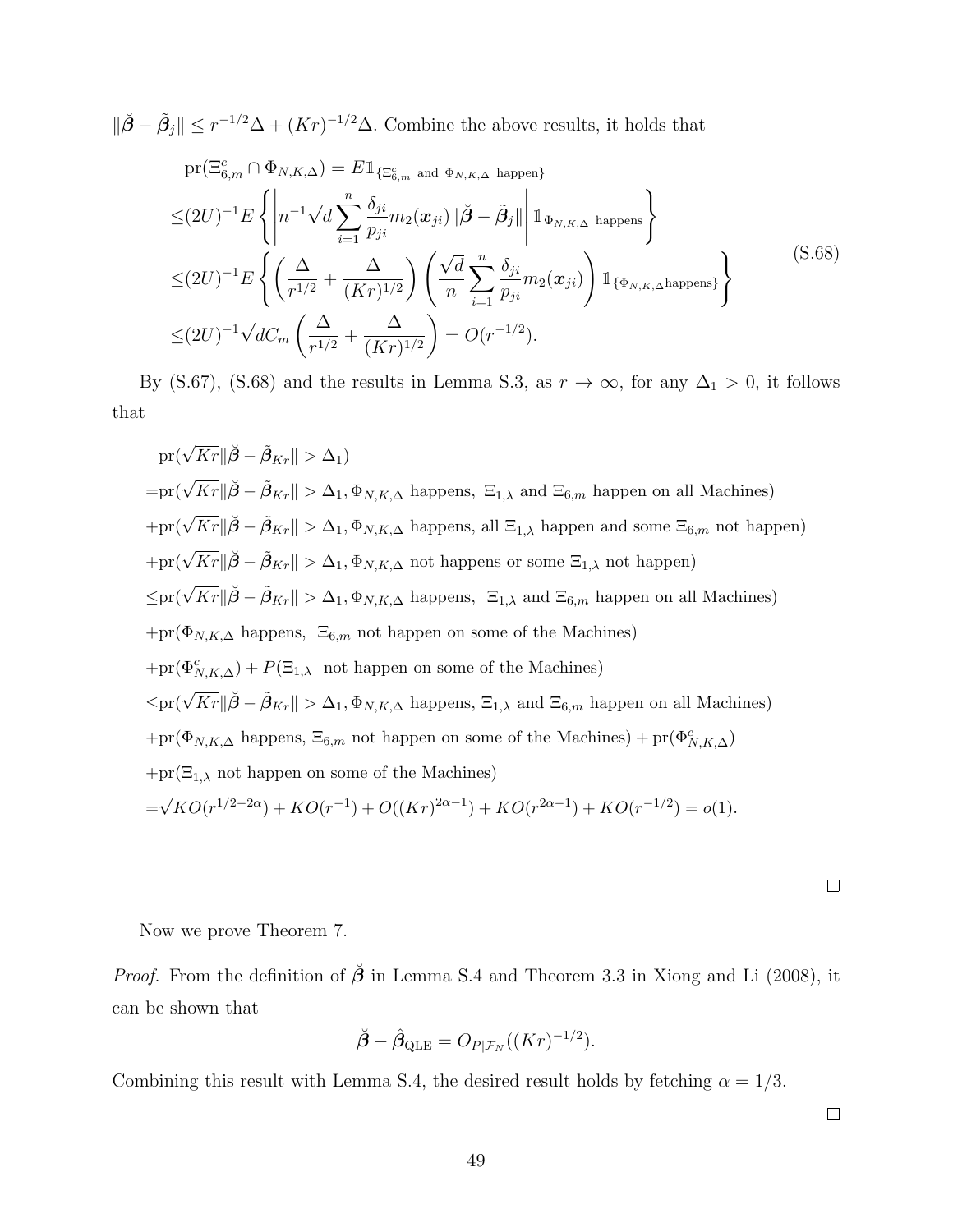$\|\check{\beta}-\tilde{\beta}_j\| \leq r^{-1/2}\Delta + (Kr)^{-1/2}\Delta$ . Combine the above results, it holds that

<span id="page-48-0"></span>
$$
\begin{split}\n&\text{pr}(\Xi_{6,m}^{c}\cap\Phi_{N,K,\Delta})=E\mathbb{1}_{\{\Xi_{6,m}^{c}\text{ and }\Phi_{N,K,\Delta}\text{ happen}\}}\\
&\leq(2U)^{-1}E\left\{\left|n^{-1}\sqrt{d}\sum_{i=1}^{n}\frac{\delta_{ji}}{p_{ji}}m_{2}(\boldsymbol{x}_{ji})\right|\left|\tilde{\boldsymbol{\beta}}-\tilde{\boldsymbol{\beta}}_{j}\right|\right|\mathbb{1}_{\Phi_{N,K,\Delta}\text{ happens}}\right\}\\
&\leq(2U)^{-1}E\left\{\left(\frac{\Delta}{r^{1/2}}+\frac{\Delta}{(Kr)^{1/2}}\right)\left(\frac{\sqrt{d}}{n}\sum_{i=1}^{n}\frac{\delta_{ji}}{p_{ji}}m_{2}(\boldsymbol{x}_{ji})\right)\mathbb{1}_{\{\Phi_{N,K,\Delta}\text{happens}\}}\right\}\\
&\leq(2U)^{-1}\sqrt{d}C_{m}\left(\frac{\Delta}{r^{1/2}}+\frac{\Delta}{(Kr)^{1/2}}\right)=O(r^{-1/2}).\n\end{split} \tag{S.68}
$$

By [\(S.67\)](#page-47-0), [\(S.68\)](#page-48-0) and the results in Lemma [S.3,](#page-40-0) as  $r \to \infty$ , for any  $\Delta_1 > 0$ , it follows that

$$
pr(\sqrt{Kr}||\tilde{\boldsymbol{\beta}} - \tilde{\boldsymbol{\beta}}_{Kr}|| > \Delta_1)
$$
  
\n
$$
= pr(\sqrt{Kr}||\tilde{\boldsymbol{\beta}} - \tilde{\boldsymbol{\beta}}_{Kr}|| > \Delta_1, \Phi_{N,K,\Delta} \text{ happens, } \Xi_{1,\lambda} \text{ and } \Xi_{6,m} \text{ happen on all Machines})
$$
  
\n
$$
+ pr(\sqrt{Kr}||\tilde{\boldsymbol{\beta}} - \tilde{\boldsymbol{\beta}}_{Kr}|| > \Delta_1, \Phi_{N,K,\Delta} \text{ happens, all } \Xi_{1,\lambda} \text{ happen and some } \Xi_{6,m} \text{ not happen})
$$
  
\n
$$
+ pr(\sqrt{Kr}||\tilde{\boldsymbol{\beta}} - \tilde{\boldsymbol{\beta}}_{Kr}|| > \Delta_1, \Phi_{N,K,\Delta} \text{ not happens or some } \Xi_{1,\lambda} \text{ not happen})
$$
  
\n
$$
\leq pr(\sqrt{Kr}||\tilde{\boldsymbol{\beta}} - \tilde{\boldsymbol{\beta}}_{Kr}|| > \Delta_1, \Phi_{N,K,\Delta} \text{ happens, } \Xi_{1,\lambda} \text{ and } \Xi_{6,m} \text{ happen on all Machines})
$$
  
\n
$$
+ pr(\Phi_{N,K,\Delta} \text{ happens, } \Xi_{6,m} \text{ not happen on some of the Machines})
$$
  
\n
$$
\leq pr(\sqrt{Kr}||\tilde{\boldsymbol{\beta}} - \tilde{\boldsymbol{\beta}}_{Kr}|| > \Delta_1, \Phi_{N,K,\Delta} \text{ happens, } \Xi_{1,\lambda} \text{ and } \Xi_{6,m} \text{ happen on all Machines})
$$
  
\n
$$
+ pr(\Phi_{N,K,\Delta} \text{ happens, } \Xi_{6,m} \text{ not happen on some of the Machines}) + pr(\Phi_{N,K,\Delta}^{\mathcal{O}})
$$
  
\n
$$
+ pr(\Xi_{1,\lambda} \text{ not happen on some of the Machines}) + pr(\Phi_{N,K,\Delta}^{\mathcal{O}})
$$
  
\n
$$
+ pr(\Xi_{1,\lambda} \text{ not happen on some of the Machines})
$$
  
\n
$$
= \sqrt{KO}(r^{1/2-2\alpha}) + KO(r^{-1}) + O((Kr)^{2\alpha-1}) + KO(r^{2\alpha-1}) + KO(r^{-1/2}) = o(1).
$$

 $\Box$ 

Now we prove Theorem 7.

*Proof.* From the definition of  $\check{\beta}$  in Lemma [S.4](#page-45-1) and Theorem 3.3 in [Xiong and Li](#page-58-1) [\(2008\)](#page-58-1), it can be shown that

$$
\breve{\boldsymbol{\beta}} - \hat{\boldsymbol{\beta}}_{\text{QLE}} = O_{P|\mathcal{F}_N}((Kr)^{-1/2}).
$$

Combining this result with Lemma [S.4,](#page-45-1) the desired result holds by fetching  $\alpha = 1/3$ .

 $\Box$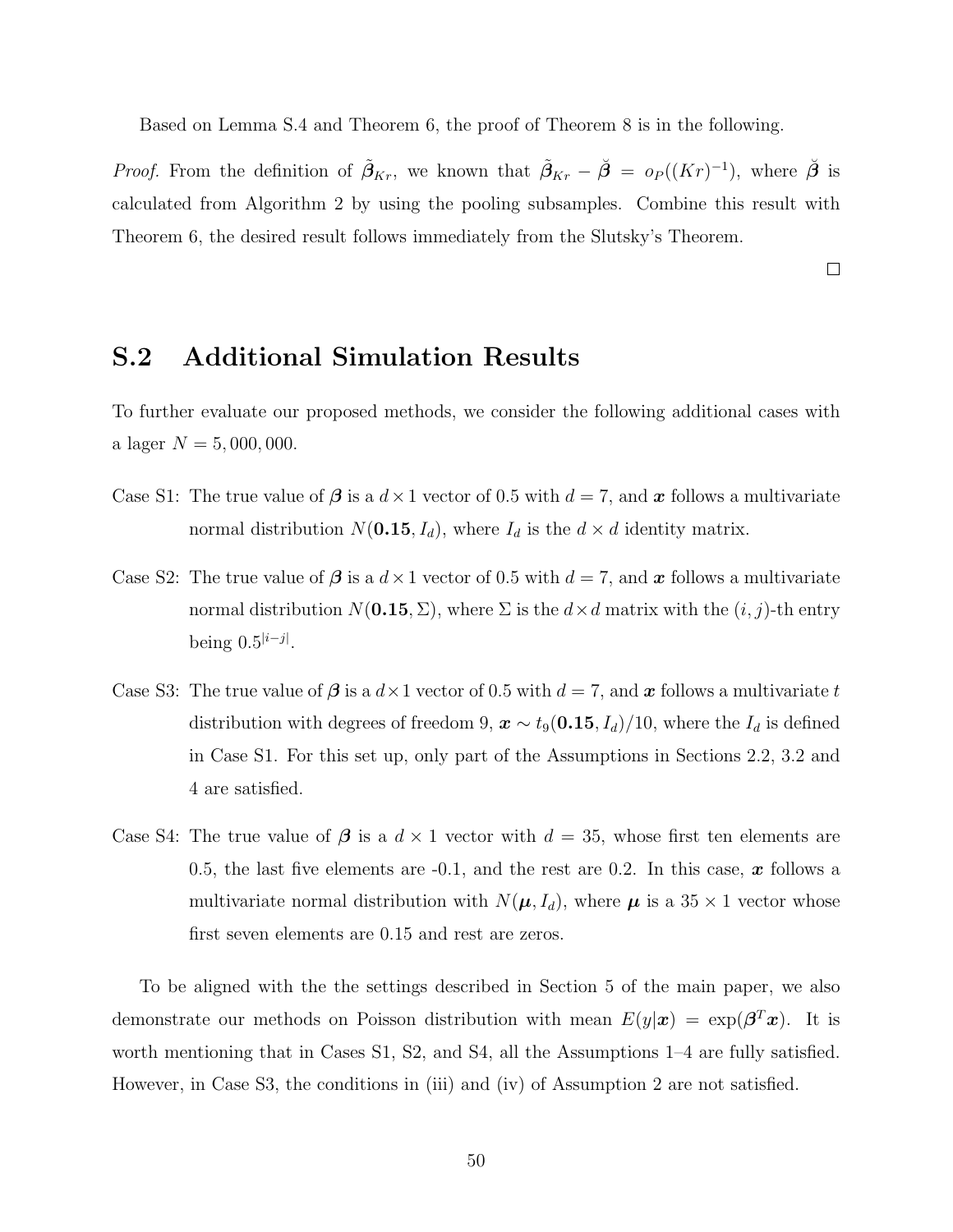Based on Lemma [S.4](#page-45-1) and Theorem 6, the proof of Theorem 8 is in the following.

*Proof.* From the definition of  $\tilde{\beta}_{Kr}$ , we known that  $\tilde{\beta}_{Kr} - \check{\beta} = o_P((Kr)^{-1})$ , where  $\check{\beta}$  is calculated from Algorithm 2 by using the pooling subsamples. Combine this result with Theorem 6, the desired result follows immediately from the Slutsky's Theorem.

 $\Box$ 

## S.2 Additional Simulation Results

To further evaluate our proposed methods, we consider the following additional cases with a lager  $N = 5,000,000$ .

- Case S1: The true value of  $\beta$  is a  $d \times 1$  vector of 0.5 with  $d = 7$ , and x follows a multivariate normal distribution  $N(0.15, I_d)$ , where  $I_d$  is the  $d \times d$  identity matrix.
- Case S2: The true value of  $\beta$  is a  $d \times 1$  vector of 0.5 with  $d = 7$ , and x follows a multivariate normal distribution  $N(\mathbf{0.15}, \Sigma)$ , where  $\Sigma$  is the  $d \times d$  matrix with the  $(i, j)$ -th entry being  $0.5^{|i-j|}$ .
- Case S3: The true value of  $\beta$  is a  $d \times 1$  vector of 0.5 with  $d = 7$ , and x follows a multivariate t distribution with degrees of freedom 9,  $\mathbf{x} \sim t_9(\mathbf{0.15}, I_d)/10$ , where the  $I_d$  is defined in Case S1. For this set up, only part of the Assumptions in Sections 2.2, 3.2 and 4 are satisfied.
- Case S4: The true value of  $\beta$  is a  $d \times 1$  vector with  $d = 35$ , whose first ten elements are 0.5, the last five elements are  $-0.1$ , and the rest are 0.2. In this case, x follows a multivariate normal distribution with  $N(\mu, I_d)$ , where  $\mu$  is a 35  $\times$  1 vector whose first seven elements are 0.15 and rest are zeros.

To be aligned with the the settings described in Section 5 of the main paper, we also demonstrate our methods on Poisson distribution with mean  $E(y|\boldsymbol{x}) = \exp(\boldsymbol{\beta}^T\boldsymbol{x})$ . It is worth mentioning that in Cases S1, S2, and S4, all the Assumptions 1–4 are fully satisfied. However, in Case S3, the conditions in (iii) and (iv) of Assumption 2 are not satisfied.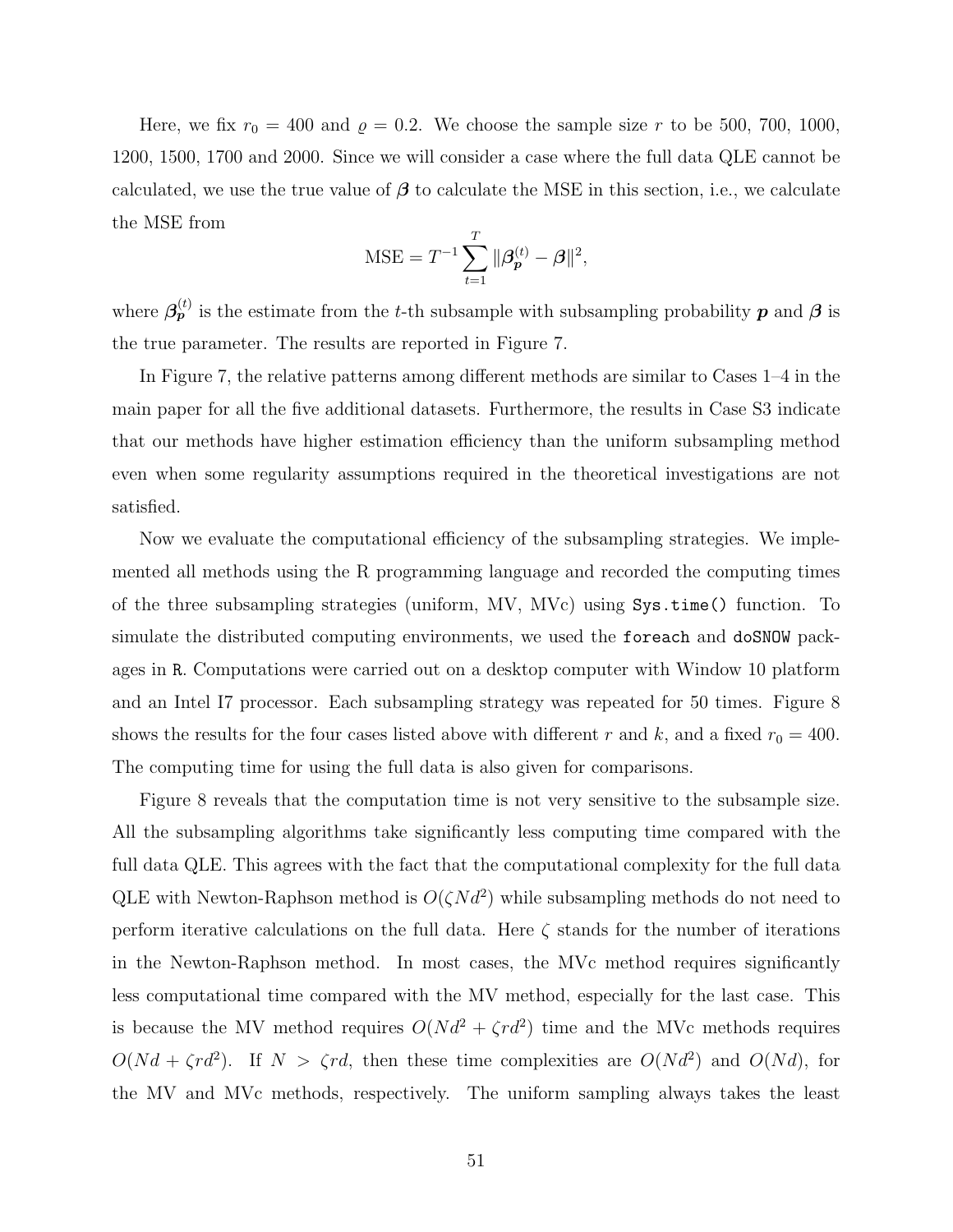Here, we fix  $r_0 = 400$  and  $\rho = 0.2$ . We choose the sample size r to be 500, 700, 1000, 1200, 1500, 1700 and 2000. Since we will consider a case where the full data QLE cannot be calculated, we use the true value of  $\beta$  to calculate the MSE in this section, i.e., we calculate the MSE from

MSE = 
$$
T^{-1} \sum_{t=1}^{T} ||\boldsymbol{\beta}_{\boldsymbol{p}}^{(t)} - \boldsymbol{\beta}||^2
$$
,

where  $\beta_{p}^{(t)}$  is the estimate from the t-th subsample with subsampling probability  $p$  and  $\beta$  is the true parameter. The results are reported in Figure [7.](#page-51-0)

In Figure [7,](#page-51-0) the relative patterns among different methods are similar to Cases 1–4 in the main paper for all the five additional datasets. Furthermore, the results in Case S3 indicate that our methods have higher estimation efficiency than the uniform subsampling method even when some regularity assumptions required in the theoretical investigations are not satisfied.

Now we evaluate the computational efficiency of the subsampling strategies. We implemented all methods using the R programming language and recorded the computing times of the three subsampling strategies (uniform, MV, MVc) using Sys.time() function. To simulate the distributed computing environments, we used the foreach and doSNOW packages in R. Computations were carried out on a desktop computer with Window 10 platform and an Intel I7 processor. Each subsampling strategy was repeated for 50 times. Figure [8](#page-52-0) shows the results for the four cases listed above with different r and k, and a fixed  $r_0 = 400$ . The computing time for using the full data is also given for comparisons.

Figure [8](#page-52-0) reveals that the computation time is not very sensitive to the subsample size. All the subsampling algorithms take significantly less computing time compared with the full data QLE. This agrees with the fact that the computational complexity for the full data QLE with Newton-Raphson method is  $O(\zeta N d^2)$  while subsampling methods do not need to perform iterative calculations on the full data. Here  $\zeta$  stands for the number of iterations in the Newton-Raphson method. In most cases, the MVc method requires significantly less computational time compared with the MV method, especially for the last case. This is because the MV method requires  $O(Nd^2 + \zeta rd^2)$  time and the MVc methods requires  $O(Nd + \zeta rd^2)$ . If  $N > \zeta rd$ , then these time complexities are  $O(Nd^2)$  and  $O(Nd)$ , for the MV and MVc methods, respectively. The uniform sampling always takes the least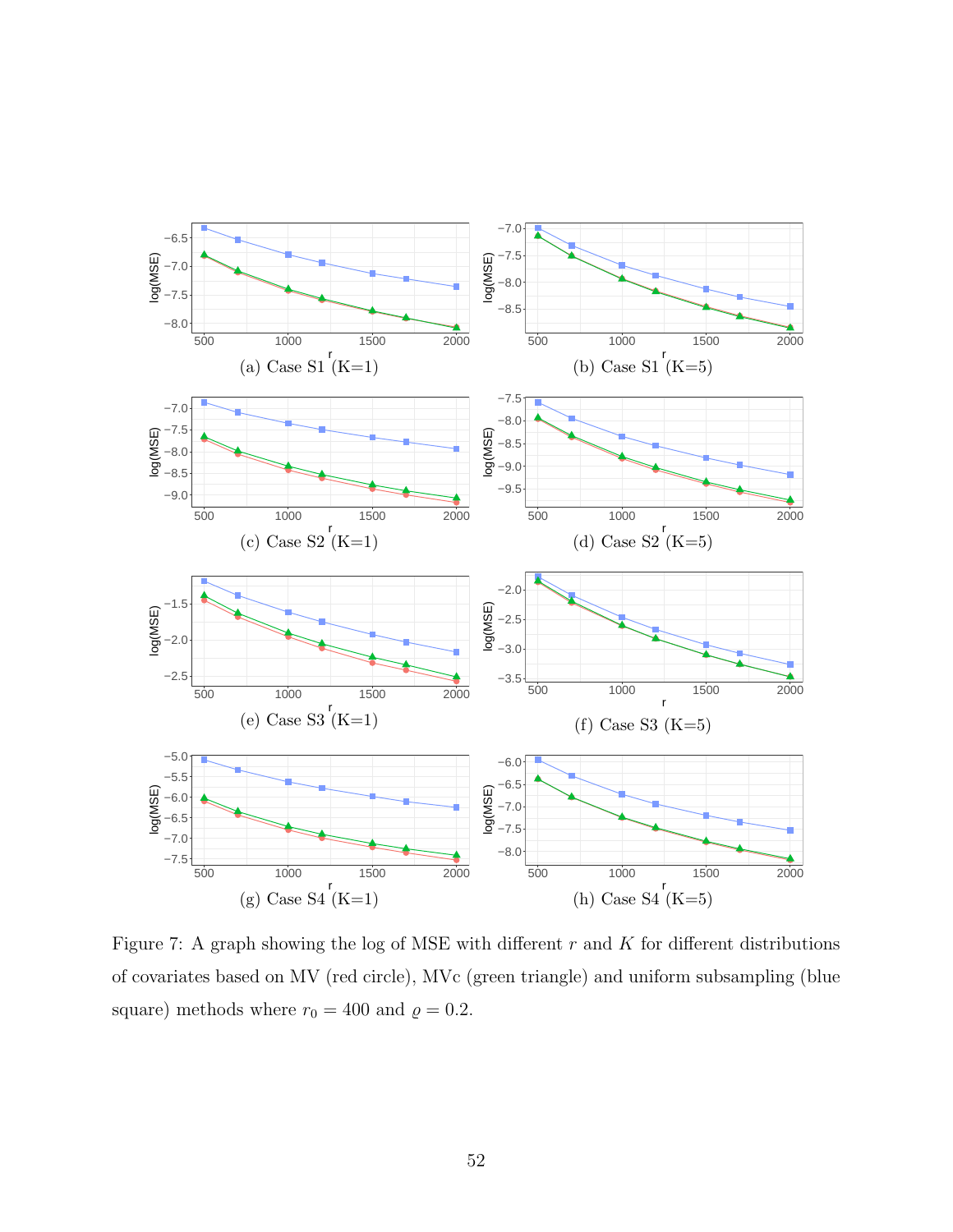<span id="page-51-0"></span>

Figure 7: A graph showing the log of MSE with different  $r$  and  $K$  for different distributions of covariates based on MV (red circle), MVc (green triangle) and uniform subsampling (blue square) methods where  $r_0 = 400$  and  $\rho = 0.2$ .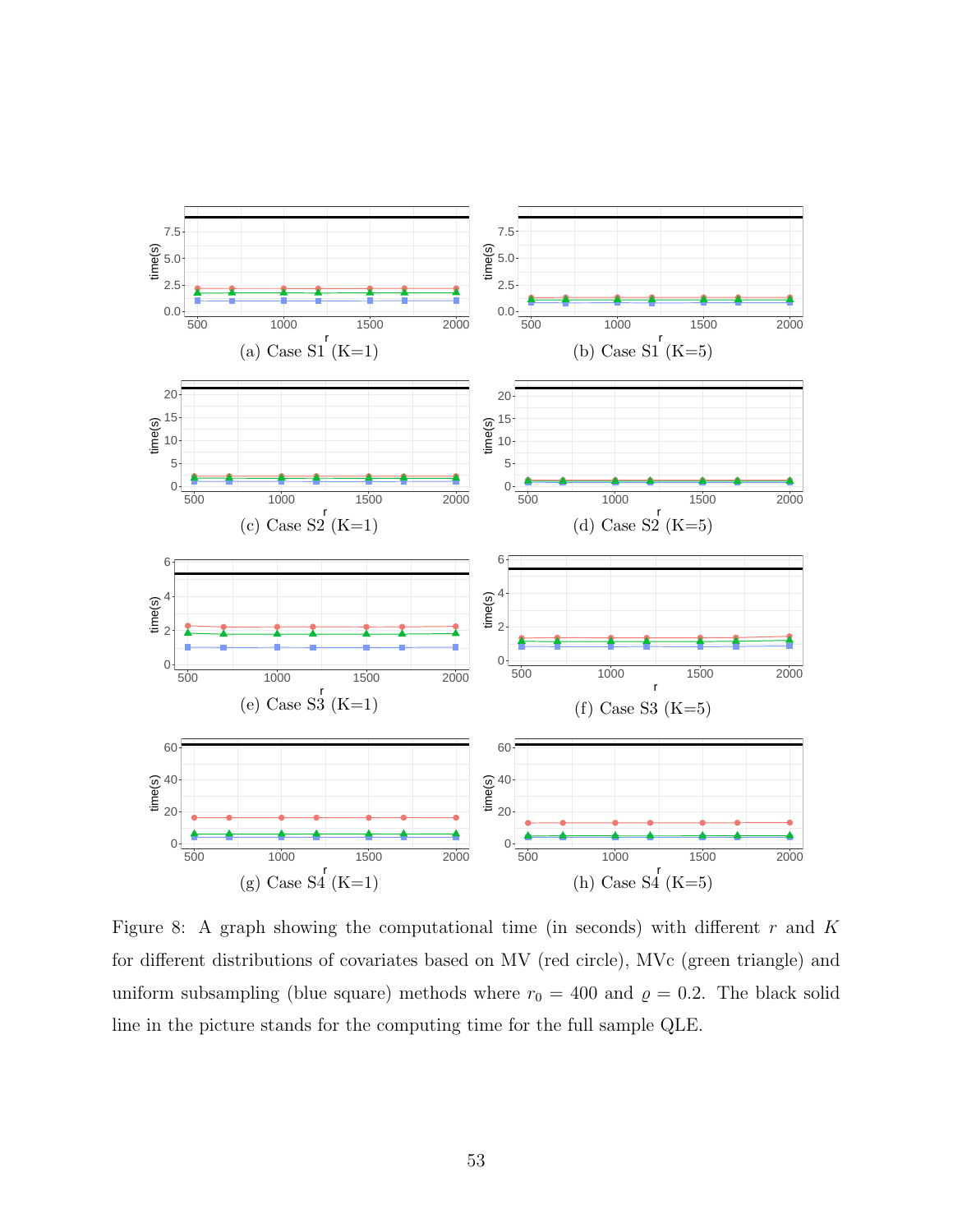<span id="page-52-0"></span>

Figure 8: A graph showing the computational time (in seconds) with different  $r$  and  $K$ for different distributions of covariates based on MV (red circle), MVc (green triangle) and uniform subsampling (blue square) methods where  $r_0 = 400$  and  $\rho = 0.2$ . The black solid line in the picture stands for the computing time for the full sample QLE.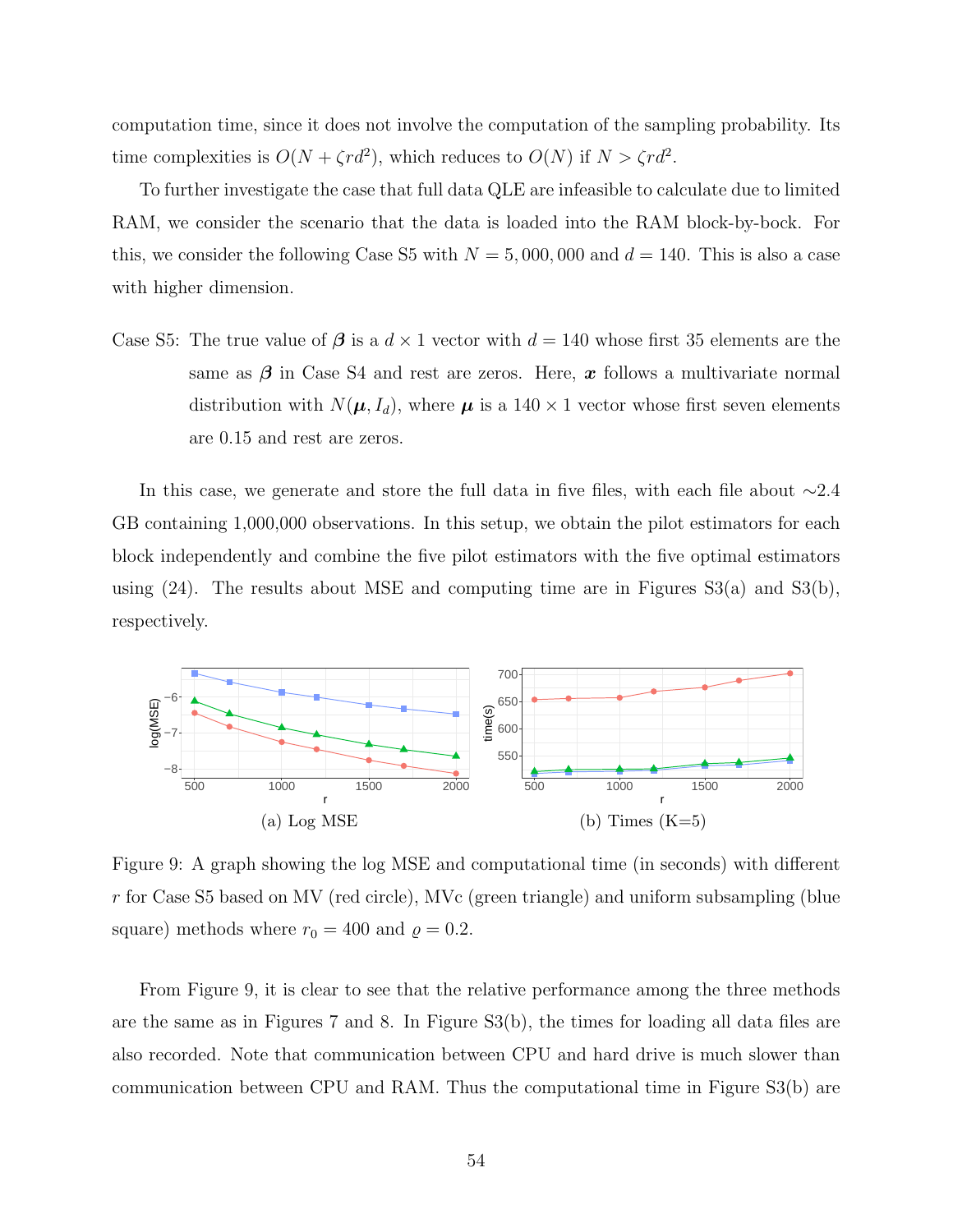computation time, since it does not involve the computation of the sampling probability. Its time complexities is  $O(N + \zeta r d^2)$ , which reduces to  $O(N)$  if  $N > \zeta r d^2$ .

To further investigate the case that full data QLE are infeasible to calculate due to limited RAM, we consider the scenario that the data is loaded into the RAM block-by-bock. For this, we consider the following Case S5 with  $N = 5,000,000$  and  $d = 140$ . This is also a case with higher dimension.

Case S5: The true value of  $\beta$  is a  $d \times 1$  vector with  $d = 140$  whose first 35 elements are the same as  $\beta$  in Case S4 and rest are zeros. Here, x follows a multivariate normal distribution with  $N(\mu, I_d)$ , where  $\mu$  is a 140  $\times$  1 vector whose first seven elements are 0.15 and rest are zeros.

In this case, we generate and store the full data in five files, with each file about ∼2.4 GB containing 1,000,000 observations. In this setup, we obtain the pilot estimators for each block independently and combine the five pilot estimators with the five optimal estimators using  $(24)$ . The results about MSE and computing time are in Figures  $S3(a)$  and  $S3(b)$ , respectively.

<span id="page-53-0"></span>

Figure 9: A graph showing the log MSE and computational time (in seconds) with different r for Case S5 based on MV (red circle), MVc (green triangle) and uniform subsampling (blue square) methods where  $r_0 = 400$  and  $\rho = 0.2$ .

From Figure [9,](#page-53-0) it is clear to see that the relative performance among the three methods are the same as in Figures [7](#page-51-0) and [8.](#page-52-0) In Figure S3(b), the times for loading all data files are also recorded. Note that communication between CPU and hard drive is much slower than communication between CPU and RAM. Thus the computational time in Figure S3(b) are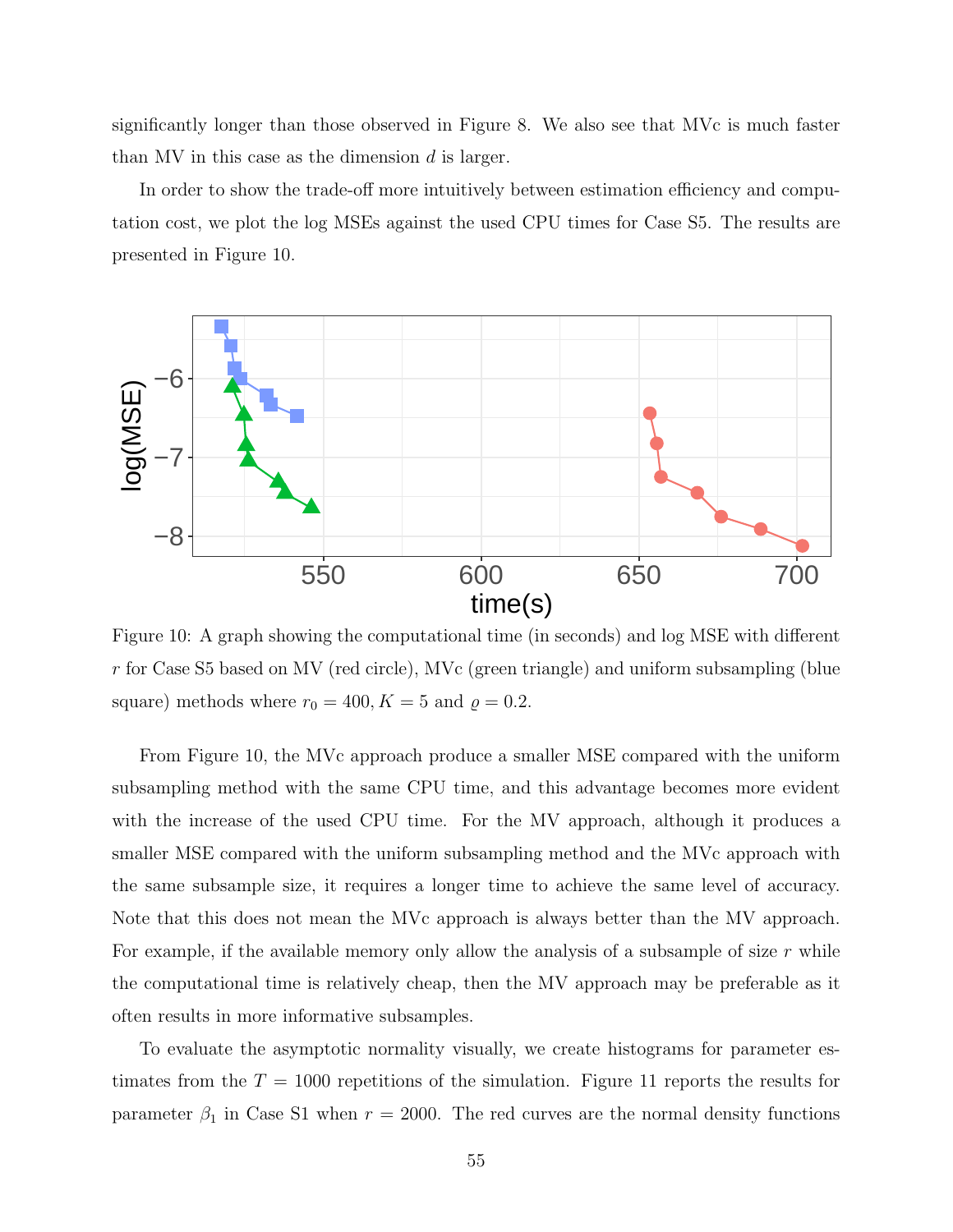significantly longer than those observed in Figure [8.](#page-52-0) We also see that MVc is much faster than MV in this case as the dimension  $d$  is larger.

In order to show the trade-off more intuitively between estimation efficiency and computation cost, we plot the log MSEs against the used CPU times for Case S5. The results are presented in Figure [10.](#page-54-0)

<span id="page-54-0"></span>

Figure 10: A graph showing the computational time (in seconds) and log MSE with different r for Case S5 based on MV (red circle), MVc (green triangle) and uniform subsampling (blue square) methods where  $r_0 = 400, K = 5$  and  $\rho = 0.2$ .

From Figure [10,](#page-54-0) the MVc approach produce a smaller MSE compared with the uniform subsampling method with the same CPU time, and this advantage becomes more evident with the increase of the used CPU time. For the MV approach, although it produces a smaller MSE compared with the uniform subsampling method and the MVc approach with the same subsample size, it requires a longer time to achieve the same level of accuracy. Note that this does not mean the MVc approach is always better than the MV approach. For example, if the available memory only allow the analysis of a subsample of size  $r$  while the computational time is relatively cheap, then the MV approach may be preferable as it often results in more informative subsamples.

To evaluate the asymptotic normality visually, we create histograms for parameter estimates from the  $T = 1000$  repetitions of the simulation. Figure [11](#page-55-5) reports the results for parameter  $\beta_1$  in Case S1 when  $r = 2000$ . The red curves are the normal density functions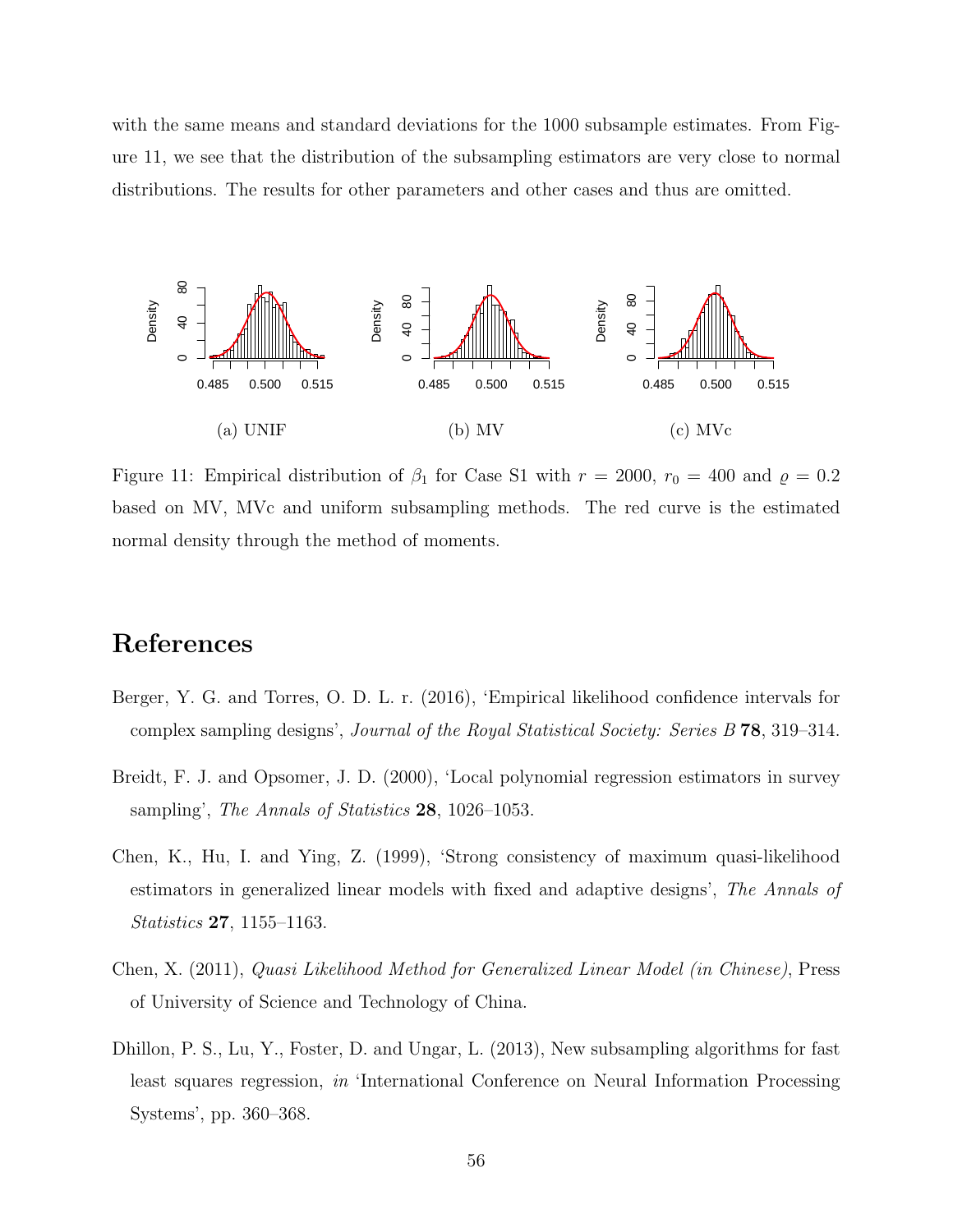with the same means and standard deviations for the 1000 subsample estimates. From Figure [11,](#page-55-5) we see that the distribution of the subsampling estimators are very close to normal distributions. The results for other parameters and other cases and thus are omitted.

<span id="page-55-5"></span>

Figure 11: Empirical distribution of  $\beta_1$  for Case S1 with  $r = 2000$ ,  $r_0 = 400$  and  $\rho = 0.2$ based on MV, MVc and uniform subsampling methods. The red curve is the estimated normal density through the method of moments.

## References

- <span id="page-55-3"></span>Berger, Y. G. and Torres, O. D. L. r. (2016), 'Empirical likelihood confidence intervals for complex sampling designs', Journal of the Royal Statistical Society: Series B 78, 319–314.
- <span id="page-55-4"></span>Breidt, F. J. and Opsomer, J. D. (2000), 'Local polynomial regression estimators in survey sampling', The Annals of Statistics 28, 1026–1053.
- <span id="page-55-1"></span>Chen, K., Hu, I. and Ying, Z. (1999), 'Strong consistency of maximum quasi-likelihood estimators in generalized linear models with fixed and adaptive designs', The Annals of Statistics 27, 1155–1163.
- <span id="page-55-2"></span>Chen, X. (2011), Quasi Likelihood Method for Generalized Linear Model (in Chinese), Press of University of Science and Technology of China.
- <span id="page-55-0"></span>Dhillon, P. S., Lu, Y., Foster, D. and Ungar, L. (2013), New subsampling algorithms for fast least squares regression, in 'International Conference on Neural Information Processing Systems', pp. 360–368.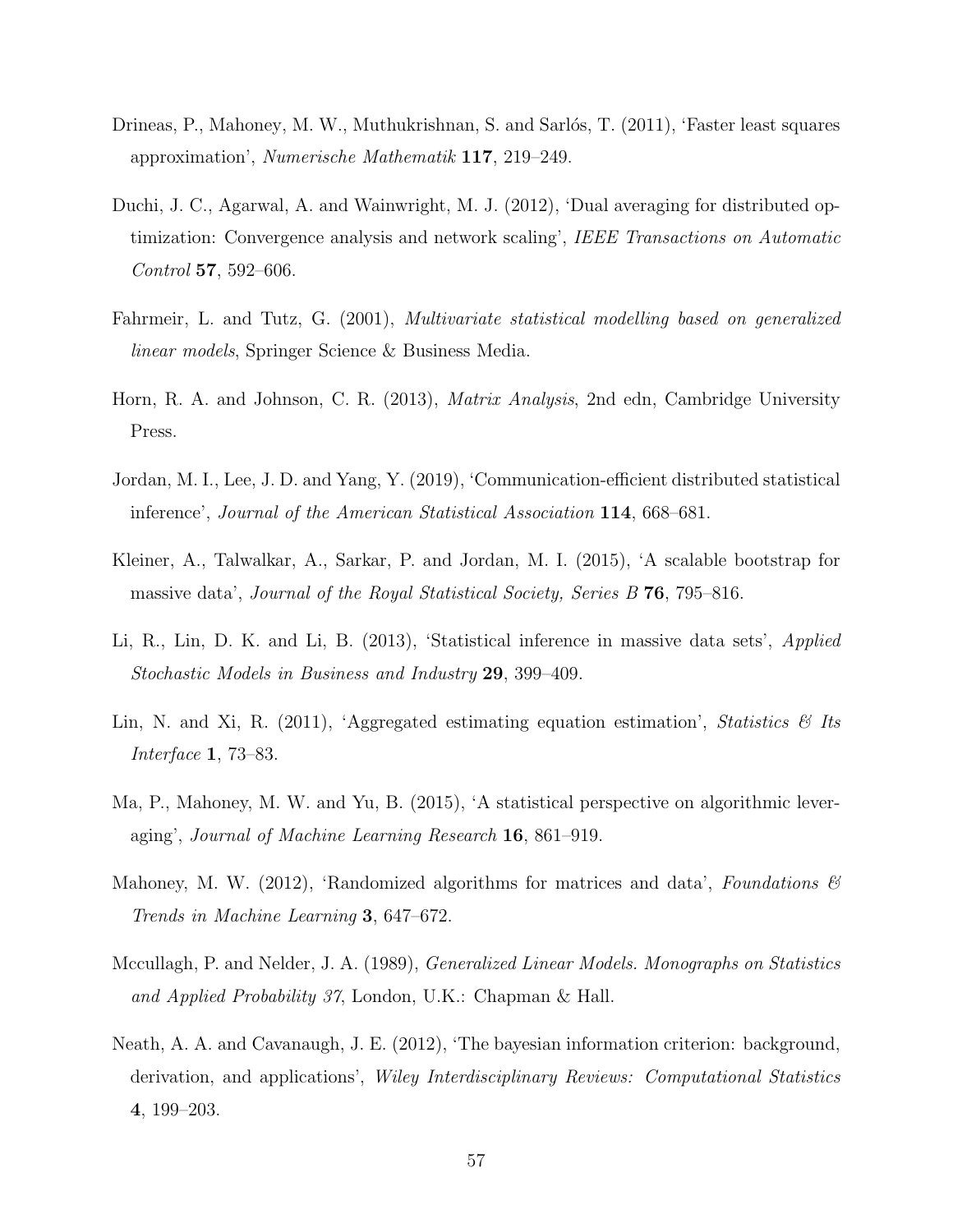- <span id="page-56-5"></span>Drineas, P., Mahoney, M. W., Muthukrishnan, S. and Sarlós, T. (2011), 'Faster least squares approximation', Numerische Mathematik 117, 219–249.
- <span id="page-56-1"></span>Duchi, J. C., Agarwal, A. and Wainwright, M. J. (2012), 'Dual averaging for distributed optimization: Convergence analysis and network scaling', IEEE Transactions on Automatic Control 57, 592–606.
- <span id="page-56-9"></span>Fahrmeir, L. and Tutz, G. (2001), Multivariate statistical modelling based on generalized linear models, Springer Science & Business Media.
- <span id="page-56-11"></span>Horn, R. A. and Johnson, C. R. (2013), Matrix Analysis, 2nd edn, Cambridge University Press.
- <span id="page-56-4"></span>Jordan, M. I., Lee, J. D. and Yang, Y. (2019), 'Communication-efficient distributed statistical inference', Journal of the American Statistical Association 114, 668–681.
- <span id="page-56-3"></span>Kleiner, A., Talwalkar, A., Sarkar, P. and Jordan, M. I. (2015), 'A scalable bootstrap for massive data', Journal of the Royal Statistical Society, Series B 76, 795–816.
- <span id="page-56-2"></span>Li, R., Lin, D. K. and Li, B. (2013), 'Statistical inference in massive data sets', Applied Stochastic Models in Business and Industry 29, 399–409.
- <span id="page-56-0"></span>Lin, N. and Xi, R. (2011), 'Aggregated estimating equation estimation', Statistics  $\mathcal{B}$  Its Interface 1, 73–83.
- <span id="page-56-6"></span>Ma, P., Mahoney, M. W. and Yu, B. (2015), 'A statistical perspective on algorithmic leveraging', Journal of Machine Learning Research 16, 861–919.
- <span id="page-56-7"></span>Mahoney, M. W. (2012), 'Randomized algorithms for matrices and data', Foundations  $\mathscr B$ Trends in Machine Learning 3, 647–672.
- <span id="page-56-8"></span>Mccullagh, P. and Nelder, J. A. (1989), Generalized Linear Models. Monographs on Statistics and Applied Probability 37, London, U.K.: Chapman & Hall.
- <span id="page-56-10"></span>Neath, A. A. and Cavanaugh, J. E. (2012), 'The bayesian information criterion: background, derivation, and applications', Wiley Interdisciplinary Reviews: Computational Statistics 4, 199–203.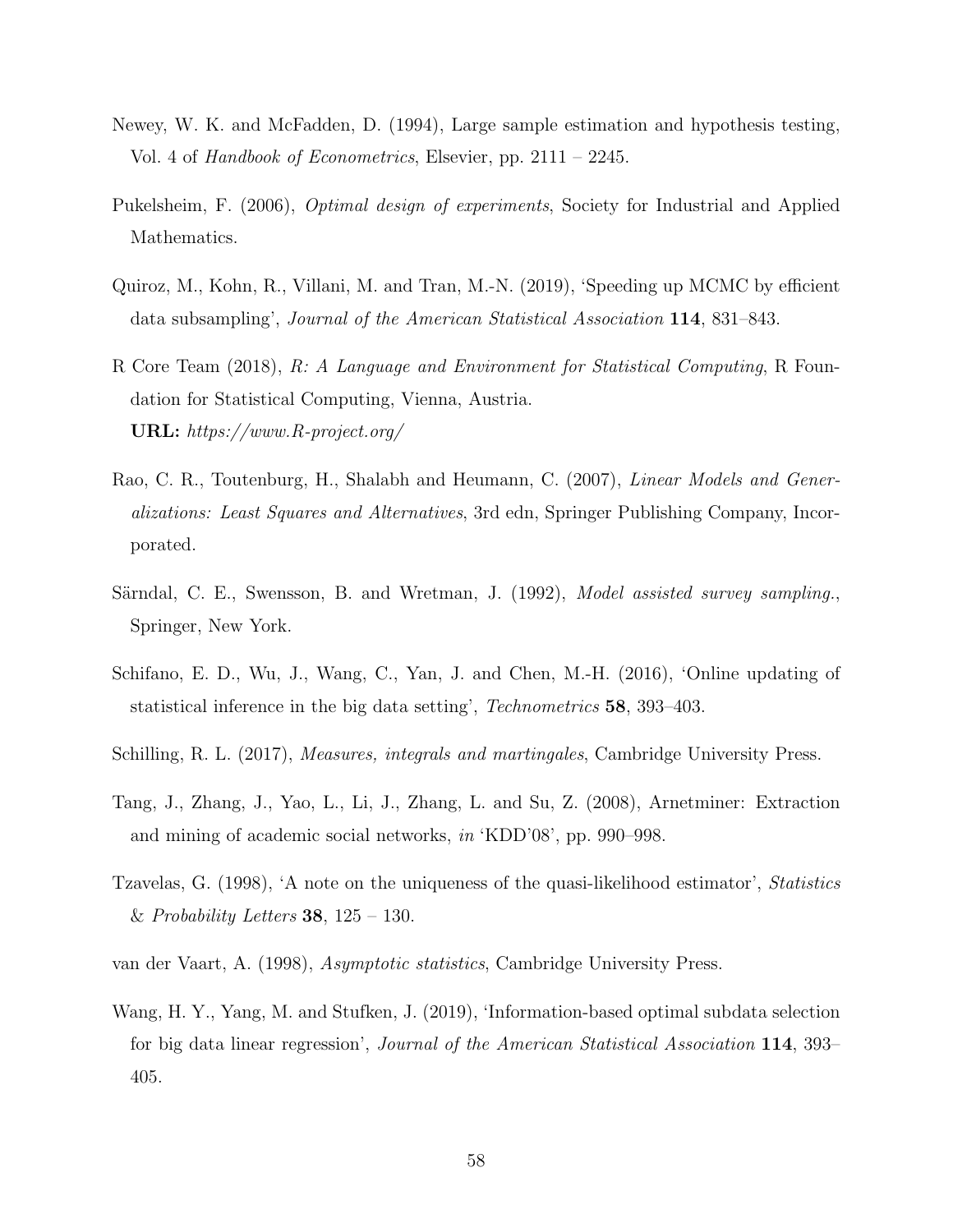- <span id="page-57-4"></span>Newey, W. K. and McFadden, D. (1994), Large sample estimation and hypothesis testing, Vol. 4 of Handbook of Econometrics, Elsevier, pp. 2111 – 2245.
- <span id="page-57-8"></span>Pukelsheim, F. (2006), *Optimal design of experiments*, Society for Industrial and Applied Mathematics.
- <span id="page-57-1"></span>Quiroz, M., Kohn, R., Villani, M. and Tran, M.-N. (2019), 'Speeding up MCMC by efficient data subsampling', Journal of the American Statistical Association 114, 831–843.
- <span id="page-57-9"></span>R Core Team (2018), R: A Language and Environment for Statistical Computing, R Foundation for Statistical Computing, Vienna, Austria. URL: https://www.R-project.org/
- <span id="page-57-6"></span>Rao, C. R., Toutenburg, H., Shalabh and Heumann, C. (2007), *Linear Models and Gener*alizations: Least Squares and Alternatives, 3rd edn, Springer Publishing Company, Incorporated.
- <span id="page-57-3"></span>Särndal, C. E., Swensson, B. and Wretman, J. (1992), *Model assisted survey sampling.*, Springer, New York.
- <span id="page-57-0"></span>Schifano, E. D., Wu, J., Wang, C., Yan, J. and Chen, M.-H. (2016), 'Online updating of statistical inference in the big data setting', Technometrics 58, 393–403.
- <span id="page-57-11"></span>Schilling, R. L. (2017), Measures, integrals and martingales, Cambridge University Press.
- <span id="page-57-10"></span>Tang, J., Zhang, J., Yao, L., Li, J., Zhang, L. and Su, Z. (2008), Arnetminer: Extraction and mining of academic social networks, in 'KDD'08', pp. 990–998.
- <span id="page-57-5"></span>Tzavelas, G. (1998), 'A note on the uniqueness of the quasi-likelihood estimator', Statistics & Probability Letters 38,  $125 - 130$ .
- <span id="page-57-7"></span>van der Vaart, A. (1998), Asymptotic statistics, Cambridge University Press.
- <span id="page-57-2"></span>Wang, H. Y., Yang, M. and Stufken, J. (2019), 'Information-based optimal subdata selection for big data linear regression', Journal of the American Statistical Association 114, 393– 405.